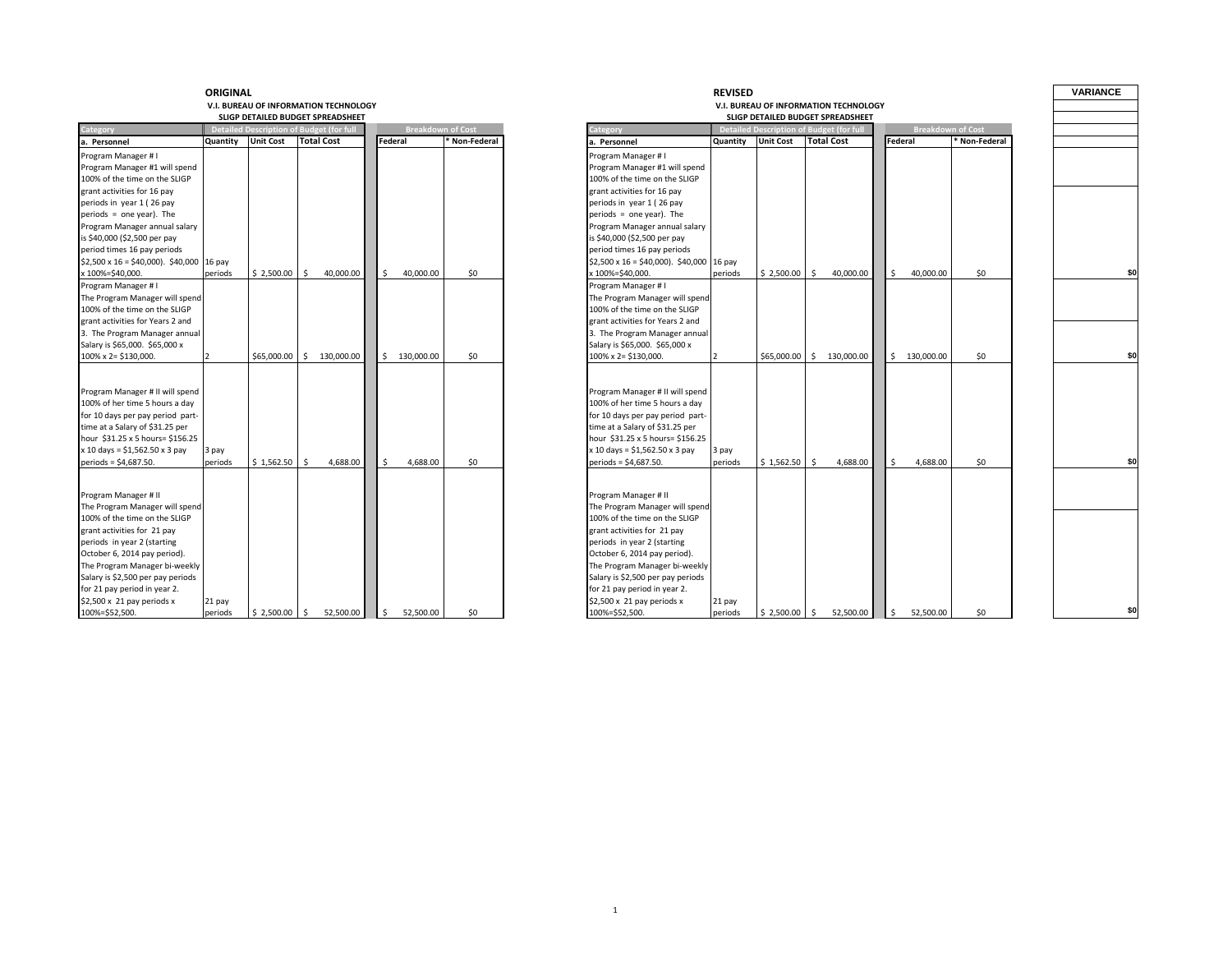#### **V.I. BUREAU OF INFORMATION TECHNOLOGY SLIGP DETAILED BUDGET SPREADSHEET**

| Category                                        |          |                  | <b>Detailed Description of Budget (for full</b> | <b>Breakdown of Cost</b> |             |
|-------------------------------------------------|----------|------------------|-------------------------------------------------|--------------------------|-------------|
| a. Personnel                                    | Quantity | <b>Unit Cost</b> | <b>Total Cost</b>                               | <b>Federal</b>           | Non-Federal |
| Program Manager # I                             |          |                  |                                                 |                          |             |
| Program Manager #1 will spend                   |          |                  |                                                 |                          |             |
| 100% of the time on the SLIGP                   |          |                  |                                                 |                          |             |
| grant activities for 16 pay                     |          |                  |                                                 |                          |             |
| periods in year 1 (26 pay                       |          |                  |                                                 |                          |             |
| $periods = one year$ ). The                     |          |                  |                                                 |                          |             |
| Program Manager annual salary                   |          |                  |                                                 |                          |             |
| is \$40,000 (\$2,500 per pay                    |          |                  |                                                 |                          |             |
| period times 16 pay periods                     |          |                  |                                                 |                          |             |
| $$2,500 \times 16 = $40,000$ ). \$40,000 16 pay |          |                  |                                                 |                          |             |
| x 100%=\$40,000.                                | periods  | \$2,500.00       | -Ś<br>40,000.00                                 | 40,000.00                | \$0         |
| Program Manager # I                             |          |                  |                                                 |                          |             |
| The Program Manager will spend                  |          |                  |                                                 |                          |             |
| 100% of the time on the SLIGP                   |          |                  |                                                 |                          |             |
| grant activities for Years 2 and                |          |                  |                                                 |                          |             |
| 3. The Program Manager annual                   |          |                  |                                                 |                          |             |
| Salary is \$65,000. \$65,000 x                  |          |                  |                                                 |                          |             |
| 100% x 2= \$130,000.                            |          | $$65.000.00$ $$$ | 130,000.00                                      | 130,000,00<br>Ŝ.         | \$0         |
|                                                 |          |                  |                                                 |                          |             |
|                                                 |          |                  |                                                 |                          |             |
| Program Manager # II will spend                 |          |                  |                                                 |                          |             |
| 100% of her time 5 hours a day                  |          |                  |                                                 |                          |             |
| for 10 days per pay period part-                |          |                  |                                                 |                          |             |
| time at a Salary of \$31.25 per                 |          |                  |                                                 |                          |             |
| hour \$31.25 x 5 hours= \$156.25                |          |                  |                                                 |                          |             |
| $x$ 10 days = \$1,562.50 $x$ 3 pay              | 3 pay    |                  |                                                 |                          |             |
| periods = \$4,687.50.                           | periods  | \$1,562.50       | 4.688.00<br>$\leq$                              | 4.688.00                 | \$0         |
|                                                 |          |                  |                                                 |                          |             |
| Program Manager # II                            |          |                  |                                                 |                          |             |
| The Program Manager will spend                  |          |                  |                                                 |                          |             |
| 100% of the time on the SLIGP                   |          |                  |                                                 |                          |             |
| grant activities for 21 pay                     |          |                  |                                                 |                          |             |
| periods in year 2 (starting                     |          |                  |                                                 |                          |             |
| October 6, 2014 pay period).                    |          |                  |                                                 |                          |             |
| The Program Manager bi-weekly                   |          |                  |                                                 |                          |             |
| Salary is \$2,500 per pay periods               |          |                  |                                                 |                          |             |
| for 21 pay period in year 2.                    |          |                  |                                                 |                          |             |
| $$2,500 \times 21$ pay periods x                | 21 pay   |                  |                                                 |                          |             |
| 100%=\$52,500.                                  | periods  | $$2,500.00$ \$   | 52,500.00                                       | 52,500.00<br>\$.         | \$0         |

| ORIGINAL |                           |                                                                                      |                          |             |                                                                   | <b>REVISED</b> |                  |                                                                                      |                    |                          |               | <b>VARIANCE</b> |
|----------|---------------------------|--------------------------------------------------------------------------------------|--------------------------|-------------|-------------------------------------------------------------------|----------------|------------------|--------------------------------------------------------------------------------------|--------------------|--------------------------|---------------|-----------------|
|          |                           | V.I. BUREAU OF INFORMATION TECHNOLOGY                                                |                          |             |                                                                   |                |                  | V.I. BUREAU OF INFORMATION TECHNOLOGY                                                |                    |                          |               |                 |
|          |                           | SLIGP DETAILED BUDGET SPREADSHEET<br><b>Detailed Description of Budget (for full</b> | <b>Breakdown of Cost</b> |             |                                                                   |                |                  | SLIGP DETAILED BUDGET SPREADSHEET<br><b>Detailed Description of Budget (for full</b> |                    | <b>Breakdown of Cost</b> |               |                 |
|          | <b>Quantity</b> Unit Cost | <b>Total Cost</b>                                                                    | Federal                  | Non-Federal | ategory<br>a. Personnel                                           | Quantity       | <b>Unit Cost</b> | <b>Total Cost</b>                                                                    | Federal            |                          | * Non-Federal |                 |
|          |                           |                                                                                      |                          |             | Program Manager #1                                                |                |                  |                                                                                      |                    |                          |               |                 |
|          |                           |                                                                                      |                          |             | Program Manager #1 will spend                                     |                |                  |                                                                                      |                    |                          |               |                 |
|          |                           |                                                                                      |                          |             | 100% of the time on the SLIGP                                     |                |                  |                                                                                      |                    |                          |               |                 |
|          |                           |                                                                                      |                          |             | grant activities for 16 pay                                       |                |                  |                                                                                      |                    |                          |               |                 |
|          |                           |                                                                                      |                          |             | periods in year 1 (26 pay                                         |                |                  |                                                                                      |                    |                          |               |                 |
|          |                           |                                                                                      |                          |             | periods = one year). The                                          |                |                  |                                                                                      |                    |                          |               |                 |
|          |                           |                                                                                      |                          |             | Program Manager annual salary                                     |                |                  |                                                                                      |                    |                          |               |                 |
|          |                           |                                                                                      |                          |             | is \$40,000 (\$2,500 per pay                                      |                |                  |                                                                                      |                    |                          |               |                 |
|          |                           |                                                                                      |                          |             | period times 16 pay periods                                       |                |                  |                                                                                      |                    |                          |               |                 |
| 16 pay   |                           |                                                                                      |                          |             | $$2,500 \times 16 = $40,000$ ). \$40,000 16 pay                   |                |                  |                                                                                      |                    |                          |               |                 |
| periods  | $$2,500.00$ \$            | 40,000.00                                                                            | \$<br>40,000.00          | \$0         | < 100%=\$40,000.                                                  | periods        | \$2,500.00       | Ŝ.<br>40,000.00                                                                      | \$                 | 40,000.00                | \$0           | \$0             |
|          |                           |                                                                                      |                          |             | Program Manager #1                                                |                |                  |                                                                                      |                    |                          |               |                 |
|          |                           |                                                                                      |                          |             | The Program Manager will spend                                    |                |                  |                                                                                      |                    |                          |               |                 |
|          |                           |                                                                                      |                          |             | 100% of the time on the SLIGP                                     |                |                  |                                                                                      |                    |                          |               |                 |
|          |                           |                                                                                      |                          |             | grant activities for Years 2 and                                  |                |                  |                                                                                      |                    |                          |               |                 |
|          |                           |                                                                                      |                          |             | 3. The Program Manager annual                                     |                |                  |                                                                                      |                    |                          |               |                 |
|          | $$65,000.00$ \$           | 130,000.00                                                                           | S.<br>130,000.00         | \$0         | Salary is \$65,000. \$65,000 x<br>100% x 2= \$130,000.            |                | \$65,000.00      | s.<br>130,000.00                                                                     |                    | \$130,000.00             | \$0           | \$0             |
|          |                           |                                                                                      |                          |             |                                                                   |                |                  |                                                                                      |                    |                          |               |                 |
|          |                           |                                                                                      |                          |             |                                                                   |                |                  |                                                                                      |                    |                          |               |                 |
|          |                           |                                                                                      |                          |             | Program Manager # II will spend                                   |                |                  |                                                                                      |                    |                          |               |                 |
|          |                           |                                                                                      |                          |             | 100% of her time 5 hours a day                                    |                |                  |                                                                                      |                    |                          |               |                 |
|          |                           |                                                                                      |                          |             | for 10 days per pay period part-                                  |                |                  |                                                                                      |                    |                          |               |                 |
|          |                           |                                                                                      |                          |             | time at a Salary of \$31.25 per                                   |                |                  |                                                                                      |                    |                          |               |                 |
|          |                           |                                                                                      |                          |             | hour \$31.25 x 5 hours= \$156.25                                  |                |                  |                                                                                      |                    |                          |               |                 |
| 3 pay    |                           |                                                                                      |                          |             | x 10 days = \$1,562.50 x 3 pay                                    | 3 pay          |                  |                                                                                      |                    |                          |               |                 |
| periods  | \$1,562.50                | S.<br>4,688.00                                                                       | Ŝ.<br>4,688.00           | \$0         | periods = \$4,687.50.                                             | periods        | \$1,562.50       | Ŝ.<br>4,688.00                                                                       | $\dot{\mathsf{S}}$ | 4,688.00                 | \$0           | \$0             |
|          |                           |                                                                                      |                          |             |                                                                   |                |                  |                                                                                      |                    |                          |               |                 |
|          |                           |                                                                                      |                          |             | Program Manager # II                                              |                |                  |                                                                                      |                    |                          |               |                 |
|          |                           |                                                                                      |                          |             | The Program Manager will spend                                    |                |                  |                                                                                      |                    |                          |               |                 |
|          |                           |                                                                                      |                          |             | 100% of the time on the SLIGP                                     |                |                  |                                                                                      |                    |                          |               |                 |
|          |                           |                                                                                      |                          |             | grant activities for 21 pay                                       |                |                  |                                                                                      |                    |                          |               |                 |
|          |                           |                                                                                      |                          |             | periods in year 2 (starting                                       |                |                  |                                                                                      |                    |                          |               |                 |
|          |                           |                                                                                      |                          |             | October 6, 2014 pay period).                                      |                |                  |                                                                                      |                    |                          |               |                 |
|          |                           |                                                                                      |                          |             | The Program Manager bi-weekly                                     |                |                  |                                                                                      |                    |                          |               |                 |
|          |                           |                                                                                      |                          |             | Salary is \$2,500 per pay periods<br>for 21 pay period in year 2. |                |                  |                                                                                      |                    |                          |               |                 |
| 21 pay   |                           |                                                                                      |                          |             | $$2,500 \times 21$ pay periods x                                  | 21 pay         |                  |                                                                                      |                    |                          |               |                 |
| periods  | $$2,500.00$ \$            | 52,500.00                                                                            | 52,500.00<br>Ŝ.          | \$0         | 100%=\$52,500.                                                    | periods        | \$2,500.00       | 52,500.00<br>$\mathsf{S}$                                                            | \$                 | 52,500.00                | \$0           | \$0             |
|          |                           |                                                                                      |                          |             |                                                                   |                |                  |                                                                                      |                    |                          |               |                 |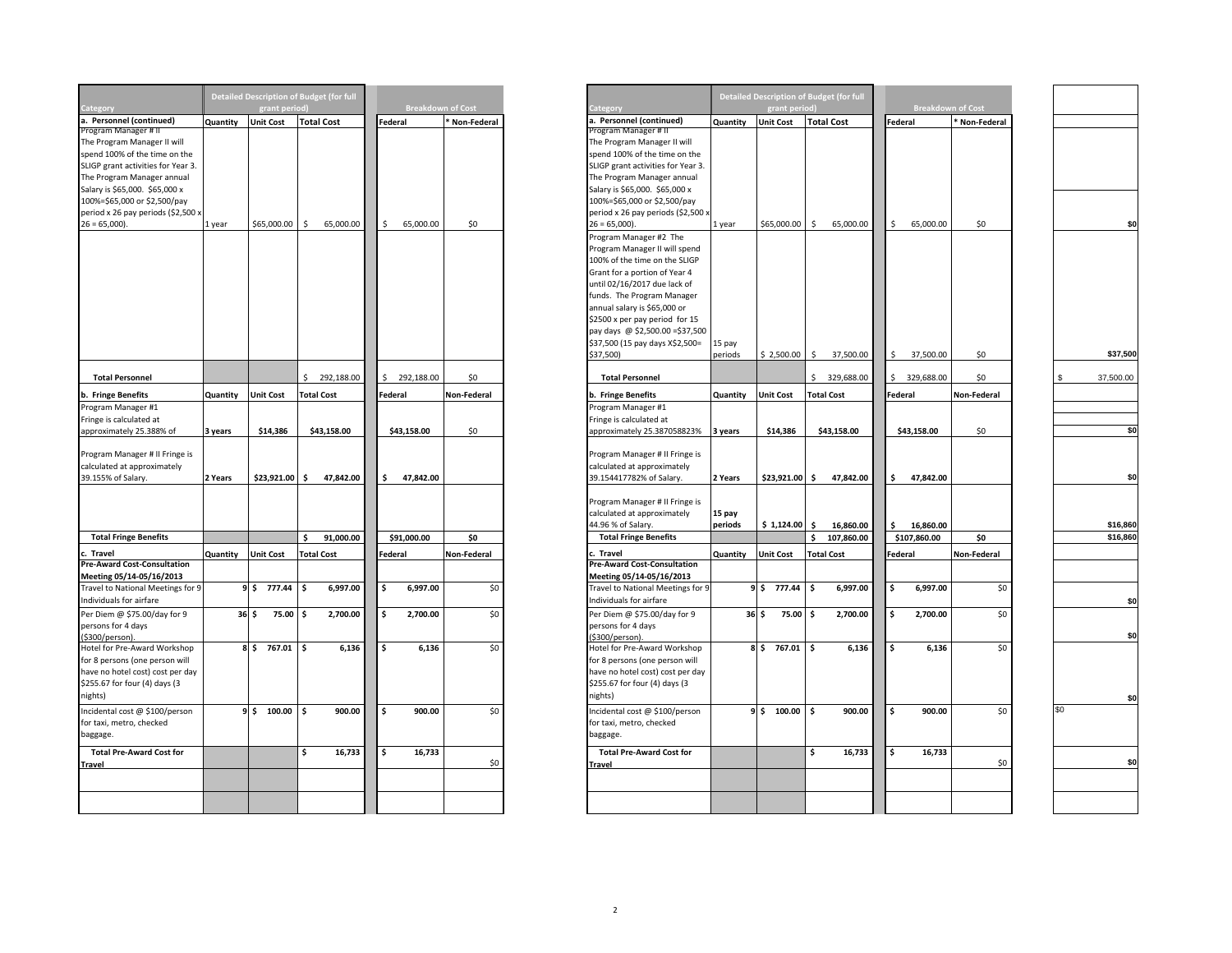|                                                 |          |                          | <b>Detailed Description of Budget (for full</b> |             |                          |                                                 |          |                    | <b>Detailed Description of Budget (for full</b> |         |                          |               |
|-------------------------------------------------|----------|--------------------------|-------------------------------------------------|-------------|--------------------------|-------------------------------------------------|----------|--------------------|-------------------------------------------------|---------|--------------------------|---------------|
| Category                                        |          | grant period)            |                                                 |             | <b>Breakdown of Cost</b> | ategory                                         |          | grant period)      |                                                 |         | <b>Breakdown of Cost</b> |               |
| a. Personnel (continued)                        | Quantity | <b>Unit Cost</b>         | <b>Total Cost</b>                               | Federal     | Non-Federal              | a. Personnel (continued)                        | Quantity | <b>Unit Cost</b>   | <b>Total Cost</b>                               | Federal |                          | * Non-Federal |
| Program Manager #1                              |          |                          |                                                 |             |                          | Program Manager # II                            |          |                    |                                                 |         |                          |               |
| The Program Manager II will                     |          |                          |                                                 |             |                          | The Program Manager II will                     |          |                    |                                                 |         |                          |               |
| spend 100% of the time on the                   |          |                          |                                                 |             |                          | spend 100% of the time on the                   |          |                    |                                                 |         |                          |               |
| SLIGP grant activities for Year 3.              |          |                          |                                                 |             |                          | SLIGP grant activities for Year 3.              |          |                    |                                                 |         |                          |               |
| The Program Manager annual                      |          |                          |                                                 |             |                          | The Program Manager annual                      |          |                    |                                                 |         |                          |               |
| Salary is \$65,000. \$65,000 x                  |          |                          |                                                 |             |                          | Salary is \$65,000. \$65,000 x                  |          |                    |                                                 |         |                          |               |
| 100%=\$65,000 or \$2,500/pay                    |          |                          |                                                 |             |                          | 100%=\$65,000 or \$2,500/pay                    |          |                    |                                                 |         |                          |               |
|                                                 |          |                          |                                                 |             |                          |                                                 |          |                    |                                                 |         |                          |               |
| period x 26 pay periods (\$2,500 x              |          |                          |                                                 |             |                          | period x 26 pay periods (\$2,500 x              |          |                    |                                                 |         |                          |               |
| $26 = 65,000$ ).                                | 1 year   | \$65,000.00              | \$<br>65,000.00                                 | Ŝ.          | 65,000.00<br>\$0         | $26 = 65,000$ ).                                | 1 year   | \$65,000.00        | Ŝ.<br>65,000.00                                 | Ŝ.      | 65,000.00                | \$0           |
|                                                 |          |                          |                                                 |             |                          | Program Manager #2 The                          |          |                    |                                                 |         |                          |               |
|                                                 |          |                          |                                                 |             |                          | Program Manager II will spend                   |          |                    |                                                 |         |                          |               |
|                                                 |          |                          |                                                 |             |                          | 100% of the time on the SLIGP                   |          |                    |                                                 |         |                          |               |
|                                                 |          |                          |                                                 |             |                          | Grant for a portion of Year 4                   |          |                    |                                                 |         |                          |               |
|                                                 |          |                          |                                                 |             |                          | until 02/16/2017 due lack of                    |          |                    |                                                 |         |                          |               |
|                                                 |          |                          |                                                 |             |                          | funds. The Program Manager                      |          |                    |                                                 |         |                          |               |
|                                                 |          |                          |                                                 |             |                          |                                                 |          |                    |                                                 |         |                          |               |
|                                                 |          |                          |                                                 |             |                          | annual salary is \$65,000 or                    |          |                    |                                                 |         |                          |               |
|                                                 |          |                          |                                                 |             |                          | \$2500 x per pay period for 15                  |          |                    |                                                 |         |                          |               |
|                                                 |          |                          |                                                 |             |                          | pay days @ \$2,500.00 = \$37,500                |          |                    |                                                 |         |                          |               |
|                                                 |          |                          |                                                 |             |                          | \$37,500 (15 pay days X\$2,500=                 | 15 pay   |                    |                                                 |         |                          |               |
|                                                 |          |                          |                                                 |             |                          | \$37,500)                                       | periods  | \$2,500.00         | S.<br>37,500.00                                 | \$      | 37,500.00                | \$0           |
| <b>Total Personnel</b>                          |          |                          | \$292,188.00                                    |             | 292,188.00<br>\$0        | <b>Total Personnel</b>                          |          |                    | 329,688.00<br>Ś.                                |         | 329,688.00               | \$0           |
|                                                 |          |                          |                                                 |             |                          |                                                 |          |                    |                                                 |         |                          |               |
| b. Fringe Benefits                              | Quantity | <b>Unit Cost</b>         | <b>Total Cost</b>                               | Federal     | Non-Federal              | b. Fringe Benefits                              | Quantity | <b>Unit Cost</b>   | <b>Total Cost</b>                               | Federal |                          | Non-Federal   |
| Program Manager #1                              |          |                          |                                                 |             |                          | Program Manager #1                              |          |                    |                                                 |         |                          |               |
| Fringe is calculated at                         |          |                          |                                                 |             |                          | Fringe is calculated at                         |          |                    |                                                 |         |                          |               |
| approximately 25.388% of                        | 3 years  | \$14,386                 | \$43,158.00                                     | \$43,158.00 | \$0                      | approximately 25.387058823%                     | 3 years  | \$14,386           | \$43,158.00                                     |         | \$43,158.00              | \$0           |
|                                                 |          |                          |                                                 |             |                          |                                                 |          |                    |                                                 |         |                          |               |
| Program Manager # II Fringe is                  |          |                          |                                                 |             |                          | Program Manager # II Fringe is                  |          |                    |                                                 |         |                          |               |
| calculated at approximately                     |          |                          |                                                 |             |                          | calculated at approximately                     |          |                    |                                                 |         |                          |               |
| 39.155% of Salary.                              | 2 Years  | \$23,921.00 \$           | 47,842.00                                       | \$.         | 47,842.00                | 39.154417782% of Salary.                        | 2 Years  | \$23,921.00 \$     | 47,842.00                                       | \$      | 47,842.00                |               |
|                                                 |          |                          |                                                 |             |                          |                                                 |          |                    |                                                 |         |                          |               |
|                                                 |          |                          |                                                 |             |                          | Program Manager # II Fringe is                  |          |                    |                                                 |         |                          |               |
|                                                 |          |                          |                                                 |             |                          | calculated at approximately                     |          |                    |                                                 |         |                          |               |
|                                                 |          |                          |                                                 |             |                          |                                                 | 15 pay   |                    |                                                 |         |                          |               |
|                                                 |          |                          |                                                 |             |                          | 44.96 % of Salary.                              | periods  | $$1,124.00$ \$     | 16,860.00                                       | Ŝ.      | 16,860.00                |               |
| <b>Total Fringe Benefits</b>                    |          |                          | Ś<br>91,000.00                                  | \$91,000.00 | \$0                      | <b>Total Fringe Benefits</b>                    |          |                    | \$<br>107,860.00                                |         | \$107,860.00             | \$0           |
| c. Travel<br><b>Pre-Award Cost-Consultation</b> | Quantity | <b>Unit Cost</b>         | <b>Total Cost</b>                               | Federal     | Non-Federal              | c. Travel<br><b>Pre-Award Cost-Consultation</b> | Quantity | <b>Unit Cost</b>   | <b>Total Cost</b>                               | Federal |                          | Non-Federal   |
|                                                 |          |                          |                                                 |             |                          |                                                 |          |                    |                                                 |         |                          |               |
| Meeting 05/14-05/16/2013                        |          |                          |                                                 |             |                          | Meeting 05/14-05/16/2013                        |          |                    |                                                 |         |                          |               |
| Travel to National Meetings for 9               |          | \$ ا<br>777.44           | 6,997.00<br>\$                                  | \$          | \$0<br>6,997.00          | Travel to National Meetings for 9               |          | 777.44<br>9\$      | \$<br>6,997.00                                  | \$      | 6,997.00                 | \$0           |
| ndividuals for airfare                          |          |                          |                                                 |             |                          | Individuals for airfare                         |          |                    |                                                 |         |                          |               |
| Per Diem @ \$75.00/day for 9                    |          | 36 <sub>5</sub><br>75.00 | 2,700.00<br>\$.                                 | \$          | 2,700.00<br>\$0          | Per Diem @ \$75.00/day for 9                    |          | $36 \div$<br>75.00 | 2,700.00<br>۱\$                                 | \$      | 2,700.00                 | \$0           |
| persons for 4 days                              |          |                          |                                                 |             |                          | persons for 4 days                              |          |                    |                                                 |         |                          |               |
| \$300/person).                                  |          |                          |                                                 |             |                          | \$300/person)                                   |          |                    |                                                 |         |                          |               |
| Hotel for Pre-Award Workshop                    |          | 767.01<br>8 \$           | 6,136<br>l \$                                   | \$          | \$0<br>6,136             | Hotel for Pre-Award Workshop                    |          | 8 \$ 767.01        | 6,136<br>۱\$                                    | \$      | 6,136                    | \$0           |
| for 8 persons (one person will                  |          |                          |                                                 |             |                          | for 8 persons (one person will                  |          |                    |                                                 |         |                          |               |
|                                                 |          |                          |                                                 |             |                          |                                                 |          |                    |                                                 |         |                          |               |
| have no hotel cost) cost per day                |          |                          |                                                 |             |                          | have no hotel cost) cost per day                |          |                    |                                                 |         |                          |               |
| \$255.67 for four (4) days (3                   |          |                          |                                                 |             |                          | \$255.67 for four (4) days (3                   |          |                    |                                                 |         |                          |               |
| nights)                                         |          |                          |                                                 |             |                          | nights)                                         |          |                    |                                                 |         |                          |               |
| ncidental cost @ \$100/person                   |          | 9 \$ 100.00              | l \$<br>900.00                                  | \$          | 900.00<br>\$0            | Incidental cost @ \$100/person                  |          | 9 \$ 100.00        | \$<br>900.00                                    | \$      | 900.00                   | \$            |
| for taxi, metro, checked                        |          |                          |                                                 |             |                          | for taxi, metro, checked                        |          |                    |                                                 |         |                          |               |
| baggage.                                        |          |                          |                                                 |             |                          | baggage.                                        |          |                    |                                                 |         |                          |               |
|                                                 |          |                          |                                                 |             |                          |                                                 |          |                    |                                                 |         |                          |               |
| <b>Total Pre-Award Cost for</b>                 |          |                          | \$<br>16,733                                    | \$          | 16,733                   | <b>Total Pre-Award Cost for</b>                 |          |                    | \$<br>16,733                                    | \$      | 16,733                   |               |
| Travel                                          |          |                          |                                                 |             | \$0                      | Travel                                          |          |                    |                                                 |         |                          | \$0           |
|                                                 |          |                          |                                                 |             |                          |                                                 |          |                    |                                                 |         |                          |               |
|                                                 |          |                          |                                                 |             |                          |                                                 |          |                    |                                                 |         |                          |               |
|                                                 |          |                          |                                                 |             |                          |                                                 |          |                    |                                                 |         |                          |               |

|                                                                                                                                                |          |                  | Detailed Description of Budget (for full |                 |                          |
|------------------------------------------------------------------------------------------------------------------------------------------------|----------|------------------|------------------------------------------|-----------------|--------------------------|
| Category                                                                                                                                       |          | grant period     |                                          |                 | <b>Breakdown of Cost</b> |
| a. Personnel (continued)                                                                                                                       | Quantity | <b>Unit Cost</b> | <b>Total Cost</b>                        | Federal         | * Non-Federal            |
| Program Manager # I<br>The Program Manager II will<br>spend 100% of the time on the<br>SLIGP grant activities for Year 3.                      |          |                  |                                          |                 |                          |
| The Program Manager annual<br>Salary is \$65,000. \$65,000 x<br>100%=\$65,000 or \$2,500/pay<br>period x 26 pay periods (\$2,500 x             |          |                  |                                          |                 |                          |
| $26 = 65,000$                                                                                                                                  | 1 year   | \$65,000.00      | 65,000.00<br>S.                          | 65,000.00<br>\$ | \$0                      |
| <b>Total Personnel</b>                                                                                                                         |          |                  | 292,188.00                               | 292,188.00      | \$0                      |
|                                                                                                                                                |          |                  |                                          |                 |                          |
| b. Fringe Benefits                                                                                                                             | Quantity | <b>Unit Cost</b> | <b>Total Cost</b>                        | Federal         | Non-Federal              |
| Program Manager #1                                                                                                                             |          |                  |                                          |                 |                          |
| Fringe is calculated at                                                                                                                        |          |                  |                                          |                 |                          |
| approximately 25.388% of<br>Program Manager # II Fringe is                                                                                     | 3 years  | \$14,386         | \$43,158.00                              | \$43,158.00     | \$0                      |
| calculated at approximately<br>39.155% of Salary.                                                                                              | 2 Years  | $$23,921.00$ \$  | 47,842.00                                | 47,842.00<br>s. |                          |
|                                                                                                                                                |          |                  |                                          |                 |                          |
| <b>Total Fringe Benefits</b>                                                                                                                   |          |                  | 91,000.00<br>Ś                           | \$91,000.00     | \$0                      |
| c. Travel<br><b>Pre-Award Cost-Consultation</b>                                                                                                | Quantity | <b>Unit Cost</b> | <b>Total Cost</b>                        | Federal         | Non-Federal              |
| Meeting 05/14-05/16/2013<br>Travel to National Meetings for 9<br>Individuals for airfare                                                       |          | 9 \$ 777.44      | 6,997.00<br>Ś                            | \$.<br>6,997.00 | \$0                      |
| Per Diem @ \$75.00/day for 9<br>persons for 4 days<br>(\$300/person).                                                                          |          | 75.00<br>36S     | 2,700.00<br>\$                           | Ŝ.<br>2,700.00  | \$0                      |
| Hotel for Pre-Award Workshop<br>for 8 persons (one person will<br>have no hotel cost) cost per day<br>\$255.67 for four (4) days (3<br>nights) |          | 8 \$ 767.01      | 6,136<br>Ś                               | \$<br>6,136     | \$0                      |
| Incidental cost @ \$100/person<br>for taxi, metro, checked<br>baggage.                                                                         |          | $9 \div 100.00$  | \$<br>900.00                             | Ŝ.<br>900.00    | \$0                      |
| <b>Total Pre-Award Cost for</b>                                                                                                                |          |                  | \$<br>16,733                             | 16,733<br>\$.   |                          |
| <b>Travel</b>                                                                                                                                  |          |                  |                                          |                 | \$0                      |
|                                                                                                                                                |          |                  |                                          |                 |                          |
|                                                                                                                                                |          |                  |                                          |                 |                          |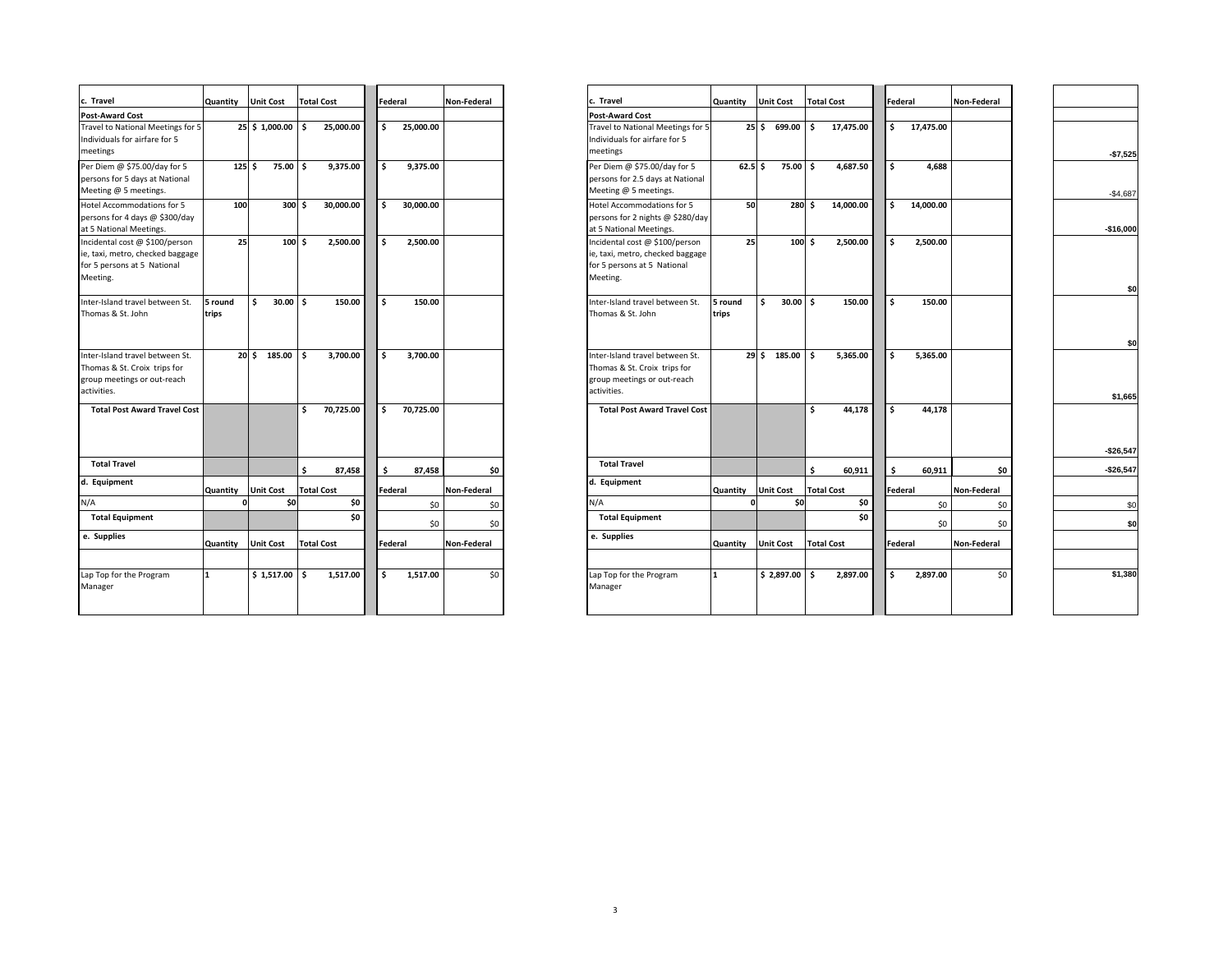| c. Travel                                                                                                     | Quantity         | <b>Unit Cost</b>  | <b>Total Cost</b> |     | Federal   | Non-Federal | c. Travel                                                                                                     | Quantity         | <b>Unit Cost</b> | <b>Total Cost</b> |           |     | Federal   | Non-Federal |
|---------------------------------------------------------------------------------------------------------------|------------------|-------------------|-------------------|-----|-----------|-------------|---------------------------------------------------------------------------------------------------------------|------------------|------------------|-------------------|-----------|-----|-----------|-------------|
| <b>Post-Award Cost</b>                                                                                        |                  |                   |                   |     |           |             | <b>Post-Award Cost</b>                                                                                        |                  |                  |                   |           |     |           |             |
| Travel to National Meetings for 5<br>Individuals for airfare for 5<br>meetings                                |                  | 25 \$ 1,000.00 \$ | 25,000.00         | \$. | 25,000.00 |             | Travel to National Meetings for 5<br>Individuals for airfare for 5<br>meetings                                | 25S              | 699.00           | \$.               | 17,475.00 | \$  | 17,475.00 |             |
| Per Diem @ \$75.00/day for 5<br>persons for 5 days at National<br>Meeting @ 5 meetings.                       | 125 <sub>5</sub> | 75.00 \$          | 9.375.00          | Ŝ.  | 9,375.00  |             | Per Diem @ \$75.00/day for 5<br>persons for 2.5 days at National<br>Meeting @ 5 meetings.                     | $62.5$ \$        | 75.00 \$         |                   | 4,687.50  | Ŝ.  | 4,688     |             |
| Hotel Accommodations for 5<br>persons for 4 days @ \$300/day<br>at 5 National Meetings.                       | 100              | 300 S             | 30,000.00         | Ŝ.  | 30,000.00 |             | Hotel Accommodations for 5<br>persons for 2 nights @ \$280/day<br>at 5 National Meetings.                     | 50               | 280S             |                   | 14,000.00 | \$  | 14,000.00 |             |
| Incidental cost @ \$100/person<br>ie, taxi, metro, checked baggage<br>for 5 persons at 5 National<br>Meeting. | 25               | 100 <sub>5</sub>  | 2,500.00          | Ś.  | 2,500.00  |             | Incidental cost @ \$100/person<br>ie, taxi, metro, checked baggage<br>for 5 persons at 5 National<br>Meeting. | 25               | $100 \text{ s}$  |                   | 2,500.00  | Ŝ.  | 2,500.00  |             |
| Inter-Island travel between St.<br>Thomas & St. John                                                          | 5 round<br>trips | Ŝ.<br>$30.00$ \$  | 150.00            | \$. | 150.00    |             | Inter-Island travel between St.<br>Thomas & St. John                                                          | 5 round<br>trips | \$<br>30.00      | Ŝ.                | 150.00    | \$  | 150.00    |             |
| Inter-Island travel between St.<br>Thomas & St. Croix trips for<br>group meetings or out-reach<br>activities. |                  | 20 S<br>185.00 \$ | 3.700.00          | \$  | 3.700.00  |             | Inter-Island travel between St.<br>Thomas & St. Croix trips for<br>group meetings or out-reach<br>activities. | 29S              | 185.00           | Ŝ.                | 5.365.00  | \$. | 5.365.00  |             |
| <b>Total Post Award Travel Cost</b>                                                                           |                  |                   | Ś.<br>70,725.00   | Ś.  | 70,725.00 |             | <b>Total Post Award Travel Cost</b>                                                                           |                  |                  | \$                | 44,178    | \$  | 44,178    |             |
| <b>Total Travel</b>                                                                                           |                  |                   | \$<br>87,458      | Ś.  | 87,458    | \$0         | <b>Total Travel</b>                                                                                           |                  |                  | \$                | 60,911    | \$  | 60,911    |             |
| d. Equipment                                                                                                  | Quantity         | <b>Unit Cost</b>  | <b>Total Cost</b> |     | Federal   | Non-Federal | d. Equipment                                                                                                  | Quantity         | <b>Unit Cost</b> | <b>Total Cost</b> |           |     | Federal   | Non-Federal |
| N/A                                                                                                           |                  | \$0               | \$0               |     | \$0       | \$0         | N/A                                                                                                           |                  | \$0              |                   | \$0       |     | \$0       |             |
| <b>Total Equipment</b>                                                                                        |                  |                   | \$0               |     | \$0       | \$0         | <b>Total Equipment</b>                                                                                        |                  |                  |                   | \$0       |     | \$0       |             |
| e. Supplies                                                                                                   | Quantity         | <b>Unit Cost</b>  | <b>Total Cost</b> |     | Federal   | Non-Federal | e. Supplies                                                                                                   | Quantity         | <b>Unit Cost</b> | <b>Total Cost</b> |           |     | Federal   | Non-Federal |
| Lap Top for the Program<br>Manager                                                                            |                  | $$1,517.00$ \$    | 1,517.00          | Ŝ.  | 1,517.00  | \$0         | Lap Top for the Program<br>Manager                                                                            |                  | $$2,897.00$ \$   |                   | 2,897.00  | \$  | 2,897.00  |             |

| c. Travel                                                                                                     | Quantity         | <b>Unit Cost</b> | <b>Total Cost</b> | Federal                          | Non-Federal | Travel                                                                                                        | Quantity         | <b>Unit Cost</b>  |                 | <b>Total Cost</b> |    | Federal        | <b>Non-Federal</b> |  |
|---------------------------------------------------------------------------------------------------------------|------------------|------------------|-------------------|----------------------------------|-------------|---------------------------------------------------------------------------------------------------------------|------------------|-------------------|-----------------|-------------------|----|----------------|--------------------|--|
| Post-Award Cost                                                                                               |                  |                  |                   |                                  |             | <b>Post-Award Cost</b>                                                                                        |                  |                   |                 |                   |    |                |                    |  |
| Travel to National Meetings for 5<br>Individuals for airfare for 5<br>meetings                                |                  | 25 \$ 1,000.00   | 25,000.00<br>۱Ś.  | Ŝ.<br>25,000.00                  |             | Travel to National Meetings for 5<br>Individuals for airfare for 5<br>meetings                                |                  | $25$ \$ 699.00 \$ |                 | 17,475.00         | s. | 17,475.00      |                    |  |
| Per Diem @ \$75.00/day for 5<br>persons for 5 days at National<br>Meeting @ 5 meetings.                       |                  | 125S<br>75.00 \$ | 9,375.00          | Ŝ.<br>9,375.00                   |             | Per Diem @ \$75.00/day for 5<br>persons for 2.5 days at National<br>Meeting @ 5 meetings.                     |                  | $62.5$ \$         | 75.00 \$        | 4,687.50          | Ŝ. | 4,688          |                    |  |
| Hotel Accommodations for 5<br>persons for 4 days @ \$300/day<br>at 5 National Meetings.                       | 100              | 300 S            | 30,000.00         | 30,000.00<br>Ŝ.                  |             | Hotel Accommodations for 5<br>persons for 2 nights @ \$280/day<br>at 5 National Meetings.                     | 50               |                   | 280 S           | 14,000.00         | Ś. | 14,000.00      |                    |  |
| Incidental cost @ \$100/person<br>ie, taxi, metro, checked baggage<br>for 5 persons at 5 National<br>Meeting. | 25               | $100 \text{ s}$  | 2,500.00          | 2,500.00<br><b>S</b>             |             | Incidental cost @ \$100/person<br>ie, taxi, metro, checked baggage<br>for 5 persons at 5 National<br>Meeting. | 25               |                   | $100 \text{ s}$ | 2,500.00          | ¢. | 2,500.00       |                    |  |
| Inter-Island travel between St.<br>Thomas & St. John                                                          | 5 round<br>trips | Ŝ.<br>$30.00$ \$ | 150.00            | <b>S</b><br>150.00               |             | nter-Island travel between St.<br>Thomas & St. John                                                           | 5 round<br>trips | l \$              | $30.00$ \$      | 150.00            | Ś. | 150.00         |                    |  |
| Inter-Island travel between St.<br>Thomas & St. Croix trips for<br>group meetings or out-reach<br>activities. |                  | 185.00<br>20 S   | 3,700.00<br>- Ś   | 3,700.00<br>$\ddot{\phantom{1}}$ |             | Inter-Island travel between St.<br>Thomas & St. Croix trips for<br>group meetings or out-reach<br>activities. |                  | 29 \$ 185.00      | l s             | 5,365.00          | Ŝ. | 5,365.00       |                    |  |
| <b>Total Post Award Travel Cost</b>                                                                           |                  |                  | 70,725.00<br>¢,   | \$<br>70,725.00                  |             | <b>Total Post Award Travel Cost</b>                                                                           |                  |                   |                 | 44,178            | ¢. | 44,178         |                    |  |
| <b>Total Travel</b>                                                                                           |                  |                  | \$<br>87,458      | 87,458<br>Ŝ                      | \$0         | <b>Total Travel</b>                                                                                           |                  |                   |                 | \$<br>60,911      | Ś. | 60.911         | \$0                |  |
| d. Equipment                                                                                                  | Quantity         | <b>Unit Cost</b> | <b>Total Cost</b> | Federal                          | Non-Federal | Equipment                                                                                                     | Quantity         | <b>Unit Cost</b>  |                 | <b>Total Cost</b> |    | Federal        | <b>Non-Federal</b> |  |
| N/A                                                                                                           |                  | \$0              | \$0               | \$0                              | \$0         | N/A                                                                                                           |                  |                   | \$0             | \$0               |    | \$0            | \$0                |  |
| <b>Total Equipment</b>                                                                                        |                  |                  | \$0               | \$0                              | \$0         | <b>Total Equipment</b>                                                                                        |                  |                   |                 | \$0               |    | \$0            | \$0                |  |
| e. Supplies                                                                                                   | Quantity         | <b>Unit Cost</b> | <b>Total Cost</b> | Federal                          | Non-Federal | e. Supplies                                                                                                   | Quantity         | <b>Unit Cost</b>  |                 | <b>Total Cost</b> |    | <b>Federal</b> | <b>Non-Federal</b> |  |
| Lap Top for the Program<br>Manager                                                                            | $\mathbf{1}$     | \$1,517.00       | 1,517.00<br>۱s    | Ŝ.<br>1,517.00                   | \$0         | Lap Top for the Program<br>Manager                                                                            | $\mathbf{1}$     | \$2,897.00        | Ŝ               | 2,897.00          | Ś. | 2,897.00       | \$0                |  |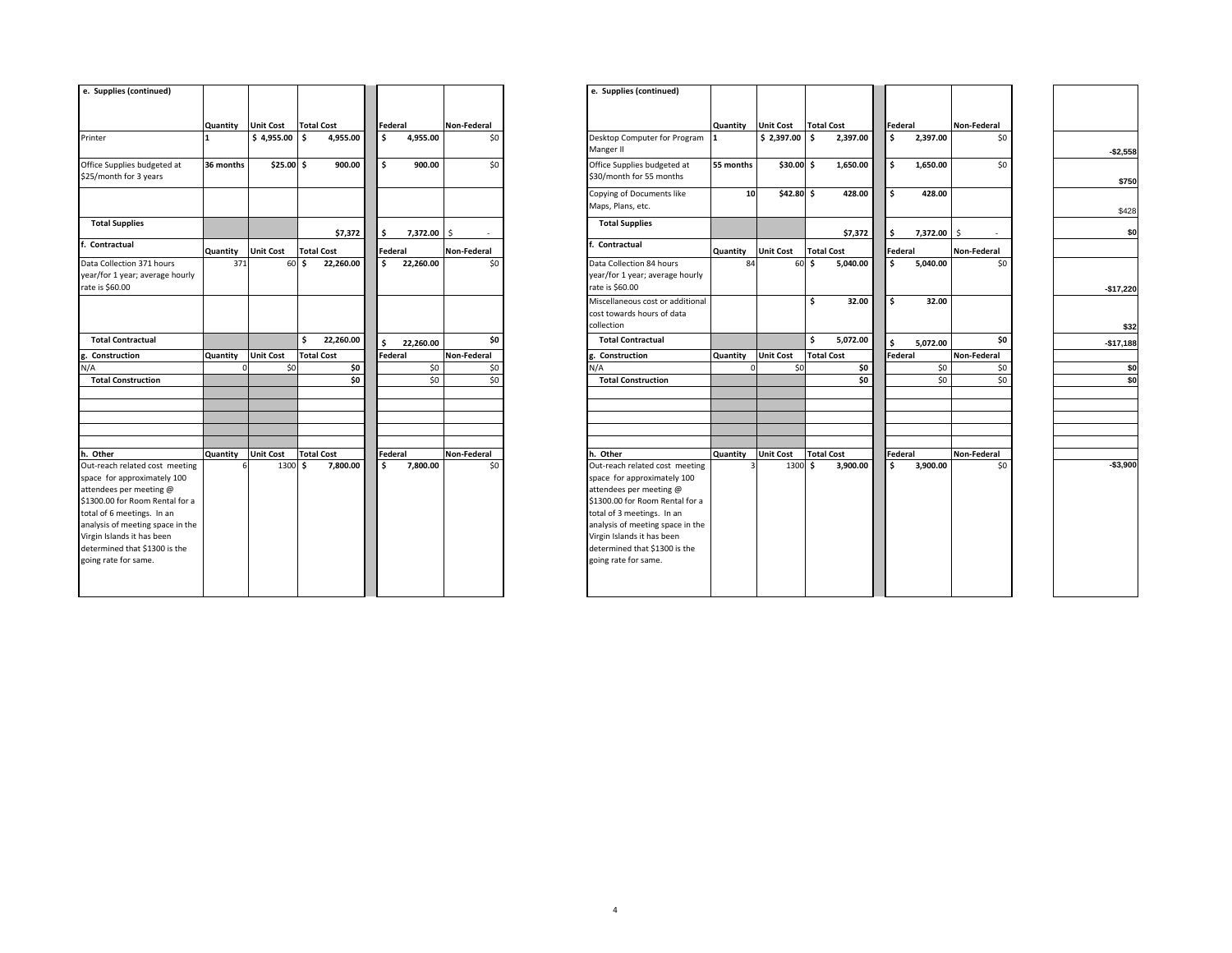| e. Supplies (continued)                                                                                                                                                                                                                                                              |           |                  |                   |         |           |             | e. Supplies (continued)                                                                                                                                                                                                                                                              |                    |                  |                   |          |                         |          |             |
|--------------------------------------------------------------------------------------------------------------------------------------------------------------------------------------------------------------------------------------------------------------------------------------|-----------|------------------|-------------------|---------|-----------|-------------|--------------------------------------------------------------------------------------------------------------------------------------------------------------------------------------------------------------------------------------------------------------------------------------|--------------------|------------------|-------------------|----------|-------------------------|----------|-------------|
|                                                                                                                                                                                                                                                                                      | Quantity  | <b>Unit Cost</b> | <b>Total Cost</b> | Federal |           | Non-Federal |                                                                                                                                                                                                                                                                                      | Quantity Unit Cost |                  | <b>Total Cost</b> |          | Federal                 |          | Non-Federal |
| Printer                                                                                                                                                                                                                                                                              | 1         | \$4,955.00       | 4,955.00<br>l s   | \$      | 4,955.00  | \$0         | Desktop Computer for Program<br>$\mathbf{1}$<br>Manger II                                                                                                                                                                                                                            |                    | \$2,397.00       | \$                | 2,397.00 | $\overline{\mathsf{s}}$ | 2,397.00 |             |
| Office Supplies budgeted at<br>\$25/month for 3 years                                                                                                                                                                                                                                | 36 months | \$25.00\$        | 900.00            | Ŝ.      | 900.00    | \$0         | Office Supplies budgeted at<br>\$30/month for 55 months                                                                                                                                                                                                                              | 55 months          | $$30.00$ \$      |                   | 1,650.00 | \$                      | 1.650.00 |             |
|                                                                                                                                                                                                                                                                                      |           |                  |                   |         |           |             | Copying of Documents like<br>Maps, Plans, etc.                                                                                                                                                                                                                                       | 10                 | $$42.80$ \$      |                   | 428.00   | \$                      | 428.00   |             |
| <b>Total Supplies</b>                                                                                                                                                                                                                                                                |           |                  | \$7,372           | \$.     | 7,372.00  |             | <b>Total Supplies</b>                                                                                                                                                                                                                                                                |                    |                  |                   | \$7,372  | \$                      | 7,372.00 |             |
| f. Contractual                                                                                                                                                                                                                                                                       | Quantity  | <b>Unit Cost</b> | <b>Total Cost</b> | Federal |           | Non-Federal | Contractual                                                                                                                                                                                                                                                                          | Quantity           | <b>Unit Cost</b> | <b>Total Cost</b> |          | Federal                 |          | Non-Federal |
| Data Collection 371 hours<br>year/for 1 year; average hourly<br>rate is \$60.00                                                                                                                                                                                                      | 371       |                  | 60S<br>22,260.00  | \$      | 22,260.00 | \$0         | Data Collection 84 hours<br>year/for 1 year; average hourly<br>rate is \$60.00                                                                                                                                                                                                       | 84                 | 60               | \$                | 5,040.00 | Ś.                      | 5,040.00 |             |
|                                                                                                                                                                                                                                                                                      |           |                  |                   |         |           |             | Miscellaneous cost or additional<br>cost towards hours of data<br>collection                                                                                                                                                                                                         |                    |                  | \$                | 32.00    | \$                      | 32.00    |             |
| <b>Total Contractual</b>                                                                                                                                                                                                                                                             |           |                  | 22,260.00<br>\$   | Ś       | 22,260.00 | \$0         | <b>Total Contractual</b>                                                                                                                                                                                                                                                             |                    |                  | \$                | 5,072.00 | \$.                     | 5,072.00 |             |
| g. Construction                                                                                                                                                                                                                                                                      | Quantity  | <b>Unit Cost</b> | <b>Total Cost</b> | Federal |           | Non-Federal | g. Construction                                                                                                                                                                                                                                                                      | Quantity           | <b>Unit Cost</b> | <b>Total Cost</b> |          | <b>Federal</b>          |          | Non-Federal |
| N/A                                                                                                                                                                                                                                                                                  |           | \$0              | \$0               |         | \$0       | \$0         | N/A                                                                                                                                                                                                                                                                                  |                    | \$0              |                   | \$0      |                         | \$0      |             |
| <b>Total Construction</b>                                                                                                                                                                                                                                                            |           |                  | \$0               |         | \$0       | \$0         | <b>Total Construction</b>                                                                                                                                                                                                                                                            |                    |                  |                   | \$0      |                         | \$0      |             |
|                                                                                                                                                                                                                                                                                      |           |                  |                   |         |           |             |                                                                                                                                                                                                                                                                                      |                    |                  |                   |          |                         |          |             |
| h. Other                                                                                                                                                                                                                                                                             | Quantity  | <b>Unit Cost</b> | <b>Total Cost</b> | Federal |           | Non-Federal | h. Other                                                                                                                                                                                                                                                                             | Quantity           | <b>Unit Cost</b> | <b>Total Cost</b> |          | Federal                 |          | Non-Federal |
| Out-reach related cost meeting<br>space for approximately 100<br>attendees per meeting @<br>\$1300.00 for Room Rental for a<br>total of 6 meetings. In an<br>analysis of meeting space in the<br>Virgin Islands it has been<br>determined that \$1300 is the<br>going rate for same. |           | 1300 \$          | 7.800.00          | Ś.      | 7.800.00  | \$0         | Out-reach related cost meeting<br>space for approximately 100<br>attendees per meeting @<br>\$1300.00 for Room Rental for a<br>total of 3 meetings. In an<br>analysis of meeting space in the<br>Virgin Islands it has been<br>determined that \$1300 is the<br>going rate for same. |                    | 1300             | \$                | 3,900.00 | \$.                     | 3,900.00 |             |

| e. Supplies (continued)                                                                                                                                                                                                                                                              |                           |                         |                          |              |                |                    | e. Supplies (continued)                                                                                                                                                                                                                                                              |           |                         |                          |    |                |                    |            |
|--------------------------------------------------------------------------------------------------------------------------------------------------------------------------------------------------------------------------------------------------------------------------------------|---------------------------|-------------------------|--------------------------|--------------|----------------|--------------------|--------------------------------------------------------------------------------------------------------------------------------------------------------------------------------------------------------------------------------------------------------------------------------------|-----------|-------------------------|--------------------------|----|----------------|--------------------|------------|
|                                                                                                                                                                                                                                                                                      |                           |                         |                          |              |                |                    |                                                                                                                                                                                                                                                                                      |           |                         |                          |    |                |                    |            |
|                                                                                                                                                                                                                                                                                      | <b>Quantity</b> Unit Cost |                         | <b>Total Cost</b>        |              | Federal        | Non-Federal        |                                                                                                                                                                                                                                                                                      | Quantity  | <b>Unit Cost</b>        | <b>Total Cost</b>        |    | Federal        | Non-Federal        |            |
| Printer                                                                                                                                                                                                                                                                              |                           | \$4,955.00              | 4,955.00                 | Ŝ.           | 4,955.00       | \$0                | Desktop Computer for Program<br>Manger II                                                                                                                                                                                                                                            |           | \$2,397.00              | 2,397.00                 | Ŝ. | 2,397.00       | \$0                | $-$2,558$  |
| Office Supplies budgeted at<br>\$25/month for 3 years                                                                                                                                                                                                                                | 36 months                 | $$25.00$ \$             | 900.00                   | -Ś.          | 900.00         | \$0                | Office Supplies budgeted at<br>\$30/month for 55 months                                                                                                                                                                                                                              | 55 months | $$30.00$ \$             | 1,650.00                 | s. | 1,650.00       | \$0                | \$750      |
|                                                                                                                                                                                                                                                                                      |                           |                         |                          |              |                |                    | Copying of Documents like<br>Maps, Plans, etc.                                                                                                                                                                                                                                       | 10        | $$42.80$ \$             | 428.00                   | s. | 428.00         |                    | \$428      |
| <b>Total Supplies</b>                                                                                                                                                                                                                                                                |                           |                         | \$7,372                  | s.           | 7,372.00       | Ś                  | <b>Total Supplies</b>                                                                                                                                                                                                                                                                |           |                         | \$7,372                  | Ŝ. | 7,372.00       | \$.                | \$0        |
| f. Contractual                                                                                                                                                                                                                                                                       | Quantity                  | <b>Unit Cost</b>        | <b>Total Cost</b>        |              | Federal        | Non-Federal        | Contractual                                                                                                                                                                                                                                                                          | Quantity  | <b>Unit Cost</b>        | <b>Total Cost</b>        |    | Federal        | Non-Federal        |            |
| Data Collection 371 hours<br>year/for 1 year; average hourly<br>rate is \$60.00                                                                                                                                                                                                      | 371                       |                         | 60 \$<br>22,260.00       | Ŝ.           | 22,260.00      | \$0                | Data Collection 84 hours<br>year/for 1 year; average hourly<br>rate is \$60.00                                                                                                                                                                                                       | 84        |                         | 60 \$<br>5,040.00        | Ŝ. | 5,040.00       | ςυ                 | $-$17,220$ |
|                                                                                                                                                                                                                                                                                      |                           |                         |                          |              |                |                    | Miscellaneous cost or additional<br>cost towards hours of data<br>collection                                                                                                                                                                                                         |           |                         | Ŝ.<br>32.00              | Ŝ. | 32.00          |                    |            |
| <b>Total Contractual</b>                                                                                                                                                                                                                                                             |                           |                         | 22,260.00<br>Ŝ.          |              |                | \$0                | <b>Total Contractual</b>                                                                                                                                                                                                                                                             |           |                         | 5,072.00<br>Ŝ.           |    |                | \$0                | \$32       |
|                                                                                                                                                                                                                                                                                      |                           |                         |                          | $\mathsf{s}$ | 22,260.00      |                    |                                                                                                                                                                                                                                                                                      |           |                         |                          |    | 5,072.00       |                    | $-$17,188$ |
| g. Construction<br>N/A                                                                                                                                                                                                                                                               | Quantity                  | <b>Unit Cost</b><br>\$0 | <b>Total Cost</b><br>\$0 |              | Federal<br>\$0 | Non-Federal<br>\$0 | . Construction<br>۷/A                                                                                                                                                                                                                                                                | Quantity  | <b>Unit Cost</b><br>\$0 | <b>Total Cost</b><br>\$0 |    | Federal<br>\$0 | Non-Federal<br>\$0 | \$0        |
| <b>Total Construction</b>                                                                                                                                                                                                                                                            |                           |                         | \$0                      |              | \$0            | \$0                | <b>Total Construction</b>                                                                                                                                                                                                                                                            |           |                         | \$0                      |    | \$0            | \$0                | \$0        |
|                                                                                                                                                                                                                                                                                      |                           |                         |                          |              |                |                    |                                                                                                                                                                                                                                                                                      |           |                         |                          |    |                |                    |            |
|                                                                                                                                                                                                                                                                                      |                           |                         |                          |              |                |                    |                                                                                                                                                                                                                                                                                      |           |                         |                          |    |                |                    |            |
| h. Other                                                                                                                                                                                                                                                                             | Quantity                  | <b>Unit Cost</b>        | <b>Total Cost</b>        |              | Federal        | Non-Federal        | h. Other                                                                                                                                                                                                                                                                             | Quantity  | <b>Unit Cost</b>        | <b>Total Cost</b>        |    | Federal        | Non-Federal        |            |
| Out-reach related cost meeting<br>space for approximately 100<br>attendees per meeting @<br>\$1300.00 for Room Rental for a<br>total of 6 meetings. In an<br>analysis of meeting space in the<br>Virgin Islands it has been<br>determined that \$1300 is the<br>going rate for same. |                           | 1300                    | l s<br>7.800.00          | Ŝ.           | 7.800.00       | \$0                | Out-reach related cost meeting<br>space for approximately 100<br>attendees per meeting @<br>\$1300.00 for Room Rental for a<br>total of 3 meetings. In an<br>analysis of meeting space in the<br>Virgin Islands it has been<br>determined that \$1300 is the<br>going rate for same. |           | 1300 \$                 | 3.900.00                 | Ŝ. | 3.900.00       | 50                 | $-$3,900$  |
|                                                                                                                                                                                                                                                                                      |                           |                         |                          |              |                |                    |                                                                                                                                                                                                                                                                                      |           |                         |                          |    |                |                    |            |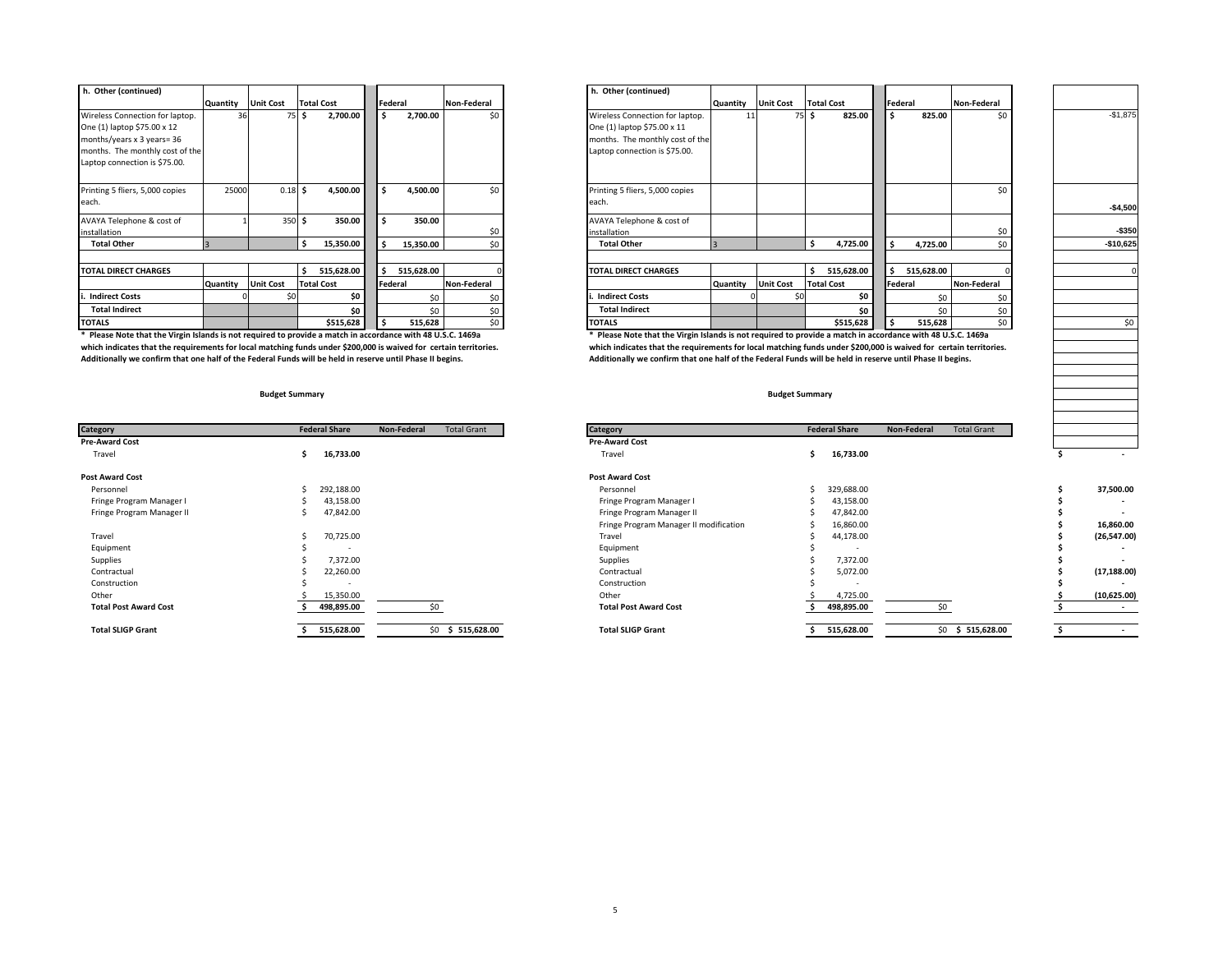| h. Other (continued)            |          |                  |                   |            |            |             | h. Other (continued)            |          |                  |   |                   |                |            |             |
|---------------------------------|----------|------------------|-------------------|------------|------------|-------------|---------------------------------|----------|------------------|---|-------------------|----------------|------------|-------------|
|                                 | Quantity | <b>Unit Cost</b> | <b>Total Cost</b> |            | Federal    | Non-Federal |                                 | Quantity | <b>Unit Cost</b> |   | <b>Total Cost</b> | Federal        |            | Non-Federal |
| Wireless Connection for laptop. | 36       |                  | 75 S              | 2,700.00   | 2,700.00   | \$0         | Wireless Connection for laptop. | 11       | $75$ !           |   | 825.00            |                | 825.00     | \$C         |
| One (1) laptop \$75.00 x 12     |          |                  |                   |            |            |             | One (1) laptop \$75.00 x 11     |          |                  |   |                   |                |            |             |
| months/years x 3 years= 36      |          |                  |                   |            |            |             | months. The monthly cost of the |          |                  |   |                   |                |            |             |
| months. The monthly cost of the |          |                  |                   |            |            |             | Laptop connection is \$75.00.   |          |                  |   |                   |                |            |             |
| Laptop connection is \$75.00.   |          |                  |                   |            |            |             |                                 |          |                  |   |                   |                |            |             |
|                                 |          |                  |                   |            |            |             |                                 |          |                  |   |                   |                |            |             |
| Printing 5 fliers, 5,000 copies | 25000    | $0.18$ \$        |                   | 4,500.00   | 4,500.00   | \$0         | Printing 5 fliers, 5,000 copies |          |                  |   |                   |                |            | \$C         |
| each.                           |          |                  |                   |            |            |             | each.                           |          |                  |   |                   |                |            |             |
| AVAYA Telephone & cost of       |          | 350 \$           |                   | 350.00     | 350.00     |             | AVAYA Telephone & cost of       |          |                  |   |                   |                |            |             |
| installation                    |          |                  |                   |            |            | \$0         | installation                    |          |                  |   |                   |                |            | \$C         |
| <b>Total Other</b>              |          |                  |                   | 15,350.00  | 15,350.00  | \$0         | <b>Total Other</b>              |          |                  |   | 4,725.00          |                | 4,725.00   | \$C         |
|                                 |          |                  |                   |            |            |             |                                 |          |                  |   |                   |                |            |             |
| <b>TOTAL DIRECT CHARGES</b>     |          |                  |                   | 515,628.00 | 515,628.00 |             | <b>TOTAL DIRECT CHARGES</b>     |          |                  | Ŝ | 515,628.00        |                | 515,628.00 |             |
|                                 | Quantity | <b>Unit Cost</b> | <b>Total Cost</b> |            | Federal    | Non-Federal |                                 | Quantity | <b>Unit Cost</b> |   | <b>Total Cost</b> | <b>Federal</b> |            | Non-Federal |
| i. Indirect Costs               |          |                  |                   | \$O        | \$0        | Śſ          | <b>Indirect Costs</b>           |          |                  |   | \$O               |                | \$0        | \$C         |
| <b>Total Indirect</b>           |          |                  |                   | \$0        | \$0        | \$0         | <b>Total Indirect</b>           |          |                  |   | \$0               |                | \$0        | \$C         |
| <b>TOTALS</b>                   |          |                  |                   | \$515,628  | 515,628    | \$0         | <b>TOTALS</b>                   |          |                  |   | \$515,628         |                | 515,628    | \$C         |

\* Please Note that the Virgin Islands is not required to provide a match in accordance with 48 U.S.C. 1469a<br>Which indicates that the requirements for local matching funds under \$200,000 is waived for certain territories. W which indicates that the requirements for local matching funds under \$200,000 is waived for certain territories.<br>Additionally we confirm that one half of the Federal Funds will be held in reserve until Phase II begins.<br>Add

| Category                     | <b>Federal Share</b>     | <b>Total Grant</b><br>Non-Federal | <b>Category</b>                        | <b>Federal Share</b>     | Non-Federal | <b>Total Grant</b> |
|------------------------------|--------------------------|-----------------------------------|----------------------------------------|--------------------------|-------------|--------------------|
| <b>Pre-Award Cost</b>        |                          |                                   | <b>Pre-Award Cost</b>                  |                          |             |                    |
| Travel                       | 16,733.00                |                                   | Travel                                 | 16,733.00                |             |                    |
| <b>Post Award Cost</b>       |                          |                                   | <b>Post Award Cost</b>                 |                          |             |                    |
| Personnel                    | 292,188.00               |                                   | Personnel                              | 329,688.00               |             |                    |
| Fringe Program Manager I     | 43,158.00                |                                   | Fringe Program Manager I               | 43,158.00                |             |                    |
| Fringe Program Manager II    | 47,842.00                |                                   | Fringe Program Manager II              | 47,842.00                |             |                    |
|                              |                          |                                   | Fringe Program Manager II modification | 16,860.00                |             |                    |
| Travel                       | 70,725.00                |                                   | Travel                                 | 44,178.00                |             |                    |
| Equipment                    | $\overline{\phantom{a}}$ |                                   | Equipment                              | $\overline{\phantom{a}}$ |             |                    |
| Supplies                     | 7.372.00                 |                                   | Supplies                               | 7,372.00                 |             |                    |
| Contractual                  | 22,260.00                |                                   | Contractual                            | 5,072.00                 |             |                    |
| Construction                 | . .                      |                                   | Construction                           | $\overline{\phantom{a}}$ |             |                    |
| Other                        | 15,350.00                |                                   | Other                                  | 4,725.00                 |             |                    |
| <b>Total Post Award Cost</b> | 498,895.00               |                                   | <b>Total Post Award Cost</b>           | 498,895.00               |             |                    |
| <b>Total SLIGP Grant</b>     | 515,628.00               | \$0 \$ 515,628.00                 | <b>Total SLIGP Grant</b>               | 515,628.00               |             | $$0$ \$ 515,628    |

| h. Other (continued)            |          |                               |                   |            |                 | . Other (continued)             |          |                    |                   |            |             |            |
|---------------------------------|----------|-------------------------------|-------------------|------------|-----------------|---------------------------------|----------|--------------------|-------------------|------------|-------------|------------|
|                                 |          | Quantity Unit Cost Total Cost |                   | Federal    | Non-Federal     |                                 |          | Quantity Unit Cost | <b>Total Cost</b> | Federal    | Non-Federal |            |
| Wireless Connection for laptop. |          | 75 S                          | 2,700.00          | 2,700.00   | \$0             | Wireless Connection for laptop. |          |                    | 825.00            | 825.00     | \$0         | $-$1,875$  |
| One (1) laptop \$75.00 x 12     |          |                               |                   |            |                 | One (1) laptop \$75.00 x 11     |          |                    |                   |            |             |            |
| months/years x 3 years= 36      |          |                               |                   |            |                 | months. The monthly cost of the |          |                    |                   |            |             |            |
| months. The monthly cost of the |          |                               |                   |            |                 | Laptop connection is \$75.00.   |          |                    |                   |            |             |            |
| Laptop connection is \$75.00.   |          |                               |                   |            |                 |                                 |          |                    |                   |            |             |            |
|                                 |          |                               |                   |            |                 |                                 |          |                    |                   |            |             |            |
| Printing 5 fliers, 5,000 copies | 25000    | $0.18$ \$                     | 4,500.00          | 4,500.00   | \$0             | Printing 5 fliers, 5,000 copies |          |                    |                   |            | \$0         |            |
| each.                           |          |                               |                   |            |                 | each                            |          |                    |                   |            |             | $-$4,500$  |
|                                 |          |                               |                   |            |                 |                                 |          |                    |                   |            |             |            |
| AVAYA Telephone & cost of       |          | 350S                          | 350.00            | 350.00     |                 | AVAYA Telephone & cost of       |          |                    |                   |            |             |            |
| installation                    |          |                               |                   |            | \$0             | nstallation                     |          |                    |                   |            | \$0.        | $-$350$    |
| <b>Total Other</b>              |          |                               | 15,350.00         | 15,350.00  | \$0             | <b>Total Other</b>              |          |                    | 4,725.00          | 4,725.00   | \$0         | $-$10,625$ |
|                                 |          |                               |                   |            |                 |                                 |          |                    |                   |            |             |            |
| <b>TOTAL DIRECT CHARGES</b>     |          |                               | 515,628.00        | 515,628.00 |                 | <b>TOTAL DIRECT CHARGES</b>     |          |                    | 515,628.00        | 515,628.00 |             |            |
|                                 | Quantity | <b>Unit Cost</b>              | <b>Total Cost</b> | Federal    | Non-Federal     |                                 | Quantity | <b>Unit Cost</b>   | <b>Total Cost</b> | Federal    | Non-Federal |            |
| <b>Indirect Costs</b>           |          |                               | \$0               | \$0        |                 | <b>Indirect Costs</b>           |          |                    | \$0               | \$0        |             |            |
| <b>Total Indirect</b>           |          |                               | \$0               | \$0        | \$0             | <b>Total Indirect</b>           |          |                    | \$0               | \$0        | \$0         |            |
| <b>TOTALS</b>                   |          |                               | \$515,628         | 515,628    | 50 <sub>1</sub> | <b>TOTALS</b>                   |          |                    | \$515,628         | 515,628    | \$0         | \$0        |
|                                 |          |                               |                   |            |                 |                                 |          |                    |                   |            |             |            |

Additionally we confirm that one half of the Federal Funds will be held in reserve until Phase II begins.

#### **Budget Summary Budget Summary**

| Category                     | <b>Federal Share</b> | Non-Federal<br><b>Total Grant</b> | Category                               | <b>Federal Share</b> | <b>Total Grant</b><br>Non-Federal |                          |
|------------------------------|----------------------|-----------------------------------|----------------------------------------|----------------------|-----------------------------------|--------------------------|
| Pre-Award Cost               |                      |                                   | <b>Pre-Award Cost</b>                  |                      |                                   |                          |
| Travel                       | 16,733.00            |                                   | Travel                                 | 16,733.00<br>ь       |                                   | $\sim$                   |
| Post Award Cost              |                      |                                   | <b>Post Award Cost</b>                 |                      |                                   |                          |
| Personnel                    | 292,188.00           |                                   | Personnel                              | 329,688.00           |                                   | 37,500.00                |
| Fringe Program Manager I     | 43,158.00            |                                   | Fringe Program Manager I               | 43,158.00            |                                   | $\overline{\phantom{a}}$ |
| Fringe Program Manager II    | 47,842.00            |                                   | Fringe Program Manager II              | 47,842.00            |                                   | $\overline{\phantom{a}}$ |
|                              |                      |                                   | Fringe Program Manager II modification | 16,860.00            |                                   | 16,860.00                |
| Travel                       | 70,725.00            |                                   | Travel                                 | 44,178.00            |                                   | (26, 547.00)             |
| Equipment                    |                      |                                   | Equipment                              |                      |                                   |                          |
| Supplies                     | 7,372.00             |                                   | Supplies                               | 7,372.00             |                                   | $\sim$                   |
| Contractual                  | 22,260.00            |                                   | Contractual                            | 5,072.00             |                                   | (17, 188.00)             |
| Construction                 |                      |                                   | Construction                           |                      |                                   |                          |
| Other                        | 15,350.00            |                                   | Other                                  | 4,725.00             |                                   | (10, 625.00)             |
| <b>Total Post Award Cost</b> | 498,895.00           |                                   | <b>Total Post Award Cost</b>           | 498,895.00           |                                   | $\overline{\phantom{a}}$ |
| <b>Total SLIGP Grant</b>     | 515,628.00           | $$0$ \$ 515,628.00                | <b>Total SLIGP Grant</b>               | 515,628.00           | $$0$ \$ 515,628.00                | $\sim$                   |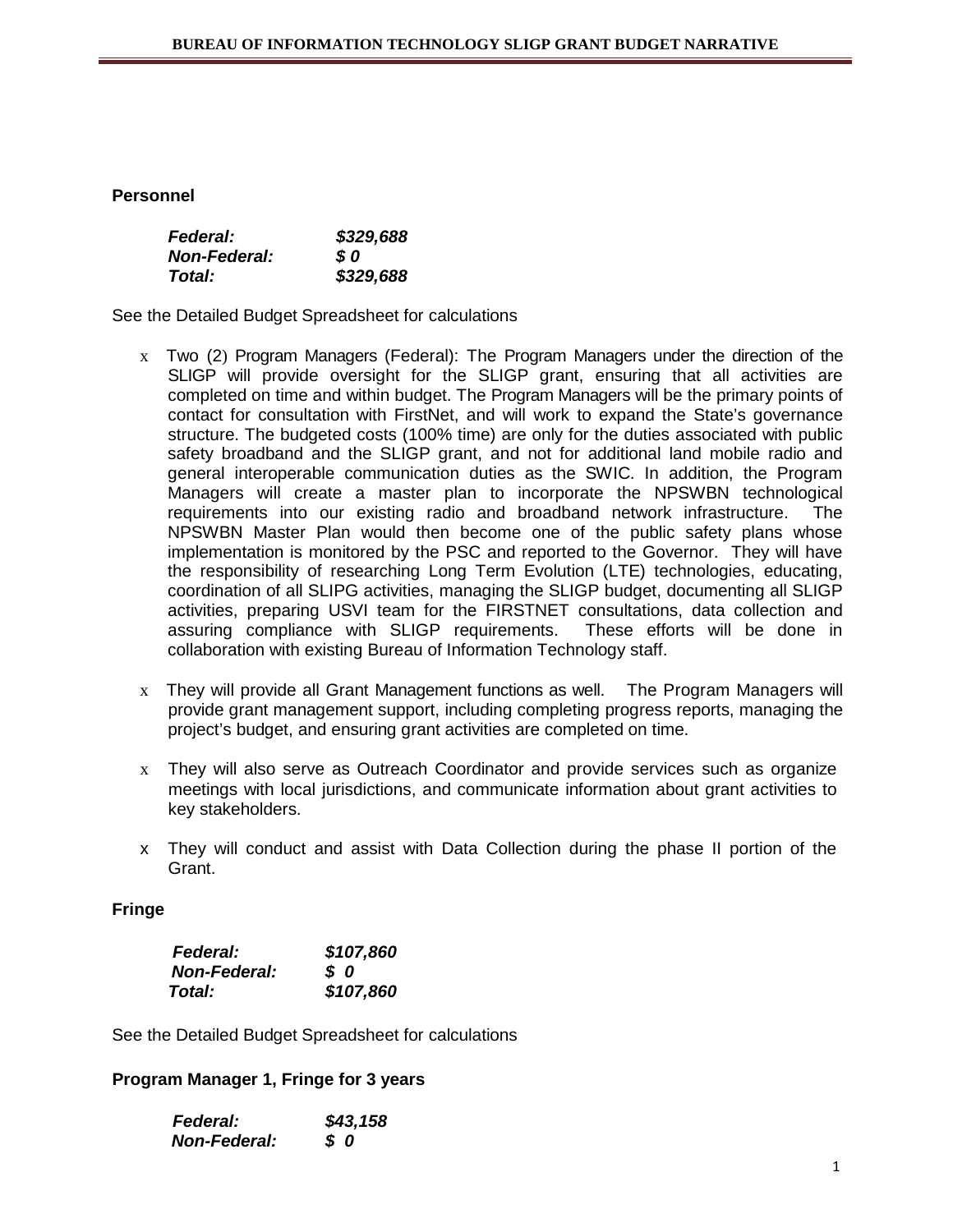# **Personnel**

| <b>Federal:</b>     | \$329,688 |
|---------------------|-----------|
| <b>Non-Federal:</b> | S 0       |
| Total:              | \$329,688 |

See the Detailed Budget Spreadsheet for calculations

- x Two (2) Program Managers (Federal): The Program Managers under the direction of the SLIGP will provide oversight for the SLIGP grant, ensuring that all activities are completed on time and within budget. The Program Managers will be the primary points of contact for consultation with FirstNet, and will work to expand the State's governance structure. The budgeted costs (100% time) are only for the duties associated with public safety broadband and the SLIGP grant, and not for additional land mobile radio and general interoperable communication duties as the SWIC. In addition, the Program Managers will create a master plan to incorporate the NPSWBN technological requirements into our existing radio and broadband network infrastructure. The NPSWBN Master Plan would then become one of the public safety plans whose implementation is monitored by the PSC and reported to the Governor. They will have the responsibility of researching Long Term Evolution (LTE) technologies, educating, coordination of all SLIPG activities, managing the SLIGP budget, documenting all SLIGP activities, preparing USVI team for the FIRSTNET consultations, data collection and assuring compliance with SLIGP requirements. These efforts will be done in collaboration with existing Bureau of Information Technology staff.
- x They will provide all Grant Management functions as well. The Program Managers will provide grant management support, including completing progress reports, managing the project's budget, and ensuring grant activities are completed on time.
- $x$  They will also serve as Outreach Coordinator and provide services such as organize meetings with local jurisdictions, and communicate information about grant activities to key stakeholders.
- x They will conduct and assist with Data Collection during the phase II portion of the Grant.

## **Fringe**

| <b>Federal:</b>     | \$107,860 |
|---------------------|-----------|
| <b>Non-Federal:</b> | SO.       |
| Total:              | \$107,860 |

See the Detailed Budget Spreadsheet for calculations

## **Program Manager 1, Fringe for 3 years**

| <b>Federal:</b>     | \$43,158  |
|---------------------|-----------|
| <b>Non-Federal:</b> | <b>SO</b> |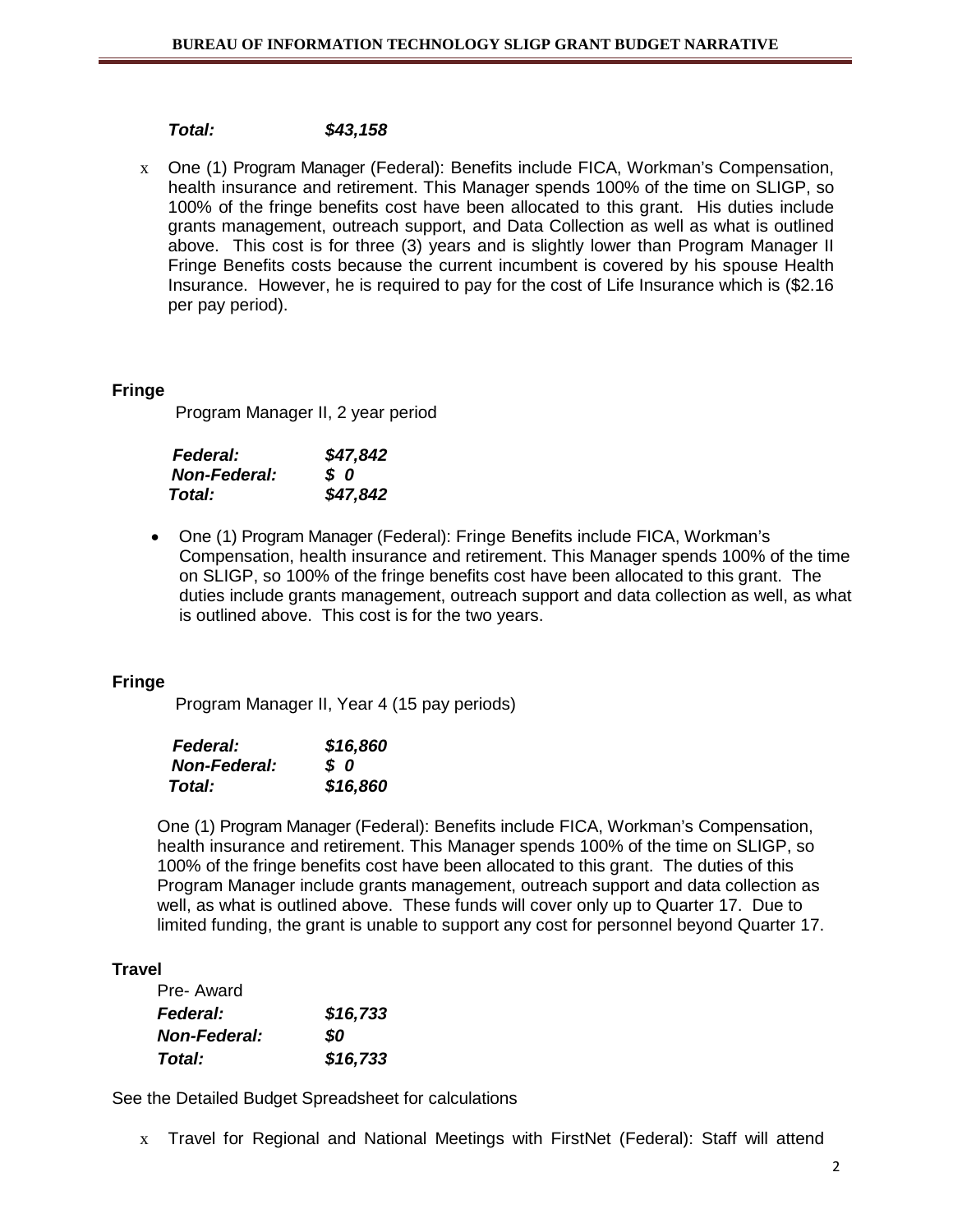# *Total: \$43,158*

x One (1) Program Manager (Federal): Benefits include FICA, Workman's Compensation, health insurance and retirement. This Manager spends 100% of the time on SLIGP, so 100% of the fringe benefits cost have been allocated to this grant. His duties include grants management, outreach support, and Data Collection as well as what is outlined above. This cost is for three (3) years and is slightly lower than Program Manager II Fringe Benefits costs because the current incumbent is covered by his spouse Health Insurance. However, he is required to pay for the cost of Life Insurance which is (\$2.16 per pay period).

## **Fringe**

Program Manager II, 2 year period

| <b>Federal:</b>     | \$47,842 |
|---------------------|----------|
| <b>Non-Federal:</b> | s o      |
| Total:              | \$47,842 |

• One (1) Program Manager (Federal): Fringe Benefits include FICA, Workman's Compensation, health insurance and retirement. This Manager spends 100% of the time on SLIGP, so 100% of the fringe benefits cost have been allocated to this grant. The duties include grants management, outreach support and data collection as well, as what is outlined above. This cost is for the two years.

## **Fringe**

Program Manager II, Year 4 (15 pay periods)

| <b>Federal:</b>     | \$16,860 |
|---------------------|----------|
| <b>Non-Federal:</b> | s o      |
| Total:              | \$16,860 |

One (1) Program Manager (Federal): Benefits include FICA, Workman's Compensation, health insurance and retirement. This Manager spends 100% of the time on SLIGP, so 100% of the fringe benefits cost have been allocated to this grant. The duties of this Program Manager include grants management, outreach support and data collection as well, as what is outlined above. These funds will cover only up to Quarter 17. Due to limited funding, the grant is unable to support any cost for personnel beyond Quarter 17.

## **Travel**

| Pre-Award           |          |
|---------------------|----------|
| <b>Federal:</b>     | \$16,733 |
| <b>Non-Federal:</b> | SO       |
| Total:              | \$16,733 |

See the Detailed Budget Spreadsheet for calculations

x Travel for Regional and National Meetings with FirstNet (Federal): Staff will attend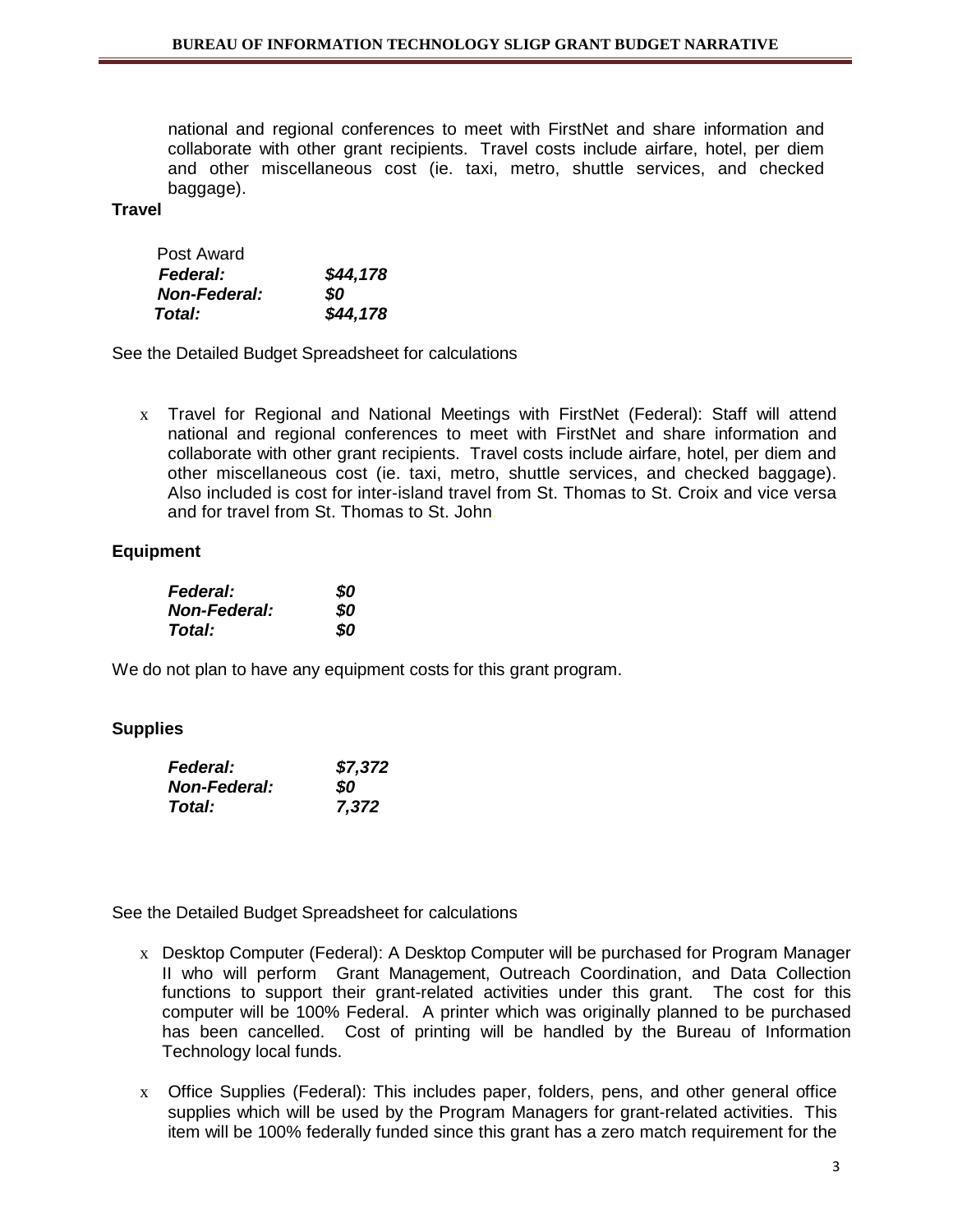national and regional conferences to meet with FirstNet and share information and collaborate with other grant recipients. Travel costs include airfare, hotel, per diem and other miscellaneous cost (ie. taxi, metro, shuttle services, and checked baggage).

#### **Travel**

| Post Award          |          |
|---------------------|----------|
| <b>Federal:</b>     | \$44,178 |
| <b>Non-Federal:</b> | SO.      |
| Total:              | \$44,178 |

See the Detailed Budget Spreadsheet for calculations

x Travel for Regional and National Meetings with FirstNet (Federal): Staff will attend national and regional conferences to meet with FirstNet and share information and collaborate with other grant recipients. Travel costs include airfare, hotel, per diem and other miscellaneous cost (ie. taxi, metro, shuttle services, and checked baggage). Also included is cost for inter-island travel from St. Thomas to St. Croix and vice versa and for travel from St. Thomas to St. John.

## **Equipment**

| <b>Federal:</b>     | \$0 |
|---------------------|-----|
| <b>Non-Federal:</b> | 80  |
| Total:              | 80  |

We do not plan to have any equipment costs for this grant program.

## **Supplies**

| <b>Federal:</b>     | \$7,372 |
|---------------------|---------|
| <b>Non-Federal:</b> | SO.     |
| <b>Total:</b>       | 7,372   |

See the Detailed Budget Spreadsheet for calculations

- x Desktop Computer (Federal): A Desktop Computer will be purchased for Program Manager II who will perform Grant Management, Outreach Coordination, and Data Collection functions to support their grant-related activities under this grant. The cost for this computer will be 100% Federal. A printer which was originally planned to be purchased has been cancelled. Cost of printing will be handled by the Bureau of Information Technology local funds.
- x Office Supplies (Federal): This includes paper, folders, pens, and other general office supplies which will be used by the Program Managers for grant-related activities. This item will be 100% federally funded since this grant has a zero match requirement for the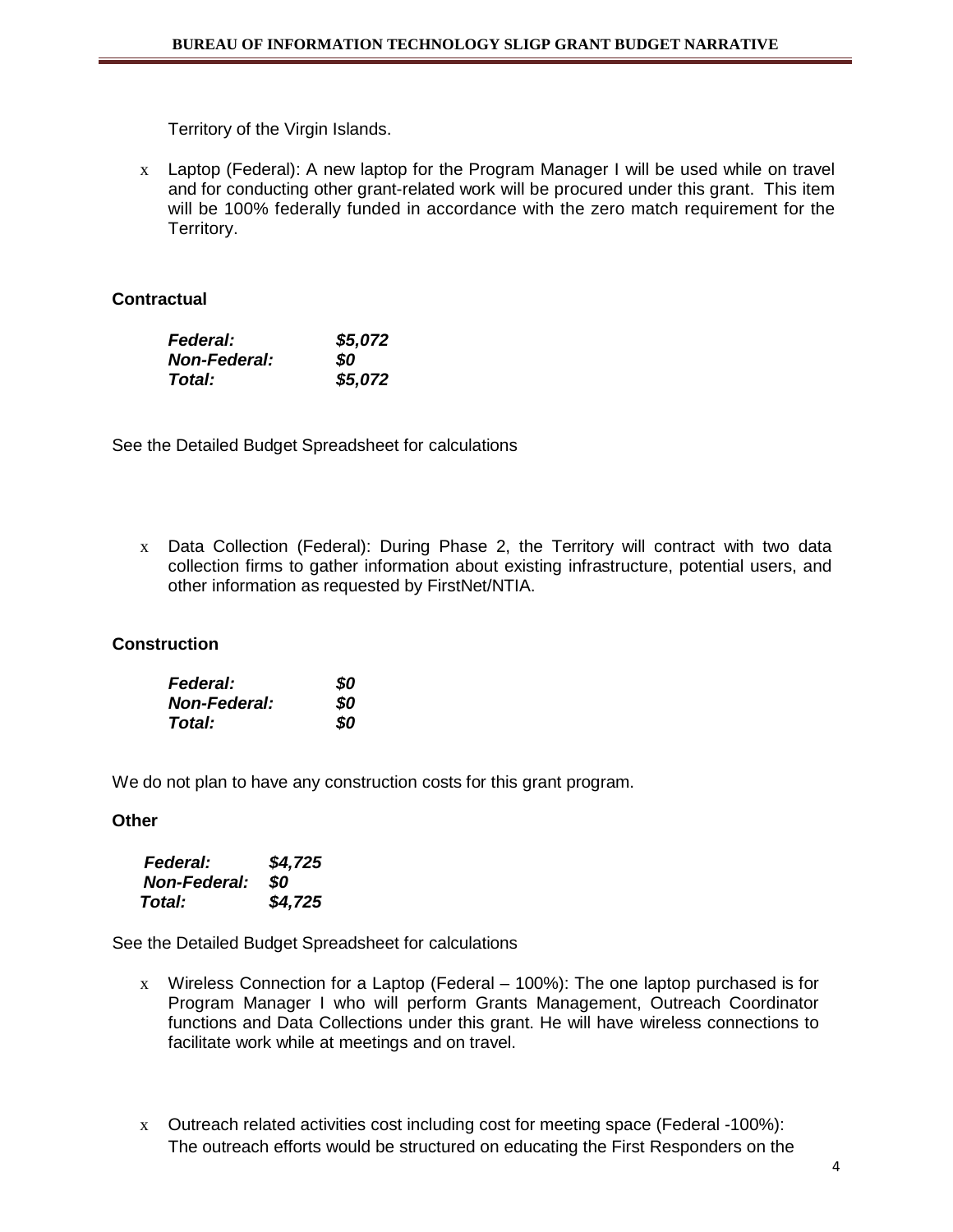Territory of the Virgin Islands.

x Laptop (Federal): A new laptop for the Program Manager I will be used while on travel and for conducting other grant-related work will be procured under this grant. This item will be 100% federally funded in accordance with the zero match requirement for the Territory.

# **Contractual**

| <b>Federal:</b>     | \$5,072 |
|---------------------|---------|
| <b>Non-Federal:</b> | SO.     |
| Total:              | \$5,072 |

See the Detailed Budget Spreadsheet for calculations

x Data Collection (Federal): During Phase 2, the Territory will contract with two data collection firms to gather information about existing infrastructure, potential users, and other information as requested by FirstNet/NTIA.

# **Construction**

| <b>Federal:</b>      | 80 |
|----------------------|----|
| <b>Non-Federal:</b>  | 80 |
| <i><b>Total:</b></i> | 80 |

We do not plan to have any construction costs for this grant program.

## **Other**

| <b>Federal:</b>     | \$4,725 |
|---------------------|---------|
| <b>Non-Federal:</b> | SO.     |
| Total:              | \$4,725 |

See the Detailed Budget Spreadsheet for calculations

- x Wireless Connection for a Laptop (Federal 100%): The one laptop purchased is for Program Manager I who will perform Grants Management, Outreach Coordinator functions and Data Collections under this grant. He will have wireless connections to facilitate work while at meetings and on travel.
- x Outreach related activities cost including cost for meeting space (Federal -100%): The outreach efforts would be structured on educating the First Responders on the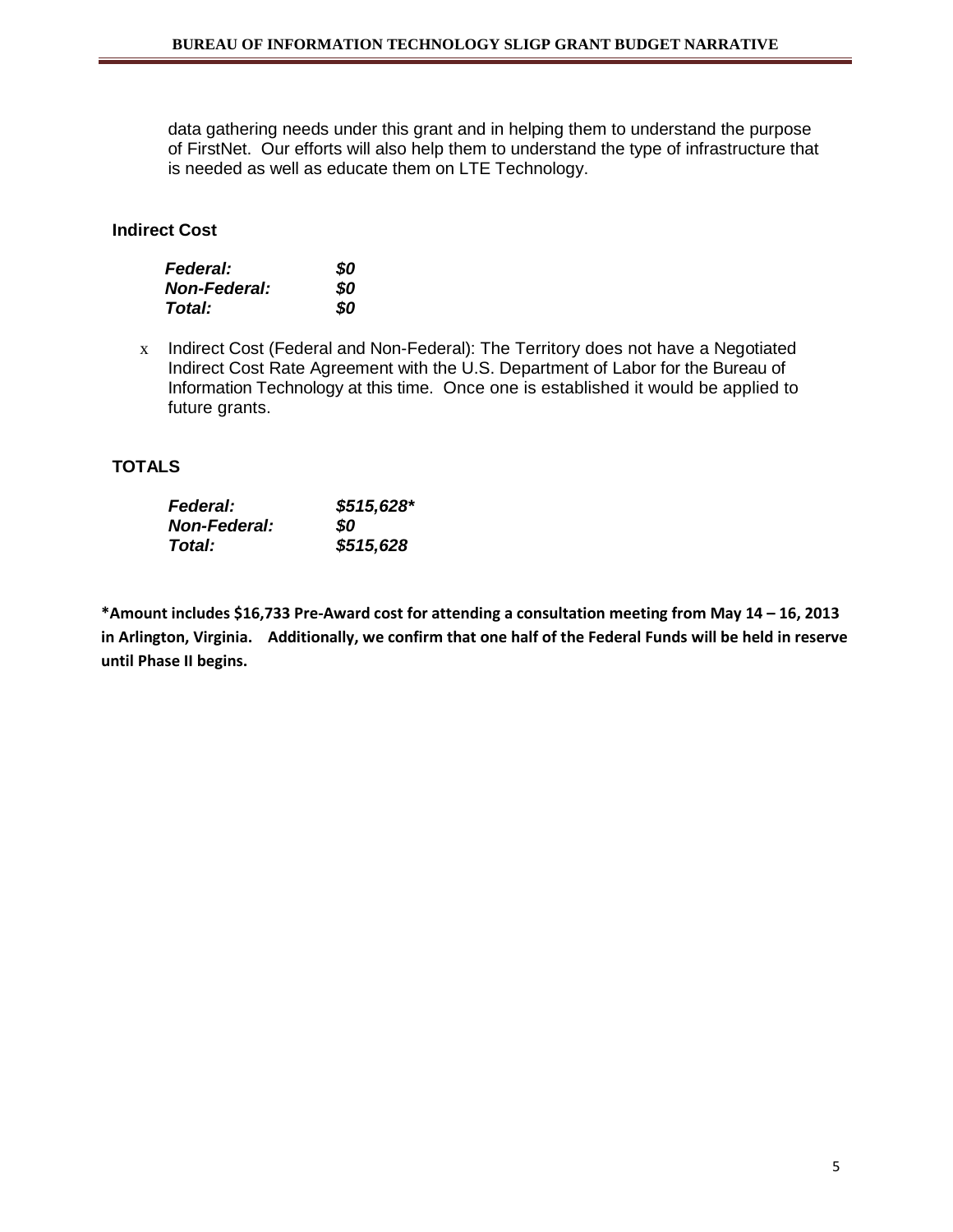data gathering needs under this grant and in helping them to understand the purpose of FirstNet. Our efforts will also help them to understand the type of infrastructure that is needed as well as educate them on LTE Technology.

# **Indirect Cost**

| <b>Federal:</b>     | \$0 |
|---------------------|-----|
| <b>Non-Federal:</b> | 80  |
| Total:              | 80  |

x Indirect Cost (Federal and Non-Federal): The Territory does not have a Negotiated Indirect Cost Rate Agreement with the U.S. Department of Labor for the Bureau of Information Technology at this time. Once one is established it would be applied to future grants.

# **TOTALS**

| <b>Federal:</b>      | $$515,628$ * |
|----------------------|--------------|
| <b>Non-Federal:</b>  | SO           |
| <i><b>Total:</b></i> | \$515,628    |

**\*Amount includes \$16,733 Pre-Award cost for attending a consultation meeting from May 14 – 16, 2013 in Arlington, Virginia. Additionally, we confirm that one half of the Federal Funds will be held in reserve until Phase II begins.**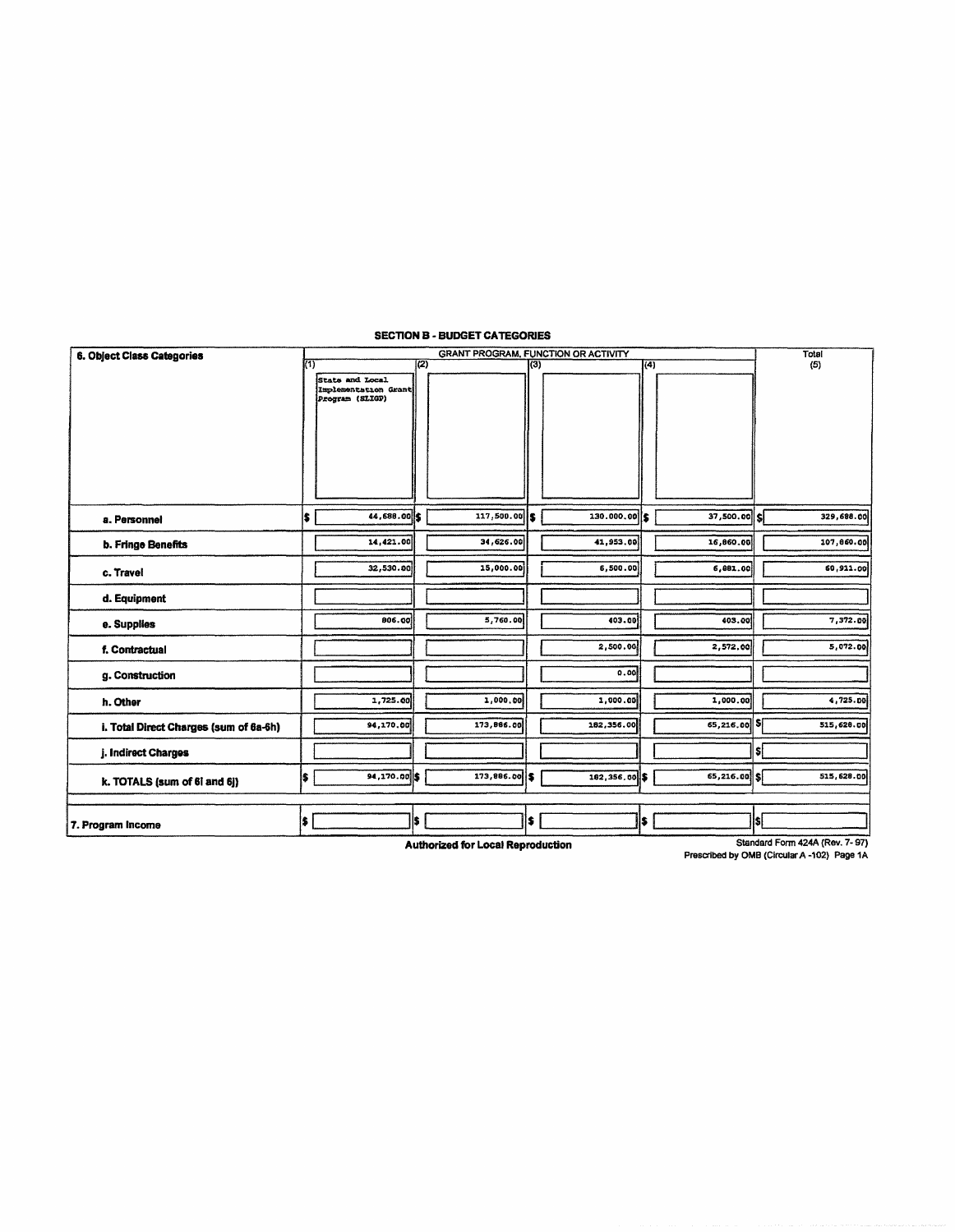| 6. Object Class Categories             | <b>GRANT PROGRAM, FUNCTION OR ACTIVITY</b> |                      |     |                |     |               |      |                 | Total |                                |
|----------------------------------------|--------------------------------------------|----------------------|-----|----------------|-----|---------------|------|-----------------|-------|--------------------------------|
|                                        | $(\overline{1})$                           |                      | (2) |                | (3) |               | 1(4) |                 |       | (5)                            |
|                                        |                                            | State and Local      |     |                |     |               |      |                 |       |                                |
|                                        |                                            | implementation Grant |     |                |     |               |      |                 |       |                                |
|                                        |                                            | Program (SLIGP)      |     |                |     |               |      |                 |       |                                |
|                                        |                                            |                      |     |                |     |               |      |                 |       |                                |
|                                        |                                            |                      |     |                |     |               |      |                 |       |                                |
|                                        |                                            |                      |     |                |     |               |      |                 |       |                                |
|                                        |                                            |                      |     |                |     |               |      |                 |       |                                |
|                                        |                                            |                      |     |                |     |               |      |                 |       |                                |
|                                        |                                            |                      |     |                |     |               |      |                 |       |                                |
|                                        |                                            |                      |     |                |     |               |      |                 |       |                                |
|                                        |                                            |                      |     |                |     |               |      |                 |       |                                |
| a. Personnel                           | s                                          | 44,688.00 \$         |     | $117,500.00$ S |     | 130.000.00    |      | $37,500.00$ $S$ |       | 329,688.00                     |
| b. Fringe Benefits                     |                                            | 14,421.00            |     | 34,626.00      |     | 41,953.00     |      | 16,860.00       |       | 107,860.00                     |
|                                        |                                            |                      |     |                |     |               |      |                 |       |                                |
| c. Travel                              |                                            | 32,530.00            |     | 15,000.00      |     | 6,500.00      |      | 6,881.00        |       | 60,911.00                      |
|                                        |                                            |                      |     |                |     |               |      |                 |       |                                |
| d. Equipment                           |                                            |                      |     |                |     |               |      |                 |       |                                |
|                                        |                                            | 806.00               |     | 5,760.00       |     | 403.00        |      | 403.00          |       | 7,372.00                       |
| e. Supplies                            |                                            |                      |     |                |     |               |      |                 |       |                                |
| f. Contractual                         |                                            |                      |     |                |     | 2,500.00      |      | 2,572.00        |       | 5,072.00                       |
|                                        |                                            |                      |     |                |     |               |      |                 |       |                                |
| g. Construction                        |                                            |                      |     |                |     | 0.00          |      |                 |       |                                |
|                                        |                                            |                      |     | 1,000.00       |     | 1,000.00      |      |                 |       | 4,725.00                       |
| h. Other                               |                                            | 1,725.00             |     |                |     |               |      | 1,000.00        |       |                                |
| i. Total Direct Charges (sum of 6a-6h) |                                            | 94,170.00            |     | 173,866.00     |     | 182,356.00    |      | 65,216.00       | sí    | 515,628.00                     |
|                                        |                                            |                      |     |                |     |               |      |                 |       |                                |
| j. Indirect Charges                    |                                            |                      |     |                |     |               |      |                 | sl    |                                |
|                                        | İ\$.                                       | 94,170.00 \$         |     | 173,886.00 \$  |     | 182,356.00 \$ |      | 65,216.00       |       | 515, 628.00                    |
| k. TOTALS (sum of 61 and 6j)           |                                            |                      |     |                |     |               |      |                 |       |                                |
|                                        |                                            |                      |     |                |     |               |      |                 |       |                                |
|                                        | I\$.                                       |                      | l\$ |                | is. |               | \$   |                 | Isl   |                                |
| 7. Program Income                      |                                            |                      |     |                |     |               |      |                 |       |                                |
|                                        |                                            |                      |     |                |     |               |      |                 |       | Clanderd Form 424A (Dou 7, 97) |

#### SECTION B - BUDGET CATEGORIES

Authorized for Local Reproduction

Standard Form 424A (Rev. 7- 97)

Prescibed by OMB (Circular A -102) Page 1A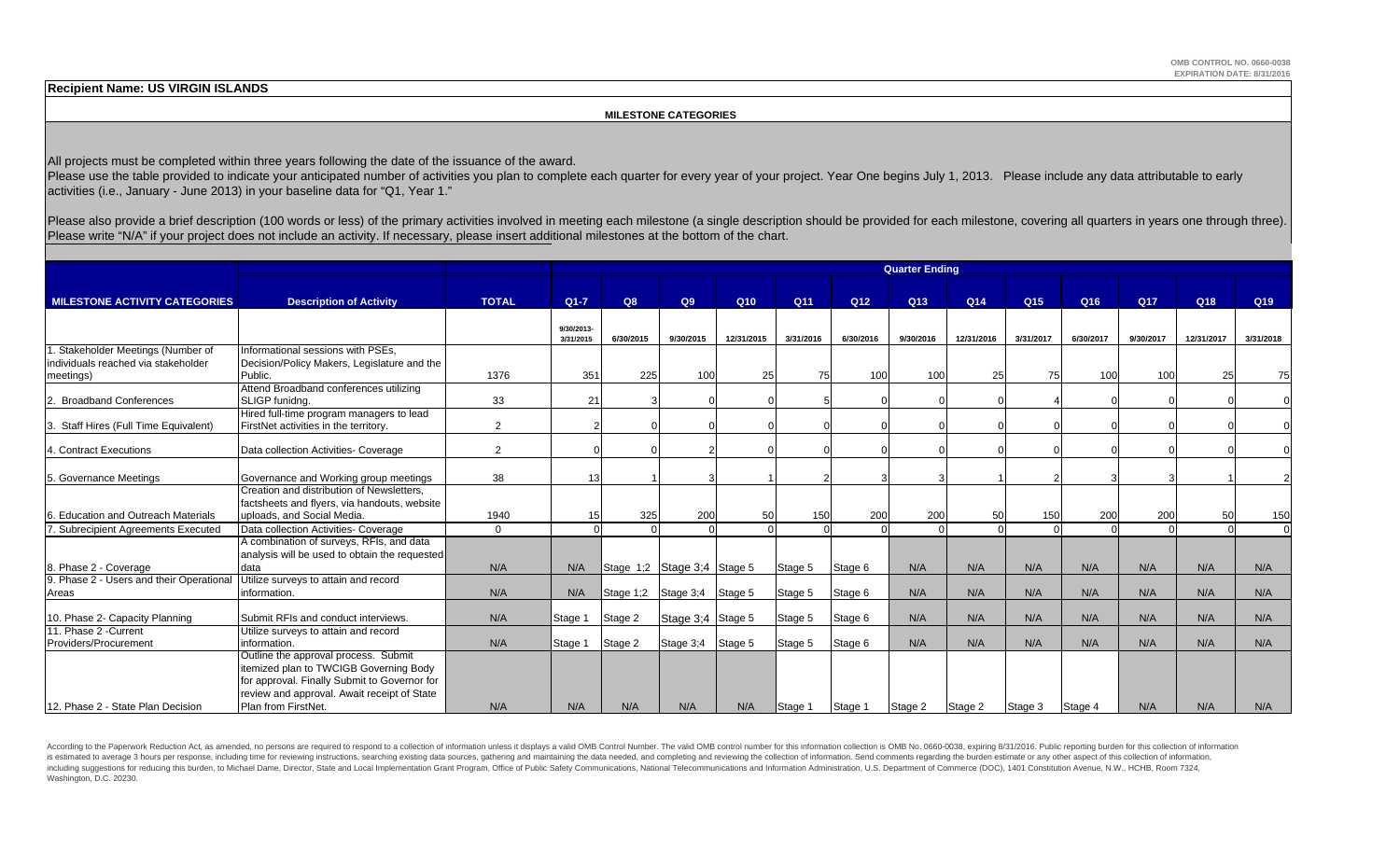**Recipient Name: US VIRGIN ISLANDS**

#### **MILESTONE CATEGORIES**

All projects must be completed within three years following the date of the issuance of the award.

Please use the table provided to indicate your anticipated number of activities you plan to complete each quarter for every year of your project. Year One begins July 1, 2013. Please include any data attributable to early activities (i.e., January - June 2013) in your baseline data for "Q1, Year 1."

Please also provide a brief description (100 words or less) of the primary activities involved in meeting each milestone (a single description should be provided for each milestone, covering all quarters in years one throu Please write "N/A" if your project does not include an activity. If necessary, please insert additional milestones at the bottom of the chart.

|                                          |                                                                                             |                |            |                             |                     |            |           |                 | <b>Quarter Ending</b> |            |                 |           |           |            |                 |  |
|------------------------------------------|---------------------------------------------------------------------------------------------|----------------|------------|-----------------------------|---------------------|------------|-----------|-----------------|-----------------------|------------|-----------------|-----------|-----------|------------|-----------------|--|
|                                          |                                                                                             |                |            |                             |                     |            |           |                 |                       |            |                 |           |           |            |                 |  |
| <b>MILESTONE ACTIVITY CATEGORIES</b>     | <b>Description of Activity</b>                                                              | <b>TOTAL</b>   | $Q1 - 7$   | Q8                          | Q9                  | Q10        | Q11       | Q <sub>12</sub> | Q13                   | Q14        | Q <sub>15</sub> | Q16       | Q17       | Q18        | Q <sub>19</sub> |  |
|                                          |                                                                                             |                |            |                             |                     |            |           |                 |                       |            |                 |           |           |            |                 |  |
|                                          |                                                                                             |                | 9/30/2013- | 6/30/2015                   | 9/30/2015           | 12/31/2015 | 3/31/2016 | 6/30/2016       | 9/30/2016             | 12/31/2016 | 3/31/2017       | 6/30/2017 | 9/30/2017 | 12/31/2017 | 3/31/2018       |  |
| 1. Stakeholder Meetings (Number of       | Informational sessions with PSEs,                                                           |                | 3/31/2015  |                             |                     |            |           |                 |                       |            |                 |           |           |            |                 |  |
| individuals reached via stakeholder      | Decision/Policy Makers, Legislature and the                                                 |                |            |                             |                     |            |           |                 |                       |            |                 |           |           |            |                 |  |
| meetings)                                | Public.                                                                                     | 1376           | 351        | 225                         | 100                 | 25         | 75        | 100             | 100                   | 25         | 75              | 100       | 100       | 25         | 75              |  |
|                                          | Attend Broadband conferences utilizing                                                      |                |            |                             |                     |            |           |                 |                       |            |                 |           |           |            |                 |  |
| <b>Broadband Conferences</b>             | SLIGP funidna.                                                                              | 33             | 21         |                             |                     |            |           |                 |                       |            |                 |           |           |            |                 |  |
|                                          | Hired full-time program managers to lead                                                    |                |            |                             |                     |            |           |                 |                       |            |                 |           |           |            |                 |  |
| 3. Staff Hires (Full Time Equivalent)    | FirstNet activities in the territory.                                                       | $\overline{2}$ |            |                             |                     |            |           |                 |                       |            |                 |           |           |            |                 |  |
|                                          |                                                                                             |                |            |                             |                     |            |           |                 |                       |            |                 |           |           |            |                 |  |
| 4. Contract Executions                   | Data collection Activities- Coverage                                                        | 2              |            |                             |                     |            |           |                 |                       |            |                 |           |           |            |                 |  |
|                                          |                                                                                             |                |            |                             |                     |            |           |                 |                       |            |                 |           |           |            |                 |  |
| 5. Governance Meetings                   | Governance and Working group meetings                                                       | 38             | 13         |                             |                     |            |           |                 |                       |            |                 |           |           |            |                 |  |
|                                          | Creation and distribution of Newsletters.                                                   |                |            |                             |                     |            |           |                 |                       |            |                 |           |           |            |                 |  |
|                                          | factsheets and flyers, via handouts, website                                                |                |            |                             |                     |            |           |                 |                       |            |                 |           |           |            |                 |  |
| <b>Education and Outreach Materials</b>  | uploads, and Social Media.                                                                  | 1940           | 15         | 325                         | 200                 | 50         | 150       | <b>200</b>      | 200                   | 50         | 150             | 200       | 200       | 50         | 150             |  |
| 7. Subrecipient Agreements Executed      | Data collection Activities- Coverage                                                        | $\Omega$       |            |                             |                     |            |           |                 |                       |            |                 |           |           |            | $\Omega$        |  |
|                                          | A combination of surveys, RFIs, and data                                                    |                |            |                             |                     |            |           |                 |                       |            |                 |           |           |            |                 |  |
|                                          | analysis will be used to obtain the requested                                               |                |            |                             |                     |            |           |                 |                       |            |                 |           |           |            |                 |  |
| 8. Phase 2 - Coverage                    | data                                                                                        | N/A            | N/A        | Stage 1;2 Stage 3;4 Stage 5 |                     |            | Stage 5   | Stage 6         | N/A                   | N/A        | N/A             | N/A       | N/A       | N/A        | N/A             |  |
| 9. Phase 2 - Users and their Operational | Utilize surveys to attain and record                                                        |                |            |                             |                     |            |           |                 |                       |            |                 |           |           |            |                 |  |
| Areas                                    | information.                                                                                | N/A            | N/A        | Stage 1;2 Stage 3;4 Stage 5 |                     |            | Stage 5   | Stage 6         | N/A                   | N/A        | N/A             | N/A       | N/A       | N/A        | N/A             |  |
|                                          |                                                                                             |                |            |                             |                     |            |           |                 |                       |            |                 |           |           |            |                 |  |
| 10. Phase 2- Capacity Planning           | Submit RFIs and conduct interviews.                                                         | N/A            | Stage 1    | Stage 2                     | Stage $3:4$ Stage 5 |            | Stage 5   | Stage 6         | N/A                   | N/A        | N/A             | N/A       | N/A       | N/A        | N/A             |  |
| 11. Phase 2 - Current                    | Utilize surveys to attain and record                                                        |                |            |                             |                     |            |           |                 |                       |            |                 |           |           |            |                 |  |
| Providers/Procurement                    | information.                                                                                | N/A            | Stage 1    | Stage 2                     | Stage 3;4 Stage 5   |            | Stage 5   | Stage 6         | N/A                   | N/A        | N/A             | N/A       | N/A       | N/A        | N/A             |  |
|                                          | Outline the approval process. Submit                                                        |                |            |                             |                     |            |           |                 |                       |            |                 |           |           |            |                 |  |
|                                          | itemized plan to TWCIGB Governing Body                                                      |                |            |                             |                     |            |           |                 |                       |            |                 |           |           |            |                 |  |
|                                          | for approval. Finally Submit to Governor for<br>review and approval. Await receipt of State |                |            |                             |                     |            |           |                 |                       |            |                 |           |           |            |                 |  |
| 12. Phase 2 - State Plan Decision        | Plan from FirstNet.                                                                         | N/A            | N/A        | N/A                         | N/A                 | N/A        | Stage 1   |                 | Stage 2               | Stage 2    |                 |           | N/A       | N/A        | N/A             |  |
|                                          |                                                                                             |                |            |                             |                     |            |           | Stage 1         |                       |            | Stage 3         | Stage 4   |           |            |                 |  |

According to the Paperwork Reduction Act, as amended, no persons are required to respond to a collection of information unless it displays a valid OMB Control Number. The valid OMB control number for this information colle is estimated to average 3 hours per response, including time for reviewing instructions, searching existing data sources, gathering and maintaining the data needed, and completing and reviewing the collection of informatio including suggestions for reducing this burden, to Michael Dame, Director, State and Local Implementation Grant Program, Office of Public Safety Communications, National Telecommunications and Information Administration, U Washington, D.C. 20230.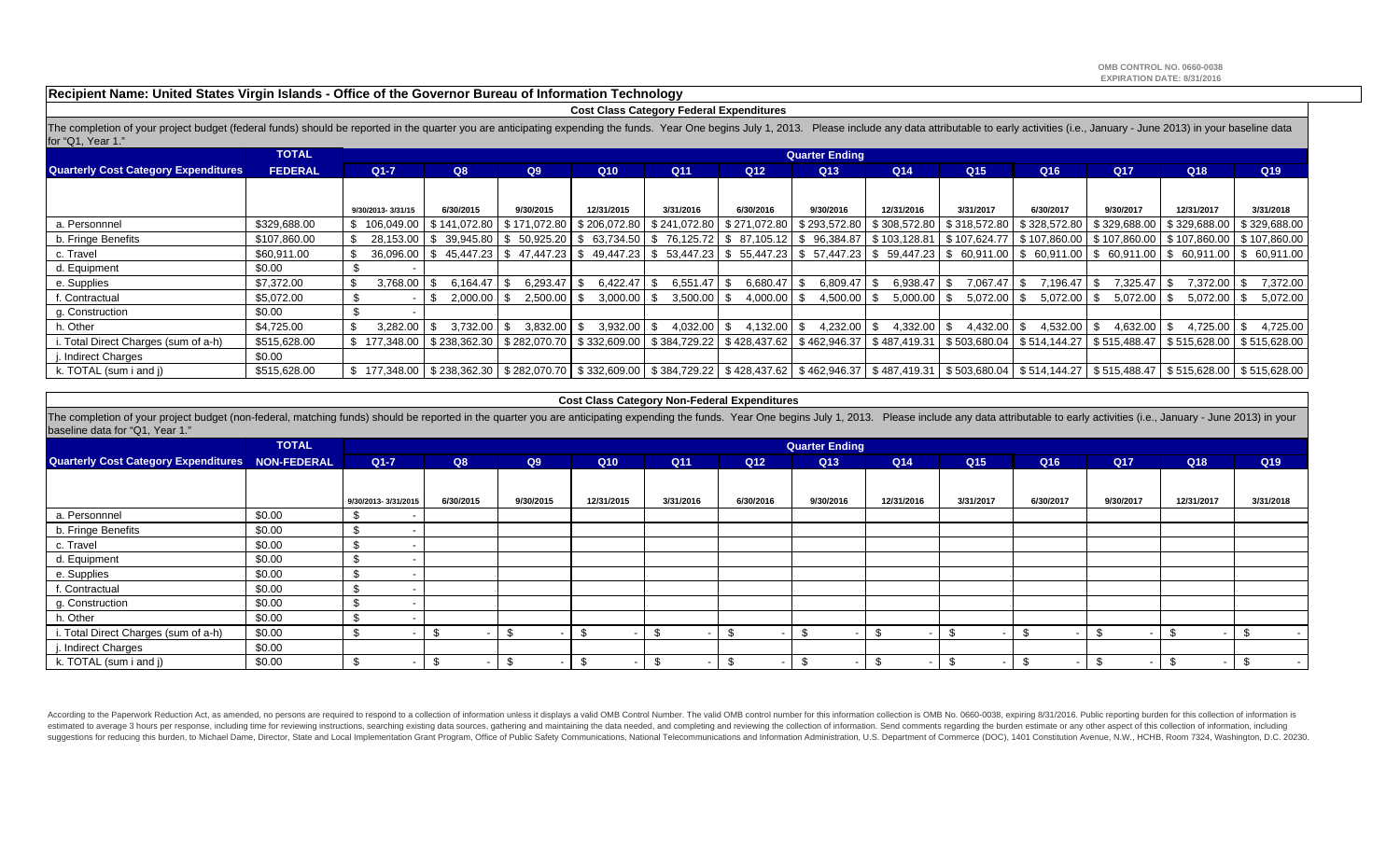**Recipient Name: United States Virgin Islands - Office of the Governor Bureau of Information Technology**

#### **Cost Class Category Federal Expenditures**

The completion of your project budget (federal funds) should be reported in the quarter you are anticipating expending the funds. Year One begins July 1, 2013. Please include any data attributable to early activities (i.e. for "Q1, Year 1."

|                                             | <b>TOTAL</b>   |                   |               |                        |                                                          |                 |                                     | <b>Quarter Ending</b> |                      |                 |                                                                                                                                                                                         |                 |                         |                                                                                                                                                                                                                                                    |
|---------------------------------------------|----------------|-------------------|---------------|------------------------|----------------------------------------------------------|-----------------|-------------------------------------|-----------------------|----------------------|-----------------|-----------------------------------------------------------------------------------------------------------------------------------------------------------------------------------------|-----------------|-------------------------|----------------------------------------------------------------------------------------------------------------------------------------------------------------------------------------------------------------------------------------------------|
| <b>Quarterly Cost Category Expenditures</b> | <b>FEDERAL</b> | $Q1 - 7$          | Q8            | Q9                     | Q <sub>10</sub>                                          | Q <sub>11</sub> | Q <sub>12</sub>                     | Q <sub>13</sub>       | Q <sub>14</sub>      | Q <sub>15</sub> | Q16                                                                                                                                                                                     | Q <sub>17</sub> | Q <sub>18</sub>         | Q <sub>19</sub>                                                                                                                                                                                                                                    |
|                                             |                |                   |               |                        |                                                          |                 |                                     |                       |                      |                 |                                                                                                                                                                                         |                 |                         |                                                                                                                                                                                                                                                    |
|                                             |                | 9/30/2013-3/31/15 | 6/30/2015     | 9/30/2015              | 12/31/2015                                               | 3/31/2016       | 6/30/2016                           | 9/30/2016             | 12/31/2016           | 3/31/2017       | 6/30/2017                                                                                                                                                                               | 9/30/2017       | 12/31/2017              | 3/31/2018                                                                                                                                                                                                                                          |
| a. Personnnel                               | \$329,688.00   | \$106.049.00      |               |                        | \$141,072.80   \$171,072.80   \$206,072.80               |                 | \$241,072.80 \$271,072.80           | \$293,572.80          | \$308,572.80         |                 | \$318,572.80   \$328,572.80   \$329,688.00   \$329,688.00                                                                                                                               |                 |                         | \$329.688.00                                                                                                                                                                                                                                       |
| b. Fringe Benefits                          | \$107,860.00   | 28.153.00         |               |                        | 0 S 39,945.80 S 50,925.20 S 63,734.50                    |                 |                                     |                       |                      |                 | \$ 76,125.72   \$ 87,105.12   \$ 96,384.87   \$103,128.81   \$107,624.77   \$107,860.00   \$107,860.00   \$107,860.00   \$107,860.00                                                    |                 |                         |                                                                                                                                                                                                                                                    |
| c. Travel                                   | \$60,911.00    | 36.096.00         |               |                        |                                                          |                 |                                     |                       |                      |                 | ) \$ 45.447.23 \$ 47.447.23 \$ 49.447.23 \$ 53.447.23 \$ 55.447.23 \$ 57.447.23 \$ 59.447.23 \$ 60.911.00 \$ 60.911.00 \$ 60.911.00 \$ 60.911.00 \$ 60.911.00 \$ 60.911.00 \$ 60.911.00 |                 |                         |                                                                                                                                                                                                                                                    |
| d. Equipment                                | \$0.00         |                   |               |                        |                                                          |                 |                                     |                       |                      |                 |                                                                                                                                                                                         |                 |                         |                                                                                                                                                                                                                                                    |
| e. Supplies                                 | \$7,372.00     | \$<br>3,768.00    | 6.164.47      | 6,293.47<br>- \$       | 6.422.47                                                 | 6,551.47        | 6,680.47                            | 6,809.47<br>-S        | $6,938.47$ \$        | 7,067.47        | 7,196.47<br>- \$                                                                                                                                                                        | 7.325.47        | 7.372.00                | 7,372.00                                                                                                                                                                                                                                           |
| f. Contractual                              | \$5,072.00     |                   | $2.000.00$ \$ | 2.500.00               | 3.000.00                                                 | 3,500.00        | 4,000.00                            | 4,500.00<br>- \$      | 5,000.00             | $5.072.00$ \ \$ | 5,072.00                                                                                                                                                                                | 5.072.00        | $5,072.00$ \$           | 5,072.00                                                                                                                                                                                                                                           |
| g. Construction                             | \$0.00         |                   |               |                        |                                                          |                 |                                     |                       |                      |                 |                                                                                                                                                                                         |                 |                         |                                                                                                                                                                                                                                                    |
| h. Other                                    | \$4,725.00     | 3.282.00          | 3.732.00      | $3,832.00$ \ \$<br>IS. | 3,932.00                                                 | 4.032.00        | 4,132.00                            | 4,232.00<br>-SS       | $4,332.00$ \$<br>-SS | $4,432.00$ \$   | 4,532.00                                                                                                                                                                                | 4.632.00        | $4.725.00$ \ \$<br>- \$ | 4,725.00                                                                                                                                                                                                                                           |
| . Total Direct Charges (sum of a-h)         | \$515,628.00   | \$177,348.00      |               |                        | $\frac{1}{2}$ \$238,362.30   \$282,070.70   \$332,609.00 |                 | $\vert$ \$384,729.22   \$428,437.62 |                       |                      |                 | \$ 462,946.37   \$ 487,419.31   \$ 503,680.04   \$ 514,144.27   \$ 515,488.47                                                                                                           |                 |                         | \$515,628.00   \$515,628.00                                                                                                                                                                                                                        |
| i. Indirect Charges                         | \$0.00         |                   |               |                        |                                                          |                 |                                     |                       |                      |                 |                                                                                                                                                                                         |                 |                         |                                                                                                                                                                                                                                                    |
| k. TOTAL (sum i and j)                      | \$515,628.00   |                   |               |                        |                                                          |                 |                                     |                       |                      |                 |                                                                                                                                                                                         |                 |                         | \$15,628.00 \$238,362.30 \$282,070.70 \$332,609.00 \$384,729.22 \$428,437.62 \$462,946.37 \$487,419.31 \$503,680.04 \$514,144.27 \$515,488.47 \$515,628.00 \$515,628.00 \$515,628.00 \$515,628.00 \$515,628.00 \$515,628.00 \$515,628.00 \$515,628 |

#### **Cost Class Category Non-Federal Expenditures**

The completion of your project budget (non-federal, matching funds) should be reported in the quarter you are anticipating expending the funds. Year One begins July 1, 2013. Please include any data attributable to early ac baseline data for "Q1, Year 1."

|                                                  | <b>TOTAL</b> |                     |           |           |            |           |                 | <b>Quarter Ending</b>    |            |                 |           |           |            |           |
|--------------------------------------------------|--------------|---------------------|-----------|-----------|------------|-----------|-----------------|--------------------------|------------|-----------------|-----------|-----------|------------|-----------|
| Quarterly Cost Category Expenditures NON-FEDERAL |              | $Q1 - 7$            | Q8        | Q9        | Q10        | Q11       | Q <sub>12</sub> | Q13                      | Q14        | Q <sub>15</sub> | Q16       | Q17       | Q18        | Q19       |
|                                                  |              |                     |           |           |            |           |                 |                          |            |                 |           |           |            |           |
|                                                  |              | 9/30/2013-3/31/2015 | 6/30/2015 | 9/30/2015 | 12/31/2015 | 3/31/2016 | 6/30/2016       | 9/30/2016                | 12/31/2016 | 3/31/2017       | 6/30/2017 | 9/30/2017 | 12/31/2017 | 3/31/2018 |
| a. Personnnel                                    | \$0.00       | ৬                   |           |           |            |           |                 |                          |            |                 |           |           |            |           |
| b. Fringe Benefits                               | \$0.00       | -\$                 |           |           |            |           |                 |                          |            |                 |           |           |            |           |
| c. Travel                                        | \$0.00       | \$                  |           |           |            |           |                 |                          |            |                 |           |           |            |           |
| d. Equipment                                     | \$0.00       | - \$                |           |           |            |           |                 |                          |            |                 |           |           |            |           |
| e. Supplies                                      | \$0.00       | £                   |           |           |            |           |                 |                          |            |                 |           |           |            |           |
| f. Contractual                                   | \$0.00       | -\$                 |           |           |            |           |                 |                          |            |                 |           |           |            |           |
| g. Construction                                  | \$0.00       | -\$                 |           |           |            |           |                 |                          |            |                 |           |           |            |           |
| h. Other                                         | \$0.00       | -\$                 |           |           |            |           |                 |                          |            |                 |           |           |            |           |
| i. Total Direct Charges (sum of a-h)             | \$0.00       | -\$                 |           |           | -\$        |           |                 | $\overline{\phantom{a}}$ |            |                 |           | £.<br>-   |            |           |
| j. Indirect Charges                              | \$0.00       |                     |           |           |            |           |                 |                          |            |                 |           |           |            |           |
| k. TOTAL (sum i and j)                           | \$0.00       |                     |           |           | \$         |           |                 | $\overline{\phantom{0}}$ |            |                 |           |           |            |           |

According to the Paperwork Reduction Act, as amended, no persons are required to respond to a collection of information unless it displays a valid OMB Control Number. The valid OMB control number for this information colle estimated to average 3 hours per response, including time for reviewing instructions, searching existing data sources, gathering and maintaining the data needed, and completing and reviewing the collection of information. suggestions for reducing this burden, to Michael Dame, Director, State and Local Implementation Grant Program, Office of Public Safety Communications, National Telecommunications and Information Administration, U.S. Depart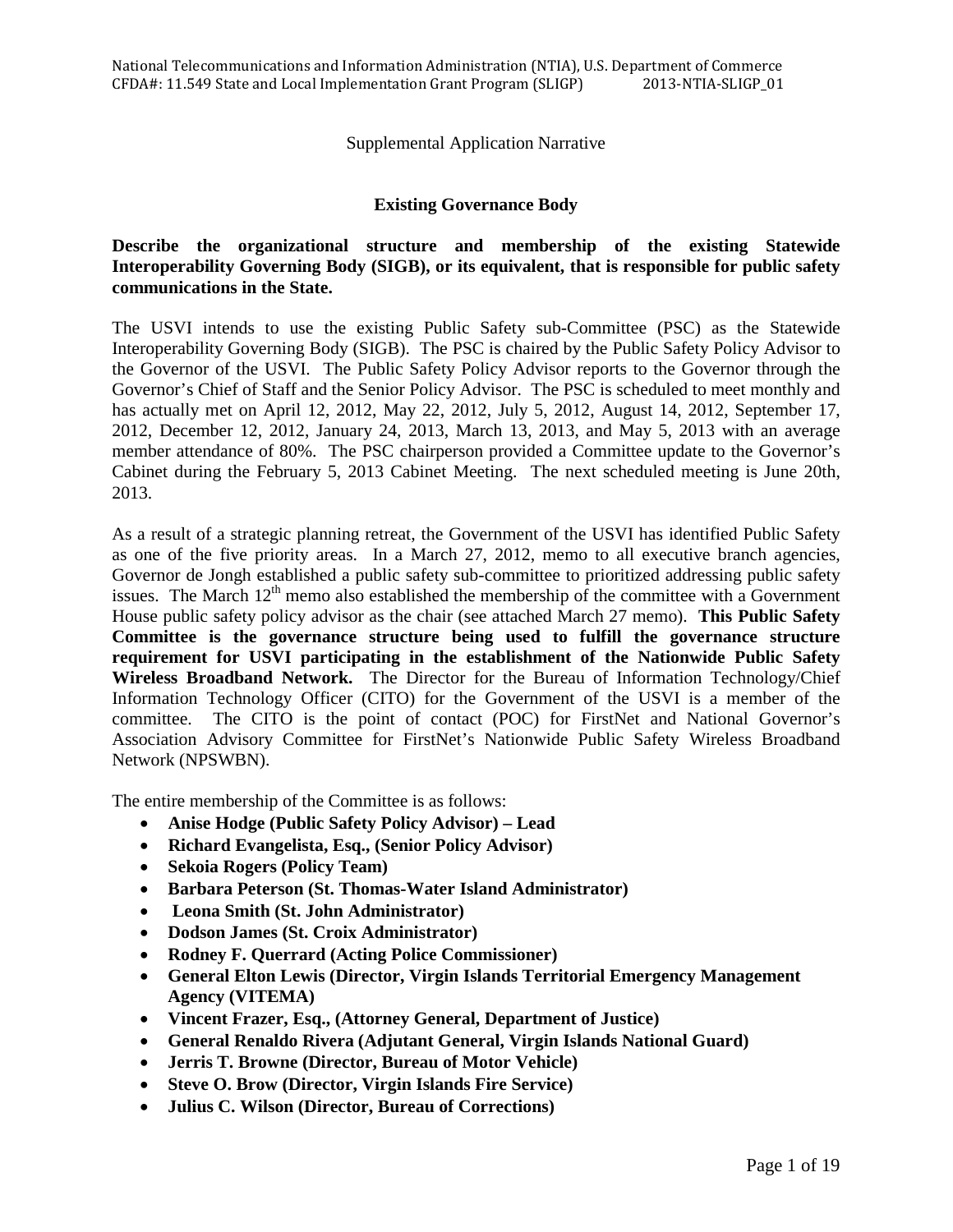## Supplemental Application Narrative

#### **Existing Governance Body**

# **Describe the organizational structure and membership of the existing Statewide Interoperability Governing Body (SIGB), or its equivalent, that is responsible for public safety communications in the State.**

The USVI intends to use the existing Public Safety sub-Committee (PSC) as the Statewide Interoperability Governing Body (SIGB). The PSC is chaired by the Public Safety Policy Advisor to the Governor of the USVI. The Public Safety Policy Advisor reports to the Governor through the Governor's Chief of Staff and the Senior Policy Advisor. The PSC is scheduled to meet monthly and has actually met on April 12, 2012, May 22, 2012, July 5, 2012, August 14, 2012, September 17, 2012, December 12, 2012, January 24, 2013, March 13, 2013, and May 5, 2013 with an average member attendance of 80%. The PSC chairperson provided a Committee update to the Governor's Cabinet during the February 5, 2013 Cabinet Meeting. The next scheduled meeting is June 20th, 2013.

As a result of a strategic planning retreat, the Government of the USVI has identified Public Safety as one of the five priority areas. In a March 27, 2012, memo to all executive branch agencies, Governor de Jongh established a public safety sub-committee to prioritized addressing public safety issues. The March  $12<sup>th</sup>$  memo also established the membership of the committee with a Government House public safety policy advisor as the chair (see attached March 27 memo). **This Public Safety Committee is the governance structure being used to fulfill the governance structure requirement for USVI participating in the establishment of the Nationwide Public Safety Wireless Broadband Network.** The Director for the Bureau of Information Technology/Chief Information Technology Officer (CITO) for the Government of the USVI is a member of the committee. The CITO is the point of contact (POC) for FirstNet and National Governor's Association Advisory Committee for FirstNet's Nationwide Public Safety Wireless Broadband Network (NPSWBN).

The entire membership of the Committee is as follows:

- **Anise Hodge (Public Safety Policy Advisor) Lead**
- **Richard Evangelista, Esq., (Senior Policy Advisor)**
- **Sekoia Rogers (Policy Team)**
- **Barbara Peterson (St. Thomas-Water Island Administrator)**
- • **Leona Smith (St. John Administrator)**
- **Dodson James (St. Croix Administrator)**
- **Rodney F. Querrard (Acting Police Commissioner)**
- **General Elton Lewis (Director, Virgin Islands Territorial Emergency Management Agency (VITEMA)**
- **Vincent Frazer, Esq., (Attorney General, Department of Justice)**
- **General Renaldo Rivera (Adjutant General, Virgin Islands National Guard)**
- **Jerris T. Browne (Director, Bureau of Motor Vehicle)**
- **Steve O. Brow (Director, Virgin Islands Fire Service)**
- **Julius C. Wilson (Director, Bureau of Corrections)**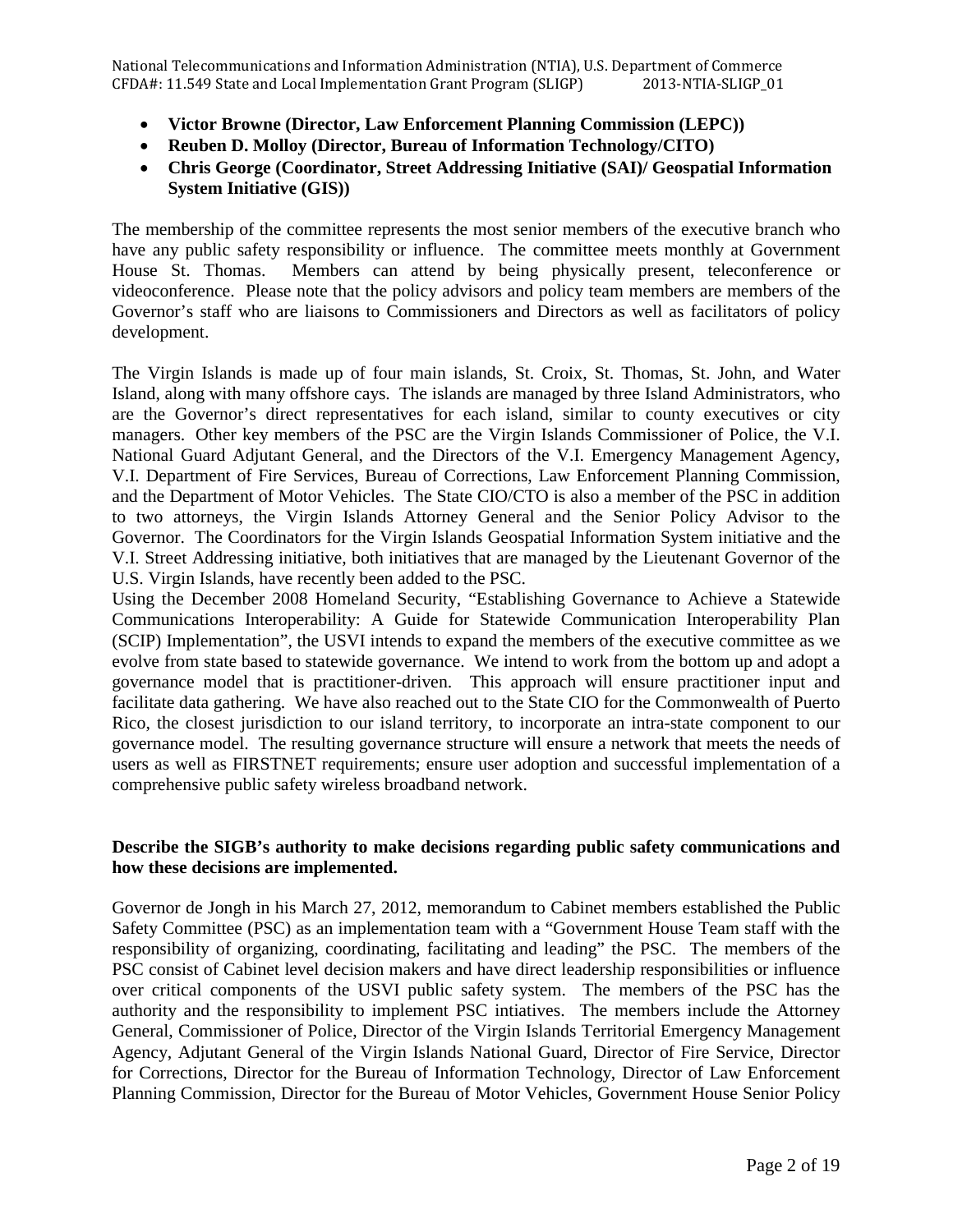- **Victor Browne (Director, Law Enforcement Planning Commission (LEPC))**
- **Reuben D. Molloy (Director, Bureau of Information Technology/CITO)**
- **Chris George (Coordinator, Street Addressing Initiative (SAI)/ Geospatial Information System Initiative (GIS))**

The membership of the committee represents the most senior members of the executive branch who have any public safety responsibility or influence. The committee meets monthly at Government House St. Thomas. Members can attend by being physically present, teleconference or videoconference. Please note that the policy advisors and policy team members are members of the Governor's staff who are liaisons to Commissioners and Directors as well as facilitators of policy development.

The Virgin Islands is made up of four main islands, St. Croix, St. Thomas, St. John, and Water Island, along with many offshore cays. The islands are managed by three Island Administrators, who are the Governor's direct representatives for each island, similar to county executives or city managers. Other key members of the PSC are the Virgin Islands Commissioner of Police, the V.I. National Guard Adjutant General, and the Directors of the V.I. Emergency Management Agency, V.I. Department of Fire Services, Bureau of Corrections, Law Enforcement Planning Commission, and the Department of Motor Vehicles. The State CIO/CTO is also a member of the PSC in addition to two attorneys, the Virgin Islands Attorney General and the Senior Policy Advisor to the Governor. The Coordinators for the Virgin Islands Geospatial Information System initiative and the V.I. Street Addressing initiative, both initiatives that are managed by the Lieutenant Governor of the U.S. Virgin Islands, have recently been added to the PSC.

Using the December 2008 Homeland Security, "Establishing Governance to Achieve a Statewide Communications Interoperability: A Guide for Statewide Communication Interoperability Plan (SCIP) Implementation", the USVI intends to expand the members of the executive committee as we evolve from state based to statewide governance. We intend to work from the bottom up and adopt a governance model that is practitioner-driven. This approach will ensure practitioner input and facilitate data gathering. We have also reached out to the State CIO for the Commonwealth of Puerto Rico, the closest jurisdiction to our island territory, to incorporate an intra-state component to our governance model. The resulting governance structure will ensure a network that meets the needs of users as well as FIRSTNET requirements; ensure user adoption and successful implementation of a comprehensive public safety wireless broadband network.

# **Describe the SIGB's authority to make decisions regarding public safety communications and how these decisions are implemented.**

Governor de Jongh in his March 27, 2012, memorandum to Cabinet members established the Public Safety Committee (PSC) as an implementation team with a "Government House Team staff with the responsibility of organizing, coordinating, facilitating and leading" the PSC. The members of the PSC consist of Cabinet level decision makers and have direct leadership responsibilities or influence over critical components of the USVI public safety system. The members of the PSC has the authority and the responsibility to implement PSC intiatives. The members include the Attorney General, Commissioner of Police, Director of the Virgin Islands Territorial Emergency Management Agency, Adjutant General of the Virgin Islands National Guard, Director of Fire Service, Director for Corrections, Director for the Bureau of Information Technology, Director of Law Enforcement Planning Commission, Director for the Bureau of Motor Vehicles, Government House Senior Policy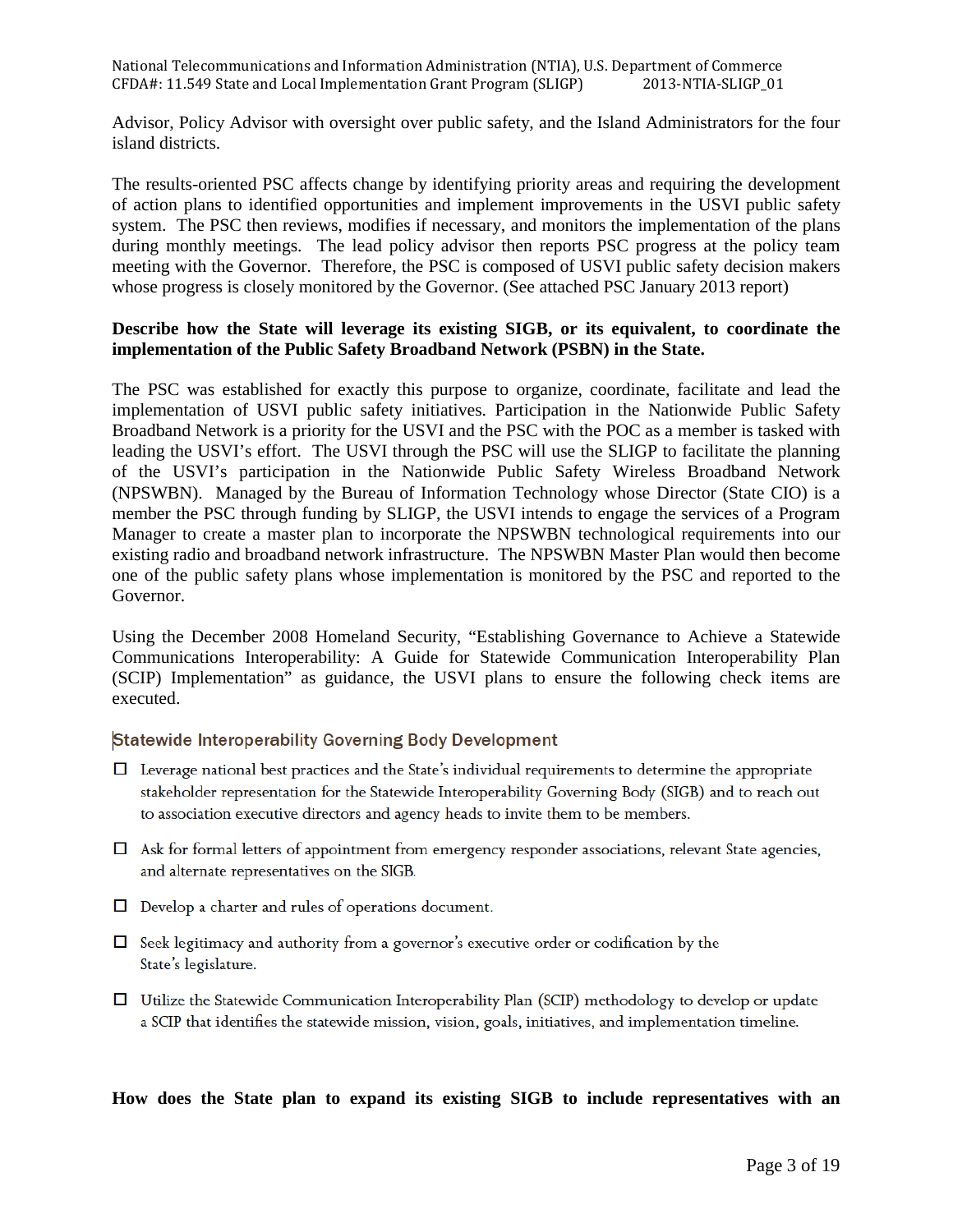Advisor, Policy Advisor with oversight over public safety, and the Island Administrators for the four island districts.

The results-oriented PSC affects change by identifying priority areas and requiring the development of action plans to identified opportunities and implement improvements in the USVI public safety system. The PSC then reviews, modifies if necessary, and monitors the implementation of the plans during monthly meetings. The lead policy advisor then reports PSC progress at the policy team meeting with the Governor. Therefore, the PSC is composed of USVI public safety decision makers whose progress is closely monitored by the Governor. (See attached PSC January 2013 report)

#### **Describe how the State will leverage its existing SIGB, or its equivalent, to coordinate the implementation of the Public Safety Broadband Network (PSBN) in the State.**

The PSC was established for exactly this purpose to organize, coordinate, facilitate and lead the implementation of USVI public safety initiatives. Participation in the Nationwide Public Safety Broadband Network is a priority for the USVI and the PSC with the POC as a member is tasked with leading the USVI's effort. The USVI through the PSC will use the SLIGP to facilitate the planning of the USVI's participation in the Nationwide Public Safety Wireless Broadband Network (NPSWBN). Managed by the Bureau of Information Technology whose Director (State CIO) is a member the PSC through funding by SLIGP, the USVI intends to engage the services of a Program Manager to create a master plan to incorporate the NPSWBN technological requirements into our existing radio and broadband network infrastructure. The NPSWBN Master Plan would then become one of the public safety plans whose implementation is monitored by the PSC and reported to the Governor.

Using the December 2008 Homeland Security, "Establishing Governance to Achieve a Statewide Communications Interoperability: A Guide for Statewide Communication Interoperability Plan (SCIP) Implementation" as guidance, the USVI plans to ensure the following check items are executed.

## Statewide Interoperability Governing Body Development

- $\Box$  Leverage national best practices and the State's individual requirements to determine the appropriate stakeholder representation for the Statewide Interoperability Governing Body (SIGB) and to reach out to association executive directors and agency heads to invite them to be members.
- $\Box$  Ask for formal letters of appointment from emergency responder associations, relevant State agencies, and alternate representatives on the SIGB.
- $\Box$  Develop a charter and rules of operations document.
- $\Box$  Seek legitimacy and authority from a governor's executive order or codification by the State's legislature.
- □ Utilize the Statewide Communication Interoperability Plan (SCIP) methodology to develop or update a SCIP that identifies the statewide mission, vision, goals, initiatives, and implementation timeline.

## **How does the State plan to expand its existing SIGB to include representatives with an**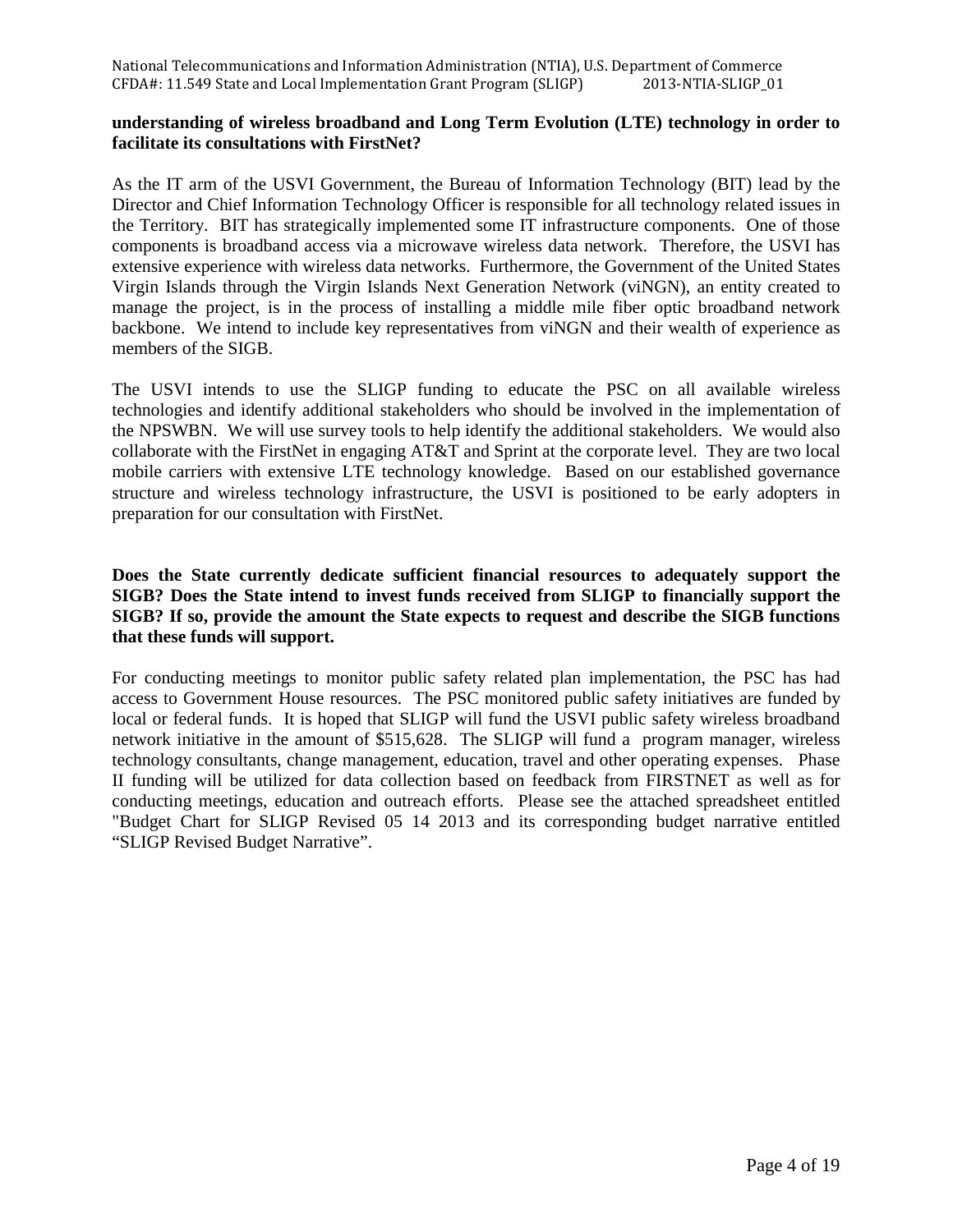# **understanding of wireless broadband and Long Term Evolution (LTE) technology in order to facilitate its consultations with FirstNet?**

As the IT arm of the USVI Government, the Bureau of Information Technology (BIT) lead by the Director and Chief Information Technology Officer is responsible for all technology related issues in the Territory. BIT has strategically implemented some IT infrastructure components. One of those components is broadband access via a microwave wireless data network. Therefore, the USVI has extensive experience with wireless data networks. Furthermore, the Government of the United States Virgin Islands through the Virgin Islands Next Generation Network (viNGN), an entity created to manage the project, is in the process of installing a middle mile fiber optic broadband network backbone. We intend to include key representatives from viNGN and their wealth of experience as members of the SIGB.

The USVI intends to use the SLIGP funding to educate the PSC on all available wireless technologies and identify additional stakeholders who should be involved in the implementation of the NPSWBN. We will use survey tools to help identify the additional stakeholders. We would also collaborate with the FirstNet in engaging AT&T and Sprint at the corporate level. They are two local mobile carriers with extensive LTE technology knowledge. Based on our established governance structure and wireless technology infrastructure, the USVI is positioned to be early adopters in preparation for our consultation with FirstNet.

# **Does the State currently dedicate sufficient financial resources to adequately support the SIGB? Does the State intend to invest funds received from SLIGP to financially support the SIGB? If so, provide the amount the State expects to request and describe the SIGB functions that these funds will support.**

For conducting meetings to monitor public safety related plan implementation, the PSC has had access to Government House resources. The PSC monitored public safety initiatives are funded by local or federal funds. It is hoped that SLIGP will fund the USVI public safety wireless broadband network initiative in the amount of \$515,628. The SLIGP will fund a program manager, wireless technology consultants, change management, education, travel and other operating expenses. Phase II funding will be utilized for data collection based on feedback from FIRSTNET as well as for conducting meetings, education and outreach efforts. Please see the attached spreadsheet entitled "Budget Chart for SLIGP Revised 05 14 2013 and its corresponding budget narrative entitled "SLIGP Revised Budget Narrative".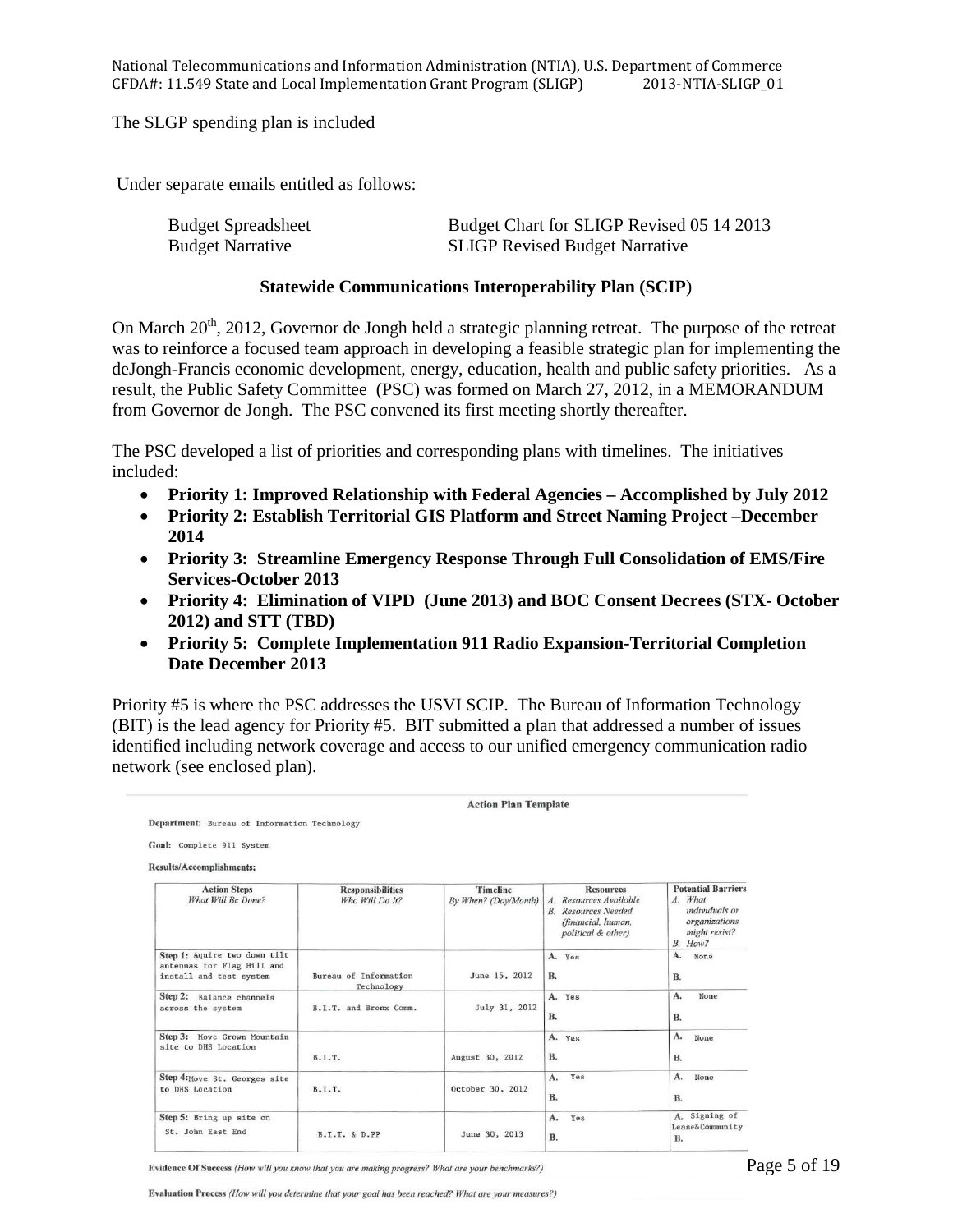The SLGP spending plan is included

Under separate emails entitled as follows:

| <b>Budget Spreadsheet</b> | Budget Chart for SLIGP Revised 05 14 2013 |
|---------------------------|-------------------------------------------|
| <b>Budget Narrative</b>   | <b>SLIGP Revised Budget Narrative</b>     |

#### **Statewide Communications Interoperability Plan (SCIP**)

On March  $20^{th}$ , 2012, Governor de Jongh held a strategic planning retreat. The purpose of the retreat was to reinforce a focused team approach in developing a feasible strategic plan for implementing the deJongh-Francis economic development, energy, education, health and public safety priorities. As a result, the Public Safety Committee (PSC) was formed on March 27, 2012, in a MEMORANDUM from Governor de Jongh. The PSC convened its first meeting shortly thereafter.

The PSC developed a list of priorities and corresponding plans with timelines. The initiatives included:

- **Priority 1: Improved Relationship with Federal Agencies Accomplished by July 2012**
- **Priority 2: Establish Territorial GIS Platform and Street Naming Project –December 2014**
- **Priority 3: Streamline Emergency Response Through Full Consolidation of EMS/Fire Services-October 2013**
- **Priority 4: Elimination of VIPD (June 2013) and BOC Consent Decrees (STX- October 2012) and STT (TBD)**
- **Priority 5: Complete Implementation 911 Radio Expansion-Territorial Completion Date December 2013**

Priority #5 is where the PSC addresses the USVI SCIP. The Bureau of Information Technology (BIT) is the lead agency for Priority #5. BIT submitted a plan that addressed a number of issues identified including network coverage and access to our unified emergency communication radio network (see enclosed plan).

|                                                                                                       |                                            | <b>Action Plan Template</b>             |                                                                                                                      |                                                                                                     |
|-------------------------------------------------------------------------------------------------------|--------------------------------------------|-----------------------------------------|----------------------------------------------------------------------------------------------------------------------|-----------------------------------------------------------------------------------------------------|
| Department: Bureau of Information Technology<br>Goal: Complete 911 System<br>Results/Accomplishments: |                                            |                                         |                                                                                                                      |                                                                                                     |
| <b>Action Steps</b><br>What Will Be Done?                                                             | <b>Responsibilities</b><br>Who Will Do It? | <b>Timeline</b><br>By When? (Day/Month) | <b>Resources</b><br>A. Resources Available<br><b>B.</b> Resources Needed<br>(financial, human,<br>political & other) | <b>Potential Barriers</b><br>A. What<br>individuals or<br>organizations<br>might resist?<br>B. How? |
| Step 1: Aquire two down tilt<br>antennas for Flag Hill and<br>install and test system                 | Bureau of Information<br>Technology        | June 15, 2012                           | A. Yes<br><b>B.</b>                                                                                                  | A.<br>None<br>B.                                                                                    |
| Step 2: Balance channels<br>across the system                                                         | B.I.T. and Bronx Comm.                     | July 31, 2012                           | A. Yes<br><b>B.</b>                                                                                                  | A.<br>None<br>В.                                                                                    |
| Step 3: Move Crown Mountain<br>site to DHS Location                                                   | B.T.T.                                     | August 30, 2012                         | A. Yes<br><b>B.</b>                                                                                                  | A.<br>None<br><b>B.</b>                                                                             |
| Step 4: Move St. Georges site<br>to DHS Location                                                      | B.I.T.                                     | October 30, 2012                        | Yes<br>A.<br><b>B.</b>                                                                                               | А.<br>None<br><b>B.</b>                                                                             |
| Step 5: Bring up site on<br>St. John East End                                                         | B.I.T. & D.PP                              | June 30, 2013                           | A.<br>Yes<br>B.                                                                                                      | A. Signing of<br>Lease& Community<br><b>B.</b>                                                      |

Evidence Of Success (How will you know that you are making progress? What are your benchmarks?)

Evaluation Process (How will you determine that your goal has been reached? What are your measures?)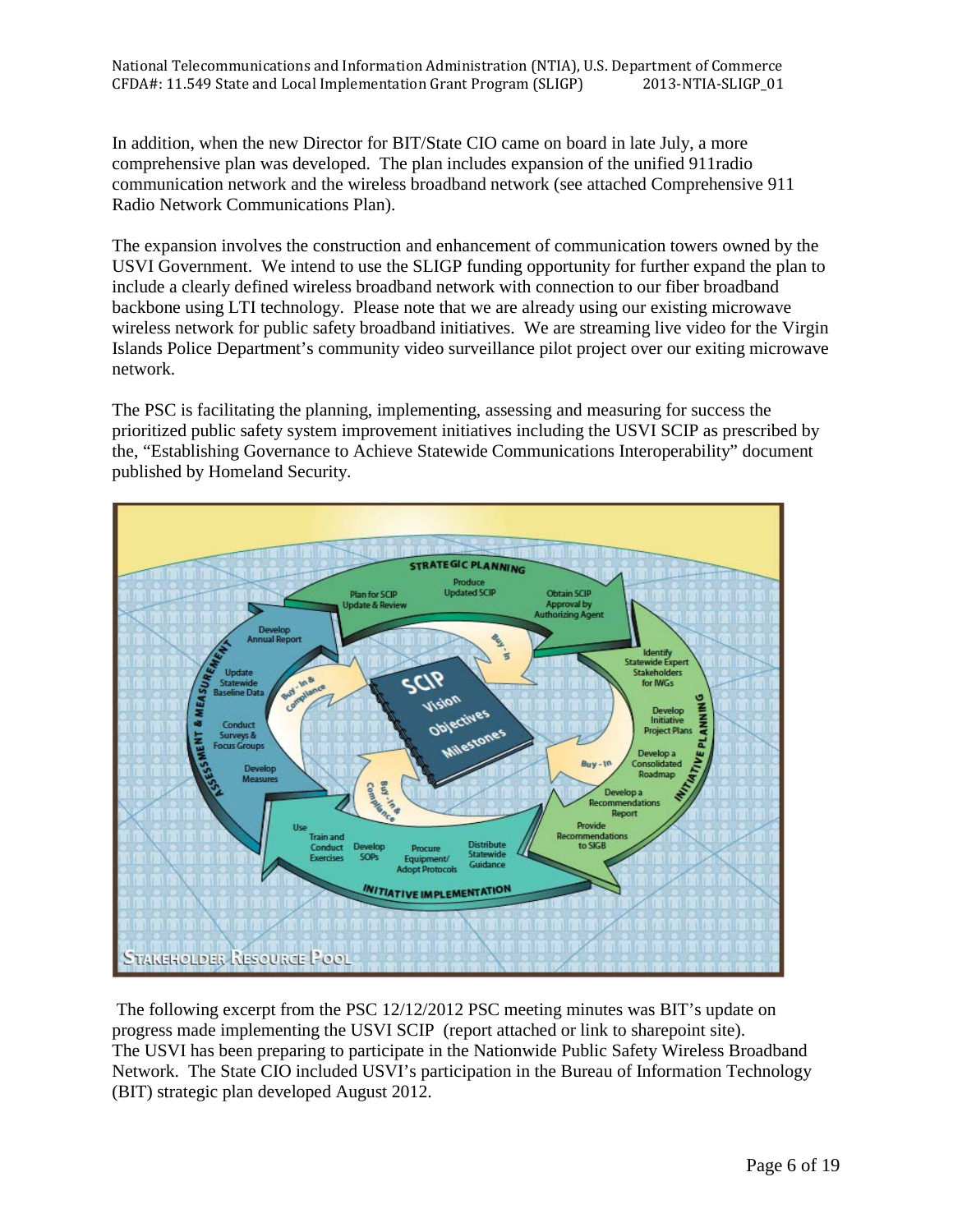In addition, when the new Director for BIT/State CIO came on board in late July, a more comprehensive plan was developed. The plan includes expansion of the unified 911radio communication network and the wireless broadband network (see attached Comprehensive 911 Radio Network Communications Plan).

The expansion involves the construction and enhancement of communication towers owned by the USVI Government. We intend to use the SLIGP funding opportunity for further expand the plan to include a clearly defined wireless broadband network with connection to our fiber broadband backbone using LTI technology. Please note that we are already using our existing microwave wireless network for public safety broadband initiatives. We are streaming live video for the Virgin Islands Police Department's community video surveillance pilot project over our exiting microwave network.

The PSC is facilitating the planning, implementing, assessing and measuring for success the prioritized public safety system improvement initiatives including the USVI SCIP as prescribed by the, "Establishing Governance to Achieve Statewide Communications Interoperability" document published by Homeland Security.



 The following excerpt from the PSC 12/12/2012 PSC meeting minutes was BIT's update on progress made implementing the USVI SCIP (report attached or link to sharepoint site). The USVI has been preparing to participate in the Nationwide Public Safety Wireless Broadband Network. The State CIO included USVI's participation in the Bureau of Information Technology (BIT) strategic plan developed August 2012.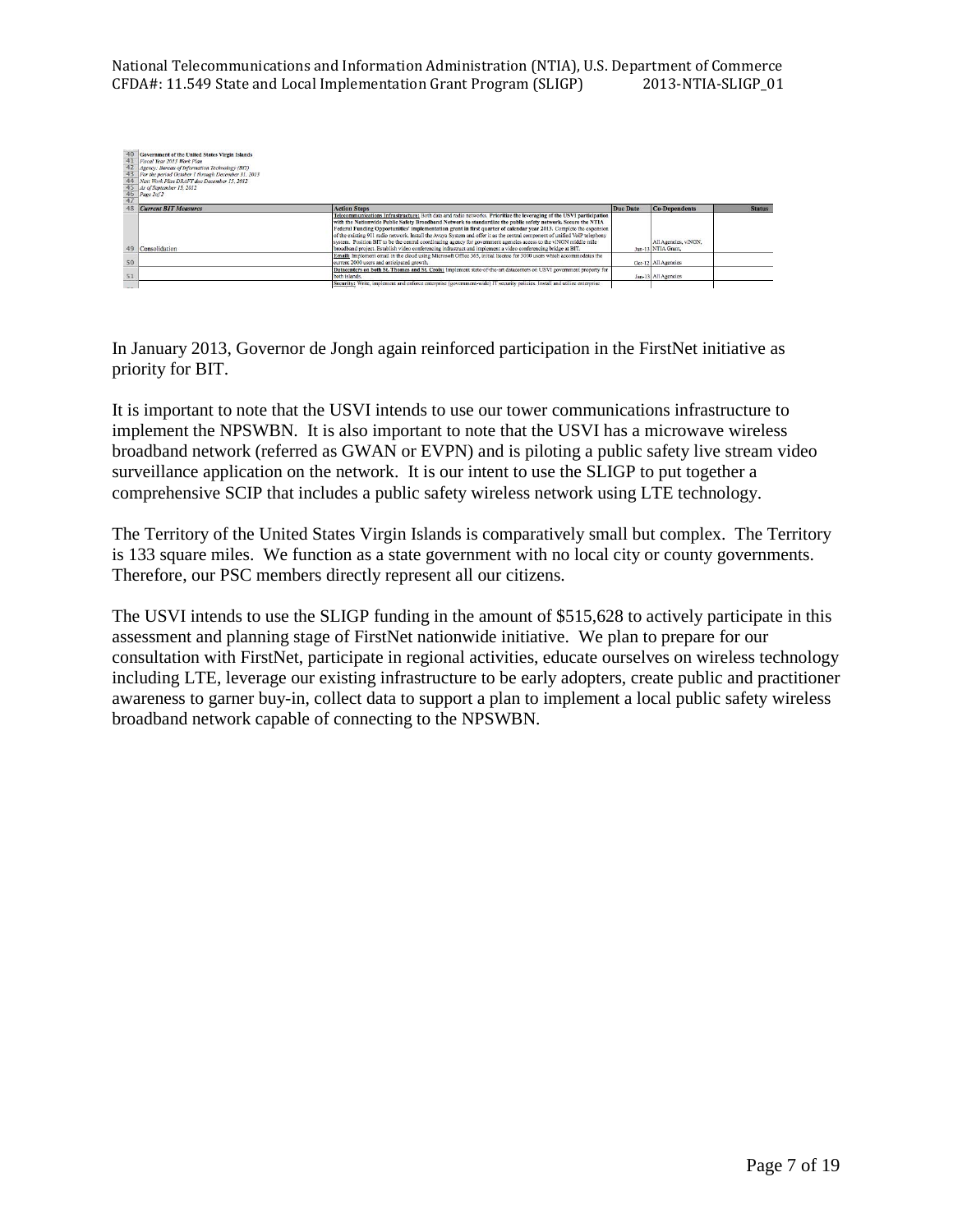National Telecommunications and Information Administration (NTIA), U.S. Department of Commerce<br>CFDA#: 11.549 State and Local Implementation Grant Program (SLIGP) 2013-NTIA-SLIGP\_01 CFDA#: 11.549 State and Local Implementation Grant Program (SLIGP)

|    | Government of the United States Virgin Islands<br>41 Fiscal Year 2013 Work Plan<br>42 Agency: Bureau of Information Technology (BIT)<br>43 For the period October 1 through December 31, 2013<br>44 Next Work Plan DRAFT due December 15, 2012<br>45 As of September 15, 2012<br>$\frac{46}{47}$ Page 2of 2 |                                                                                                                                                                                                                                                                                                                                                                                                                                                                                                                                                                                                                                                                                                                                   |          |                                            |               |
|----|-------------------------------------------------------------------------------------------------------------------------------------------------------------------------------------------------------------------------------------------------------------------------------------------------------------|-----------------------------------------------------------------------------------------------------------------------------------------------------------------------------------------------------------------------------------------------------------------------------------------------------------------------------------------------------------------------------------------------------------------------------------------------------------------------------------------------------------------------------------------------------------------------------------------------------------------------------------------------------------------------------------------------------------------------------------|----------|--------------------------------------------|---------------|
|    | <b>Current BIT Measures</b>                                                                                                                                                                                                                                                                                 | <b>Action Steps</b>                                                                                                                                                                                                                                                                                                                                                                                                                                                                                                                                                                                                                                                                                                               | Due Date | Co-Dependents                              | <b>Status</b> |
| 49 | Consolidation                                                                                                                                                                                                                                                                                               | Telecommunications Infrastructure: Both data and radio networks. Prioritize the leveraging of the USVI participation<br>with the Nationwide Public Safety Broadband Network to standardize the public safety network. Secure the NTIA<br>Federal Funding Opportunities' implementation grant in first quarter of calendar year 2013. Complete the expansion<br>of the existing 911 radio network. Install the Avaya System and offer it as the central component of unified VoIP telephony<br>system. Position BIT to be the central coordinating agency for government agencies access to the viNGN middle mile<br>broadband project. Establish video conferencing infrastruct and implement a video conferencing bridge at BIT. |          | All Agencies, viNGN,<br>Jun-13 NTIA Grant. |               |
| 50 |                                                                                                                                                                                                                                                                                                             | Email: Implement email in the cloud using Microsoft Office 365, initial license for 3000 users which accommodates the<br>current 2000 users and anticipated growth.                                                                                                                                                                                                                                                                                                                                                                                                                                                                                                                                                               |          | Oct-12 All Agencies                        |               |
| 51 |                                                                                                                                                                                                                                                                                                             | Datacenters on both St. Thomas and St. Croix: Implement state-of-the-art datacenters on USVI government property for<br>both islands.                                                                                                                                                                                                                                                                                                                                                                                                                                                                                                                                                                                             |          | Jan-13 All Agencies                        |               |
|    |                                                                                                                                                                                                                                                                                                             | Security: Write, implement and enforce enterprise (government-wide) IT security policies. Install and utilize enterprise                                                                                                                                                                                                                                                                                                                                                                                                                                                                                                                                                                                                          |          |                                            |               |

In January 2013, Governor de Jongh again reinforced participation in the FirstNet initiative as priority for BIT.

It is important to note that the USVI intends to use our tower communications infrastructure to implement the NPSWBN. It is also important to note that the USVI has a microwave wireless broadband network (referred as GWAN or EVPN) and is piloting a public safety live stream video surveillance application on the network. It is our intent to use the SLIGP to put together a comprehensive SCIP that includes a public safety wireless network using LTE technology.

The Territory of the United States Virgin Islands is comparatively small but complex. The Territory is 133 square miles. We function as a state government with no local city or county governments. Therefore, our PSC members directly represent all our citizens.

The USVI intends to use the SLIGP funding in the amount of \$515,628 to actively participate in this assessment and planning stage of FirstNet nationwide initiative. We plan to prepare for our consultation with FirstNet, participate in regional activities, educate ourselves on wireless technology including LTE, leverage our existing infrastructure to be early adopters, create public and practitioner awareness to garner buy-in, collect data to support a plan to implement a local public safety wireless broadband network capable of connecting to the NPSWBN.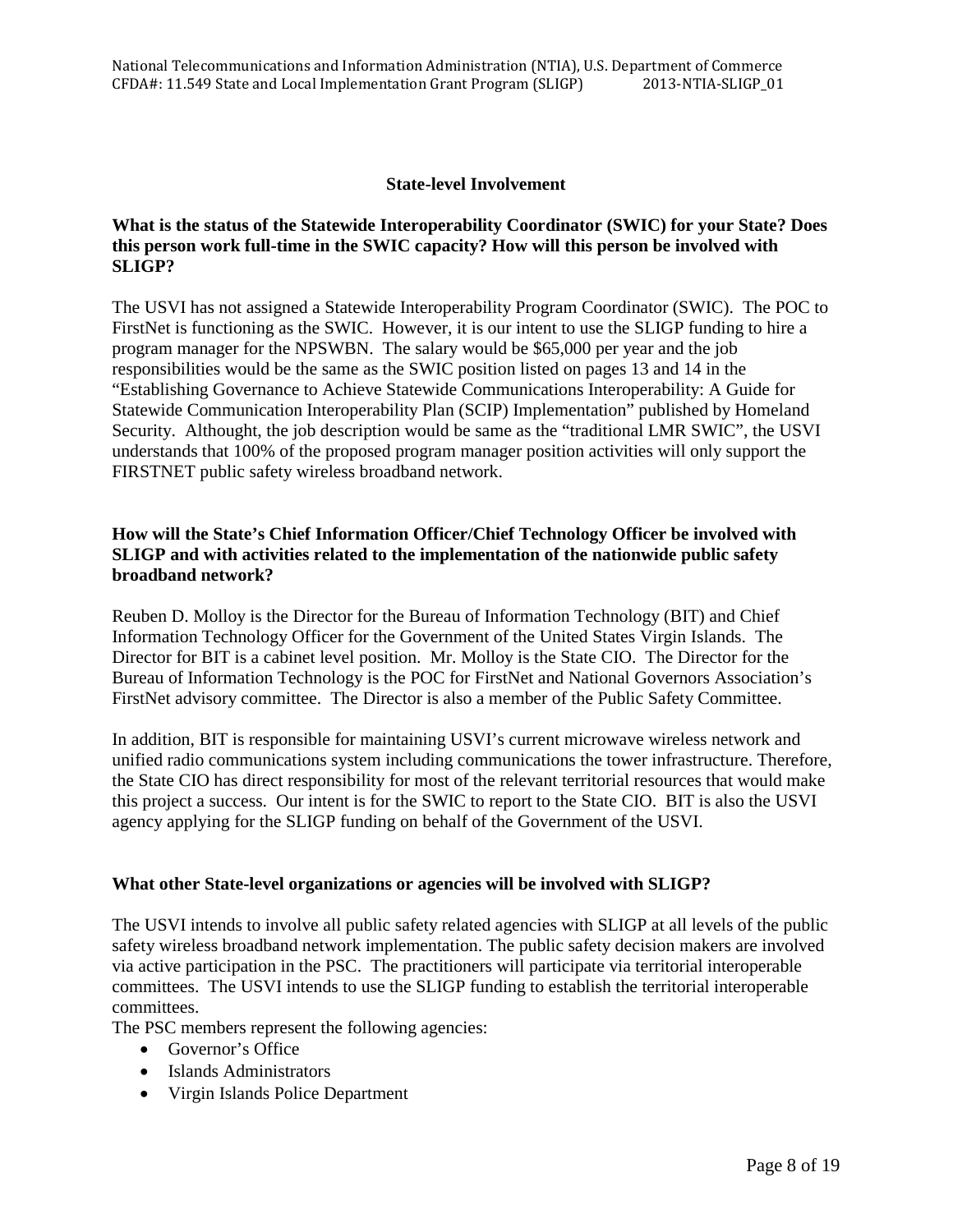# **State-level Involvement**

# **What is the status of the Statewide Interoperability Coordinator (SWIC) for your State? Does this person work full-time in the SWIC capacity? How will this person be involved with SLIGP?**

The USVI has not assigned a Statewide Interoperability Program Coordinator (SWIC). The POC to FirstNet is functioning as the SWIC. However, it is our intent to use the SLIGP funding to hire a program manager for the NPSWBN. The salary would be \$65,000 per year and the job responsibilities would be the same as the SWIC position listed on pages 13 and 14 in the "Establishing Governance to Achieve Statewide Communications Interoperability: A Guide for Statewide Communication Interoperability Plan (SCIP) Implementation" published by Homeland Security. Althought, the job description would be same as the "traditional LMR SWIC", the USVI understands that 100% of the proposed program manager position activities will only support the FIRSTNET public safety wireless broadband network.

# **How will the State's Chief Information Officer/Chief Technology Officer be involved with SLIGP and with activities related to the implementation of the nationwide public safety broadband network?**

Reuben D. Molloy is the Director for the Bureau of Information Technology (BIT) and Chief Information Technology Officer for the Government of the United States Virgin Islands. The Director for BIT is a cabinet level position. Mr. Molloy is the State CIO. The Director for the Bureau of Information Technology is the POC for FirstNet and National Governors Association's FirstNet advisory committee. The Director is also a member of the Public Safety Committee.

In addition, BIT is responsible for maintaining USVI's current microwave wireless network and unified radio communications system including communications the tower infrastructure. Therefore, the State CIO has direct responsibility for most of the relevant territorial resources that would make this project a success. Our intent is for the SWIC to report to the State CIO. BIT is also the USVI agency applying for the SLIGP funding on behalf of the Government of the USVI.

## **What other State-level organizations or agencies will be involved with SLIGP?**

The USVI intends to involve all public safety related agencies with SLIGP at all levels of the public safety wireless broadband network implementation. The public safety decision makers are involved via active participation in the PSC. The practitioners will participate via territorial interoperable committees. The USVI intends to use the SLIGP funding to establish the territorial interoperable committees.

The PSC members represent the following agencies:

- Governor's Office
- Islands Administrators
- Virgin Islands Police Department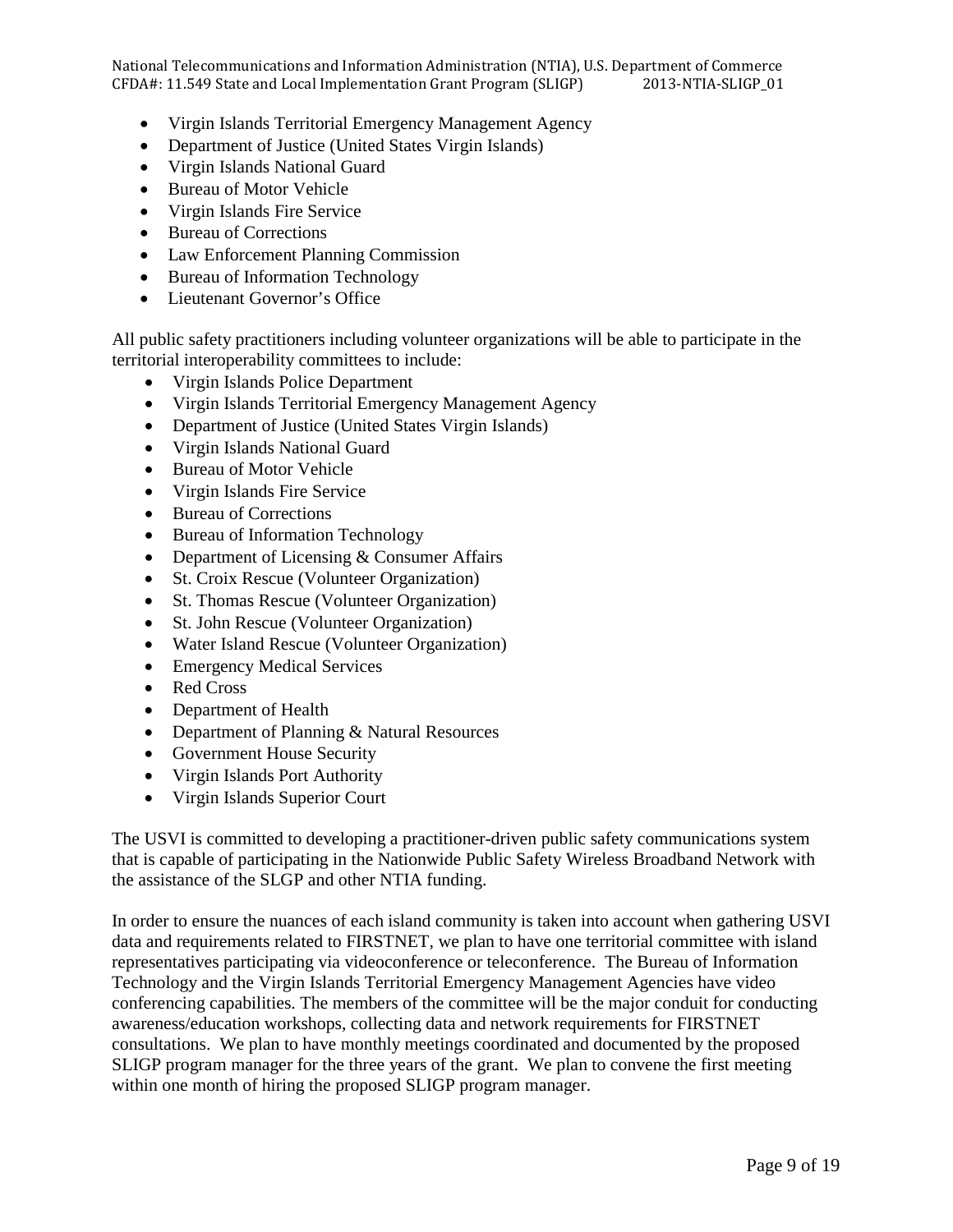National Telecommunications and Information Administration (NTIA), U.S. Department of Commerce<br>CFDA#: 11.549 State and Local Implementation Grant Program (SLIGP) 2013-NTIA-SLIGP\_01 CFDA#: 11.549 State and Local Implementation Grant Program (SLIGP)

- Virgin Islands Territorial Emergency Management Agency
- Department of Justice (United States Virgin Islands)
- Virgin Islands National Guard
- Bureau of Motor Vehicle
- Virgin Islands Fire Service
- Bureau of Corrections
- Law Enforcement Planning Commission
- Bureau of Information Technology
- Lieutenant Governor's Office

All public safety practitioners including volunteer organizations will be able to participate in the territorial interoperability committees to include:

- Virgin Islands Police Department
- Virgin Islands Territorial Emergency Management Agency
- Department of Justice (United States Virgin Islands)
- Virgin Islands National Guard
- Bureau of Motor Vehicle
- Virgin Islands Fire Service
- Bureau of Corrections
- Bureau of Information Technology
- Department of Licensing & Consumer Affairs
- St. Croix Rescue (Volunteer Organization)
- St. Thomas Rescue (Volunteer Organization)
- St. John Rescue (Volunteer Organization)
- Water Island Rescue (Volunteer Organization)
- Emergency Medical Services
- Red Cross
- Department of Health
- Department of Planning & Natural Resources
- Government House Security
- Virgin Islands Port Authority
- Virgin Islands Superior Court

The USVI is committed to developing a practitioner-driven public safety communications system that is capable of participating in the Nationwide Public Safety Wireless Broadband Network with the assistance of the SLGP and other NTIA funding.

In order to ensure the nuances of each island community is taken into account when gathering USVI data and requirements related to FIRSTNET, we plan to have one territorial committee with island representatives participating via videoconference or teleconference. The Bureau of Information Technology and the Virgin Islands Territorial Emergency Management Agencies have video conferencing capabilities. The members of the committee will be the major conduit for conducting awareness/education workshops, collecting data and network requirements for FIRSTNET consultations. We plan to have monthly meetings coordinated and documented by the proposed SLIGP program manager for the three years of the grant. We plan to convene the first meeting within one month of hiring the proposed SLIGP program manager.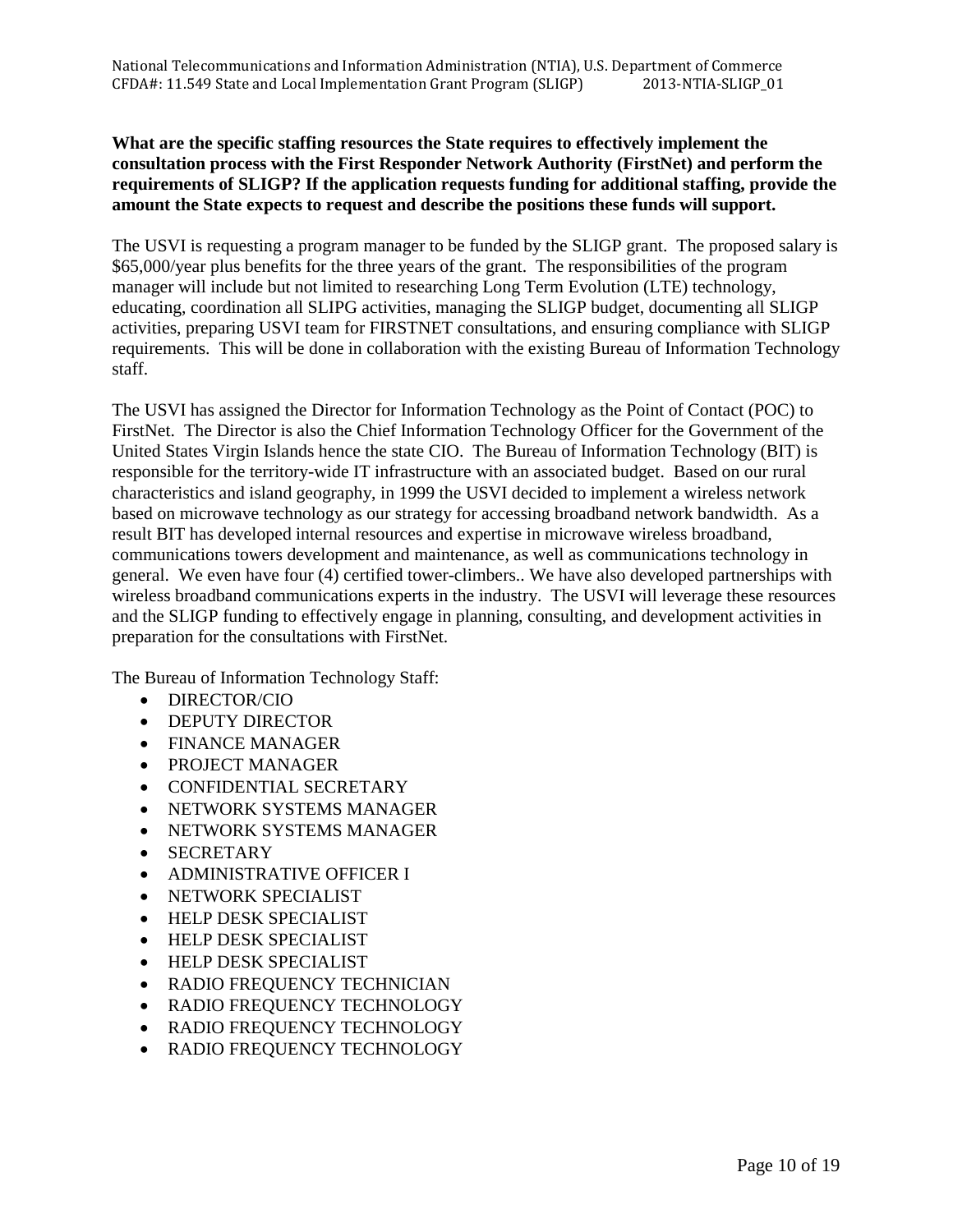# **What are the specific staffing resources the State requires to effectively implement the consultation process with the First Responder Network Authority (FirstNet) and perform the requirements of SLIGP? If the application requests funding for additional staffing, provide the amount the State expects to request and describe the positions these funds will support.**

The USVI is requesting a program manager to be funded by the SLIGP grant. The proposed salary is \$65,000/year plus benefits for the three years of the grant. The responsibilities of the program manager will include but not limited to researching Long Term Evolution (LTE) technology, educating, coordination all SLIPG activities, managing the SLIGP budget, documenting all SLIGP activities, preparing USVI team for FIRSTNET consultations, and ensuring compliance with SLIGP requirements. This will be done in collaboration with the existing Bureau of Information Technology staff.

The USVI has assigned the Director for Information Technology as the Point of Contact (POC) to FirstNet. The Director is also the Chief Information Technology Officer for the Government of the United States Virgin Islands hence the state CIO. The Bureau of Information Technology (BIT) is responsible for the territory-wide IT infrastructure with an associated budget. Based on our rural characteristics and island geography, in 1999 the USVI decided to implement a wireless network based on microwave technology as our strategy for accessing broadband network bandwidth. As a result BIT has developed internal resources and expertise in microwave wireless broadband, communications towers development and maintenance, as well as communications technology in general. We even have four (4) certified tower-climbers.. We have also developed partnerships with wireless broadband communications experts in the industry. The USVI will leverage these resources and the SLIGP funding to effectively engage in planning, consulting, and development activities in preparation for the consultations with FirstNet.

The Bureau of Information Technology Staff:

- DIRECTOR/CIO
- DEPUTY DIRECTOR
- FINANCE MANAGER
- PROJECT MANAGER
- CONFIDENTIAL SECRETARY
- NETWORK SYSTEMS MANAGER
- NETWORK SYSTEMS MANAGER
- SECRETARY
- ADMINISTRATIVE OFFICER I
- NETWORK SPECIALIST
- HELP DESK SPECIALIST
- HELP DESK SPECIALIST
- HELP DESK SPECIALIST
- RADIO FREQUENCY TECHNICIAN
- RADIO FREQUENCY TECHNOLOGY
- RADIO FREQUENCY TECHNOLOGY
- RADIO FREQUENCY TECHNOLOGY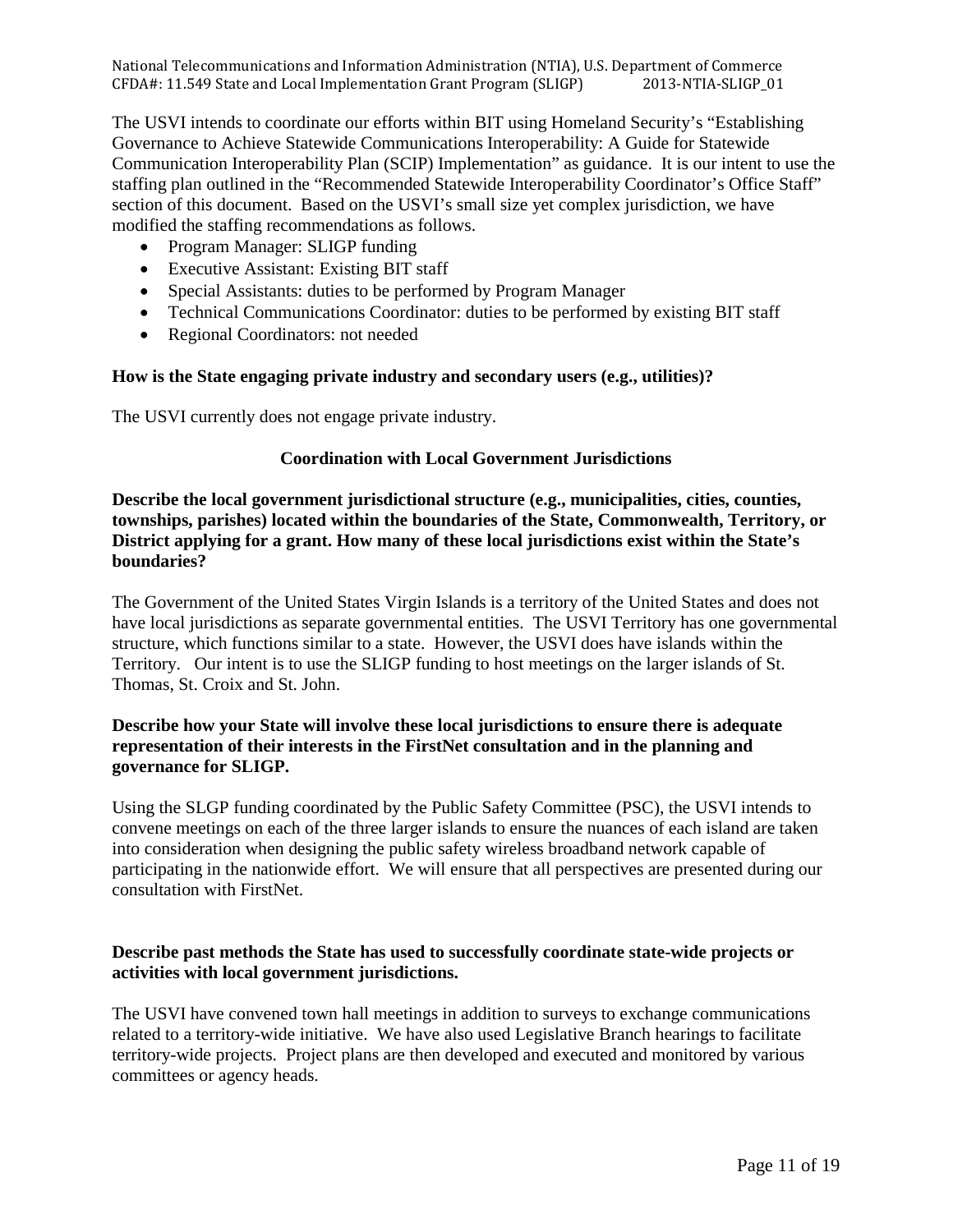The USVI intends to coordinate our efforts within BIT using Homeland Security's "Establishing Governance to Achieve Statewide Communications Interoperability: A Guide for Statewide Communication Interoperability Plan (SCIP) Implementation" as guidance. It is our intent to use the staffing plan outlined in the "Recommended Statewide Interoperability Coordinator's Office Staff" section of this document. Based on the USVI's small size yet complex jurisdiction, we have modified the staffing recommendations as follows.

- Program Manager: SLIGP funding
- Executive Assistant: Existing BIT staff
- Special Assistants: duties to be performed by Program Manager
- Technical Communications Coordinator: duties to be performed by existing BIT staff
- Regional Coordinators: not needed

# **How is the State engaging private industry and secondary users (e.g., utilities)?**

The USVI currently does not engage private industry.

# **Coordination with Local Government Jurisdictions**

**Describe the local government jurisdictional structure (e.g., municipalities, cities, counties, townships, parishes) located within the boundaries of the State, Commonwealth, Territory, or District applying for a grant. How many of these local jurisdictions exist within the State's boundaries?** 

The Government of the United States Virgin Islands is a territory of the United States and does not have local jurisdictions as separate governmental entities. The USVI Territory has one governmental structure, which functions similar to a state. However, the USVI does have islands within the Territory. Our intent is to use the SLIGP funding to host meetings on the larger islands of St. Thomas, St. Croix and St. John.

# **Describe how your State will involve these local jurisdictions to ensure there is adequate representation of their interests in the FirstNet consultation and in the planning and governance for SLIGP.**

Using the SLGP funding coordinated by the Public Safety Committee (PSC), the USVI intends to convene meetings on each of the three larger islands to ensure the nuances of each island are taken into consideration when designing the public safety wireless broadband network capable of participating in the nationwide effort. We will ensure that all perspectives are presented during our consultation with FirstNet.

# **Describe past methods the State has used to successfully coordinate state-wide projects or activities with local government jurisdictions.**

The USVI have convened town hall meetings in addition to surveys to exchange communications related to a territory-wide initiative. We have also used Legislative Branch hearings to facilitate territory-wide projects. Project plans are then developed and executed and monitored by various committees or agency heads.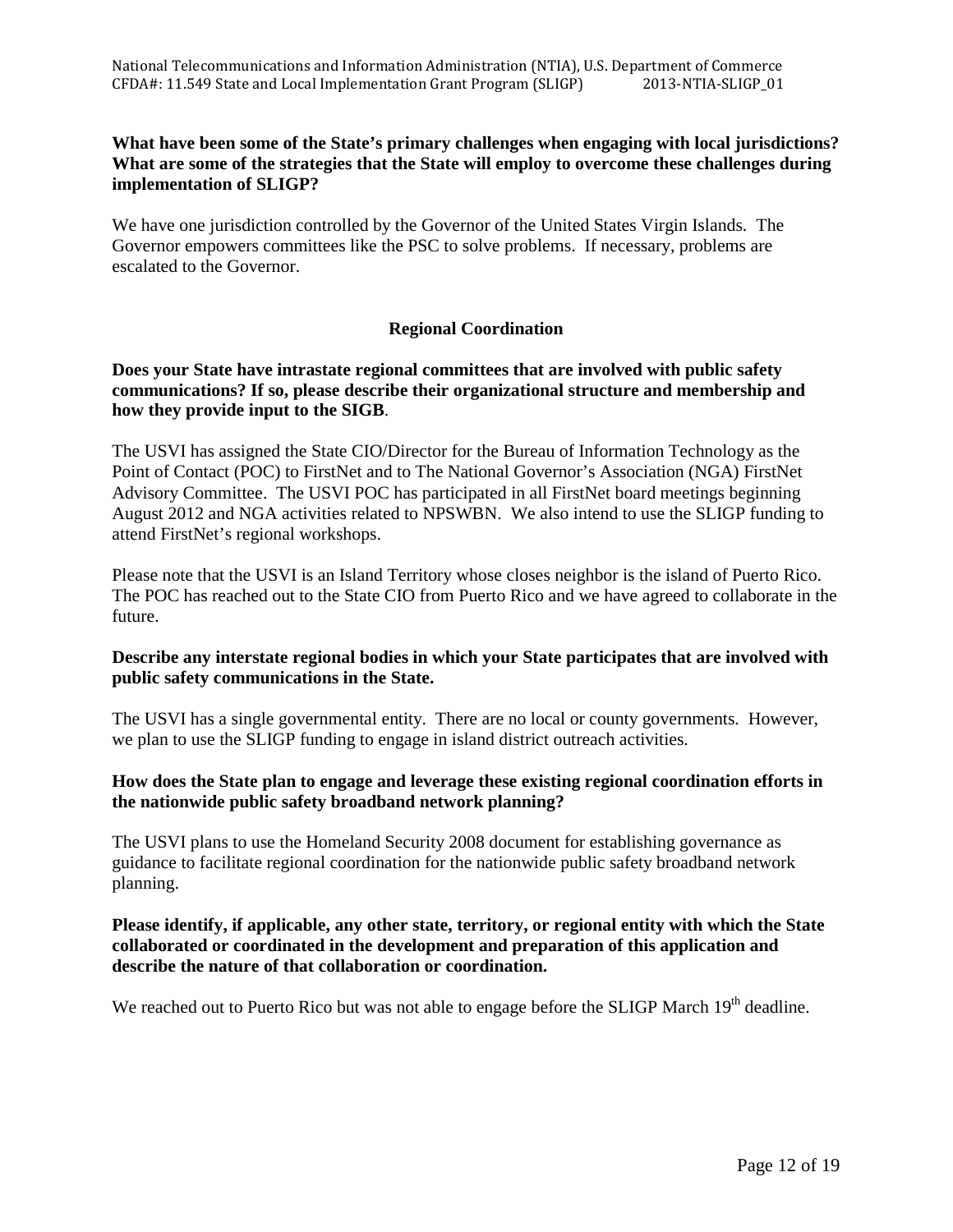# **What have been some of the State's primary challenges when engaging with local jurisdictions? What are some of the strategies that the State will employ to overcome these challenges during implementation of SLIGP?**

We have one jurisdiction controlled by the Governor of the United States Virgin Islands. The Governor empowers committees like the PSC to solve problems. If necessary, problems are escalated to the Governor.

# **Regional Coordination**

# **Does your State have intrastate regional committees that are involved with public safety communications? If so, please describe their organizational structure and membership and how they provide input to the SIGB**.

The USVI has assigned the State CIO/Director for the Bureau of Information Technology as the Point of Contact (POC) to FirstNet and to The National Governor's Association (NGA) FirstNet Advisory Committee. The USVI POC has participated in all FirstNet board meetings beginning August 2012 and NGA activities related to NPSWBN. We also intend to use the SLIGP funding to attend FirstNet's regional workshops.

Please note that the USVI is an Island Territory whose closes neighbor is the island of Puerto Rico. The POC has reached out to the State CIO from Puerto Rico and we have agreed to collaborate in the future.

# **Describe any interstate regional bodies in which your State participates that are involved with public safety communications in the State.**

The USVI has a single governmental entity. There are no local or county governments. However, we plan to use the SLIGP funding to engage in island district outreach activities.

# **How does the State plan to engage and leverage these existing regional coordination efforts in the nationwide public safety broadband network planning?**

The USVI plans to use the Homeland Security 2008 document for establishing governance as guidance to facilitate regional coordination for the nationwide public safety broadband network planning.

# **Please identify, if applicable, any other state, territory, or regional entity with which the State collaborated or coordinated in the development and preparation of this application and describe the nature of that collaboration or coordination.**

We reached out to Puerto Rico but was not able to engage before the SLIGP March 19<sup>th</sup> deadline.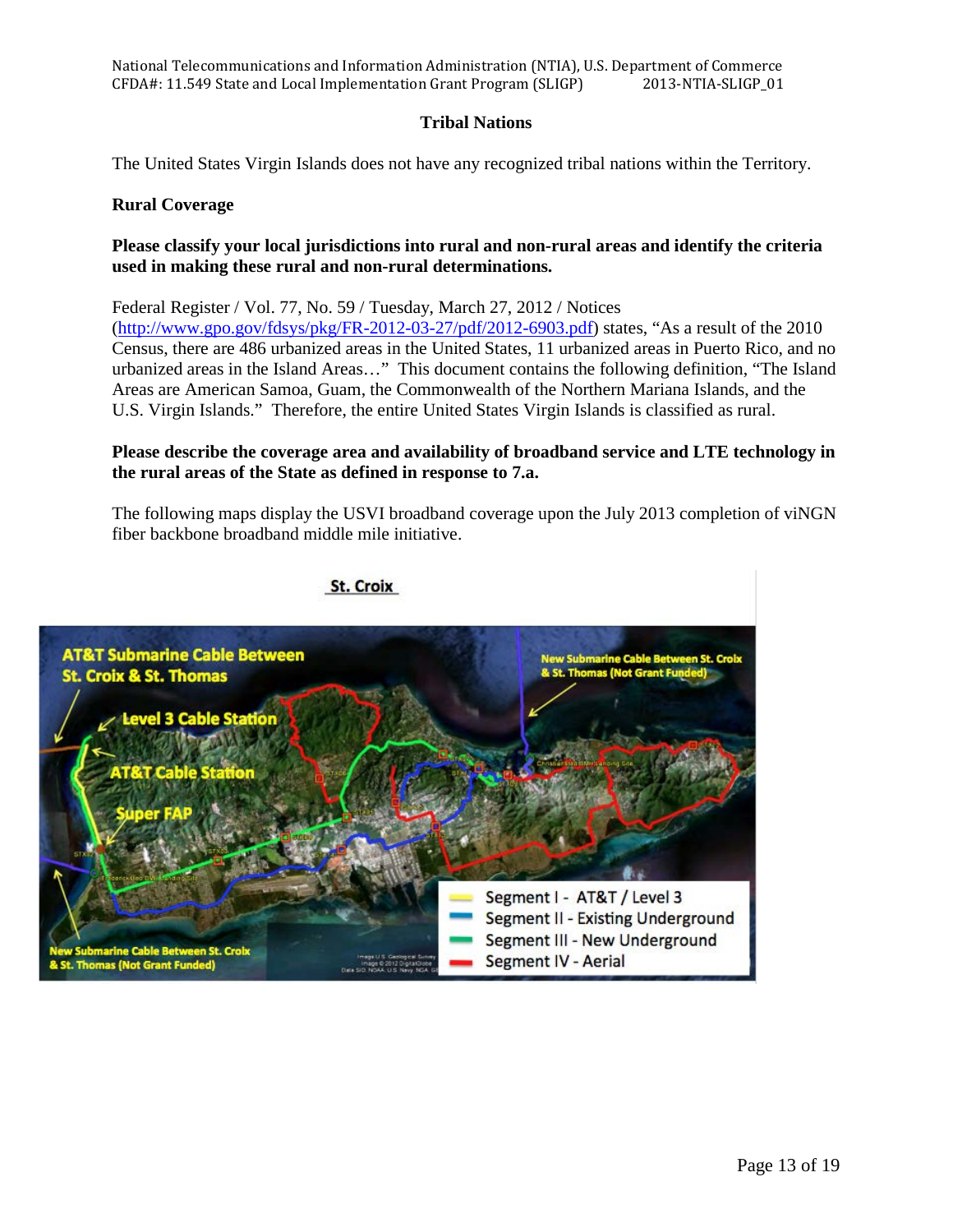National Telecommunications and Information Administration (NTIA), U.S. Department of Commerce<br>CFDA#: 11.549 State and Local Implementation Grant Program (SLIGP) 2013-NTIA-SLIGP\_01 CFDA#: 11.549 State and Local Implementation Grant Program (SLIGP)

# **Tribal Nations**

The United States Virgin Islands does not have any recognized tribal nations within the Territory.

## **Rural Coverage**

# **Please classify your local jurisdictions into rural and non-rural areas and identify the criteria used in making these rural and non-rural determinations.**

Federal Register / Vol. 77, No. 59 / Tuesday, March 27, 2012 / Notices [\(http://www.gpo.gov/fdsys/pkg/FR-2012-03-27/pdf/2012-6903.pdf\)](http://www.gpo.gov/fdsys/pkg/FR-2012-03-27/pdf/2012-6903.pdf) states, "As a result of the 2010 Census, there are 486 urbanized areas in the United States, 11 urbanized areas in Puerto Rico, and no urbanized areas in the Island Areas…" This document contains the following definition, "The Island Areas are American Samoa, Guam, the Commonwealth of the Northern Mariana Islands, and the U.S. Virgin Islands." Therefore, the entire United States Virgin Islands is classified as rural.

# **Please describe the coverage area and availability of broadband service and LTE technology in the rural areas of the State as defined in response to 7.a.**

The following maps display the USVI broadband coverage upon the July 2013 completion of viNGN fiber backbone broadband middle mile initiative.

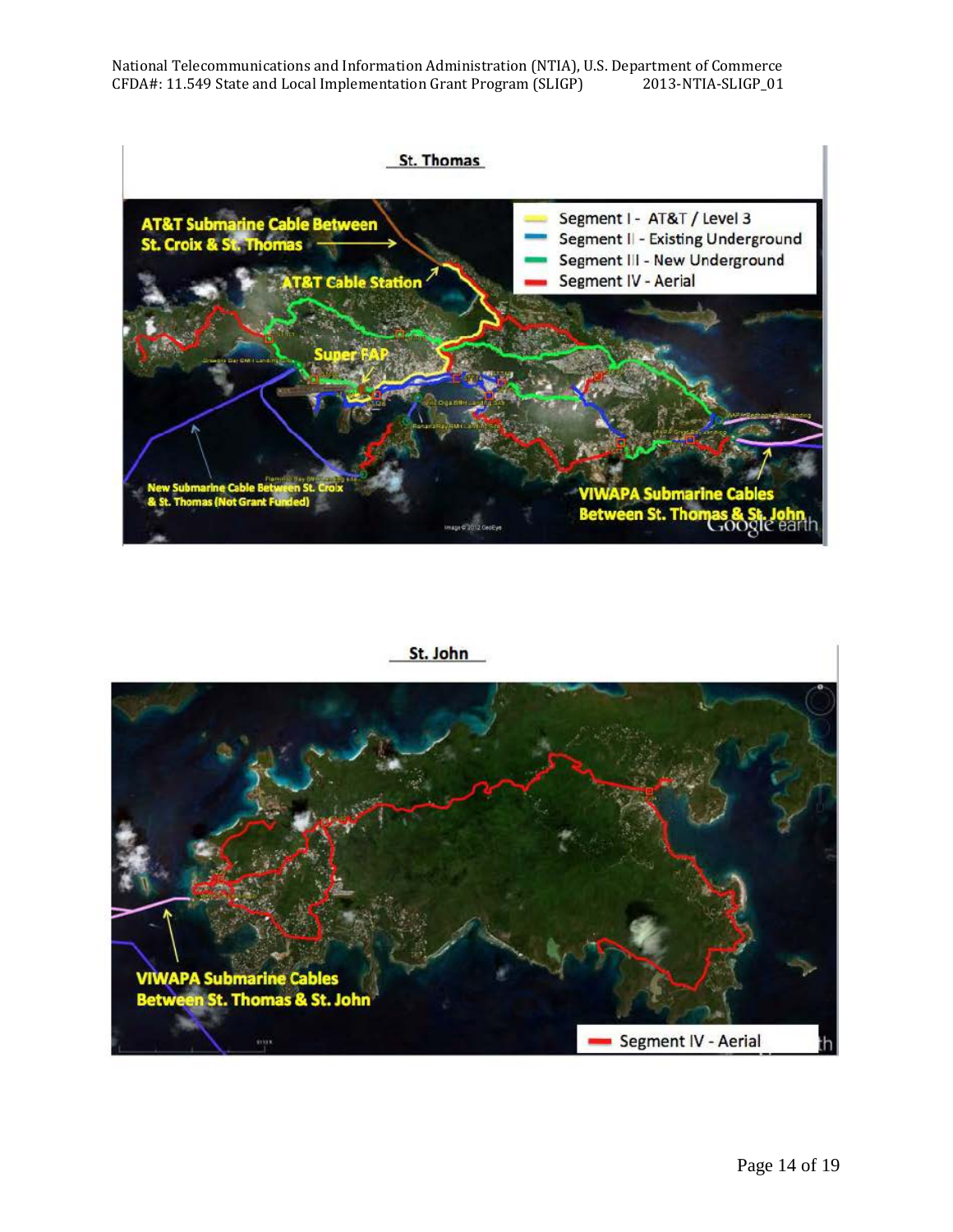

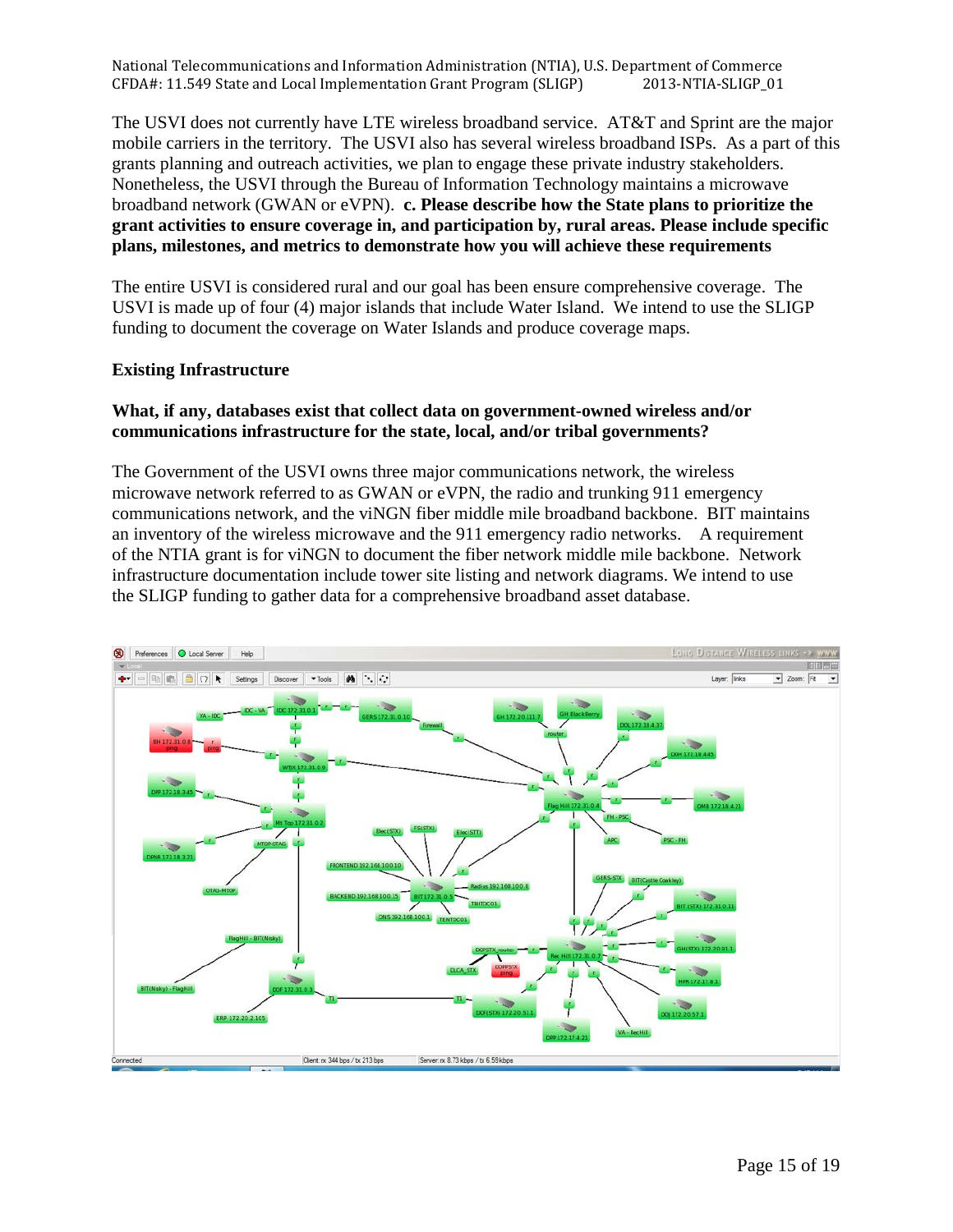The USVI does not currently have LTE wireless broadband service. AT&T and Sprint are the major mobile carriers in the territory. The USVI also has several wireless broadband ISPs. As a part of this grants planning and outreach activities, we plan to engage these private industry stakeholders. Nonetheless, the USVI through the Bureau of Information Technology maintains a microwave broadband network (GWAN or eVPN). **c. Please describe how the State plans to prioritize the grant activities to ensure coverage in, and participation by, rural areas. Please include specific plans, milestones, and metrics to demonstrate how you will achieve these requirements** 

The entire USVI is considered rural and our goal has been ensure comprehensive coverage. The USVI is made up of four (4) major islands that include Water Island. We intend to use the SLIGP funding to document the coverage on Water Islands and produce coverage maps.

# **Existing Infrastructure**

# **What, if any, databases exist that collect data on government-owned wireless and/or communications infrastructure for the state, local, and/or tribal governments?**

The Government of the USVI owns three major communications network, the wireless microwave network referred to as GWAN or eVPN, the radio and trunking 911 emergency communications network, and the viNGN fiber middle mile broadband backbone. BIT maintains an inventory of the wireless microwave and the 911 emergency radio networks. A requirement of the NTIA grant is for viNGN to document the fiber network middle mile backbone. Network infrastructure documentation include tower site listing and network diagrams. We intend to use the SLIGP funding to gather data for a comprehensive broadband asset database.

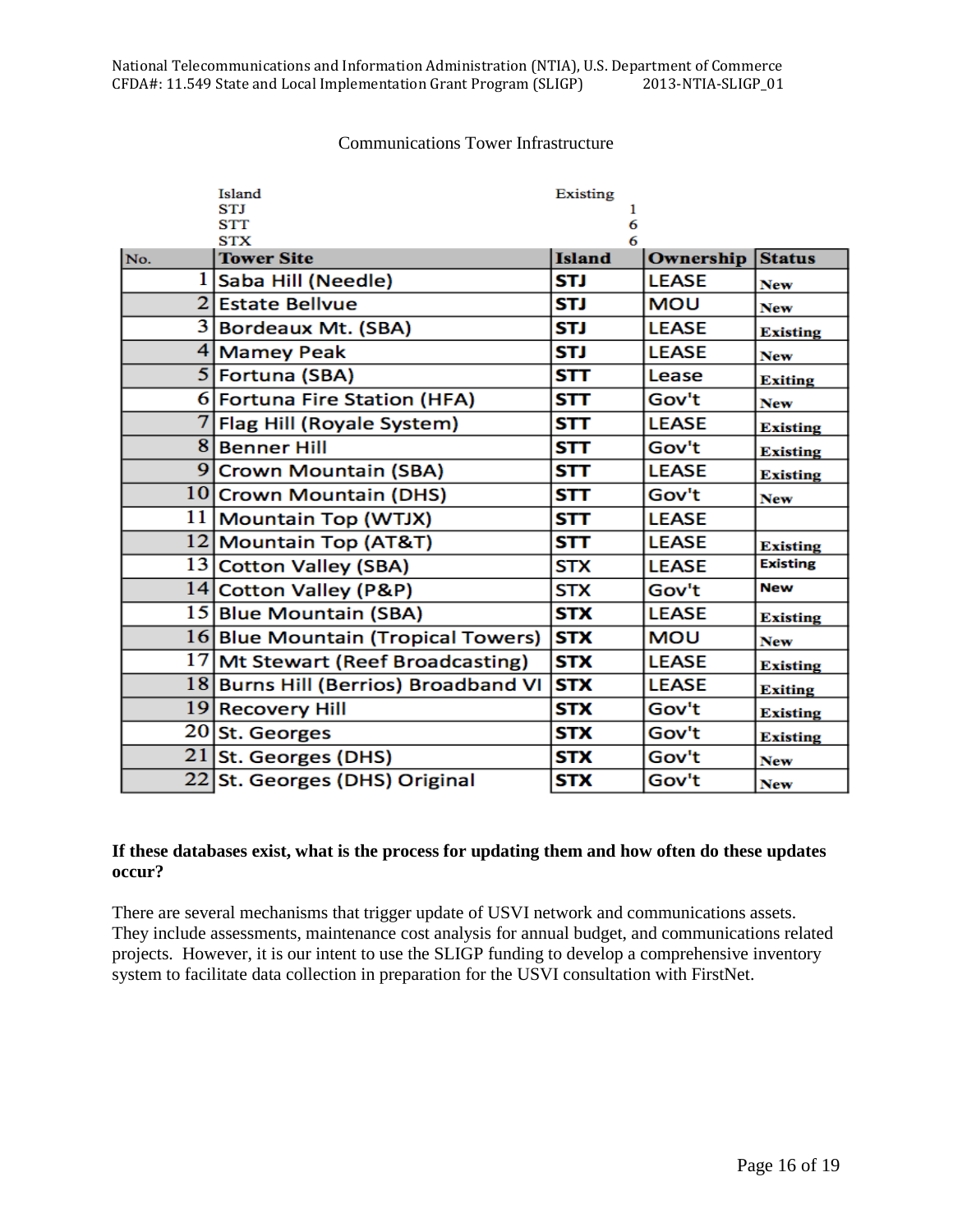#### Communications Tower Infrastructure

|     | Island                               | Existing      |              |                 |
|-----|--------------------------------------|---------------|--------------|-----------------|
|     | <b>STI</b><br><b>STT</b>             | 6             |              |                 |
|     | <b>STX</b>                           | 6             |              |                 |
| No. | <b>Tower Site</b>                    | <b>Island</b> | Ownership    | <b>Status</b>   |
|     | 1 Saba Hill (Needle)                 | <b>STJ</b>    | <b>LEASE</b> | <b>New</b>      |
|     | 2 Estate Bellvue                     | STJ           | <b>MOU</b>   | <b>New</b>      |
|     | 3 Bordeaux Mt. (SBA)                 | <b>STJ</b>    | <b>LEASE</b> | <b>Existing</b> |
|     | 4 Mamey Peak                         | <b>STJ</b>    | <b>LEASE</b> | <b>New</b>      |
|     | 5 Fortuna (SBA)                      | <b>STT</b>    | Lease        | Exiting         |
|     | 6 Fortuna Fire Station (HFA)         | STT           | Gov't        | <b>New</b>      |
|     | 7 Flag Hill (Royale System)          | STT           | <b>LEASE</b> | <b>Existing</b> |
|     | 8 Benner Hill                        | <b>STT</b>    | Gov't        | <b>Existing</b> |
|     | 9 Crown Mountain (SBA)               | STT           | <b>LEASE</b> | <b>Existing</b> |
|     | 10 Crown Mountain (DHS)              | <b>STT</b>    | Gov't        | <b>New</b>      |
|     | 11   Mountain Top (WTJX)             | <b>STT</b>    | <b>LEASE</b> |                 |
|     | 12 Mountain Top (AT&T)               | <b>STT</b>    | <b>LEASE</b> | <b>Existing</b> |
|     | 13 Cotton Valley (SBA)               | <b>STX</b>    | <b>LEASE</b> | <b>Existing</b> |
|     | 14 Cotton Valley (P&P)               | <b>STX</b>    | Gov't        | <b>New</b>      |
|     | 15 Blue Mountain (SBA)               | <b>STX</b>    | <b>LEASE</b> | <b>Existing</b> |
|     | 16 Blue Mountain (Tropical Towers)   | <b>STX</b>    | <b>MOU</b>   | <b>New</b>      |
|     | 17 Mt Stewart (Reef Broadcasting)    | <b>STX</b>    | <b>LEASE</b> | <b>Existing</b> |
|     | 18 Burns Hill (Berrios) Broadband VI | <b>STX</b>    | <b>LEASE</b> | <b>Exiting</b>  |
|     | 19 Recovery Hill                     | <b>STX</b>    | Gov't        | <b>Existing</b> |
|     | 20 St. Georges                       | STX           | Gov't        | <b>Existing</b> |
|     | 21 St. Georges (DHS)                 | <b>STX</b>    | Gov't        | <b>New</b>      |
|     | 22 St. Georges (DHS) Original        | <b>STX</b>    | Gov't        | <b>New</b>      |

# **If these databases exist, what is the process for updating them and how often do these updates occur?**

There are several mechanisms that trigger update of USVI network and communications assets. They include assessments, maintenance cost analysis for annual budget, and communications related projects. However, it is our intent to use the SLIGP funding to develop a comprehensive inventory system to facilitate data collection in preparation for the USVI consultation with FirstNet.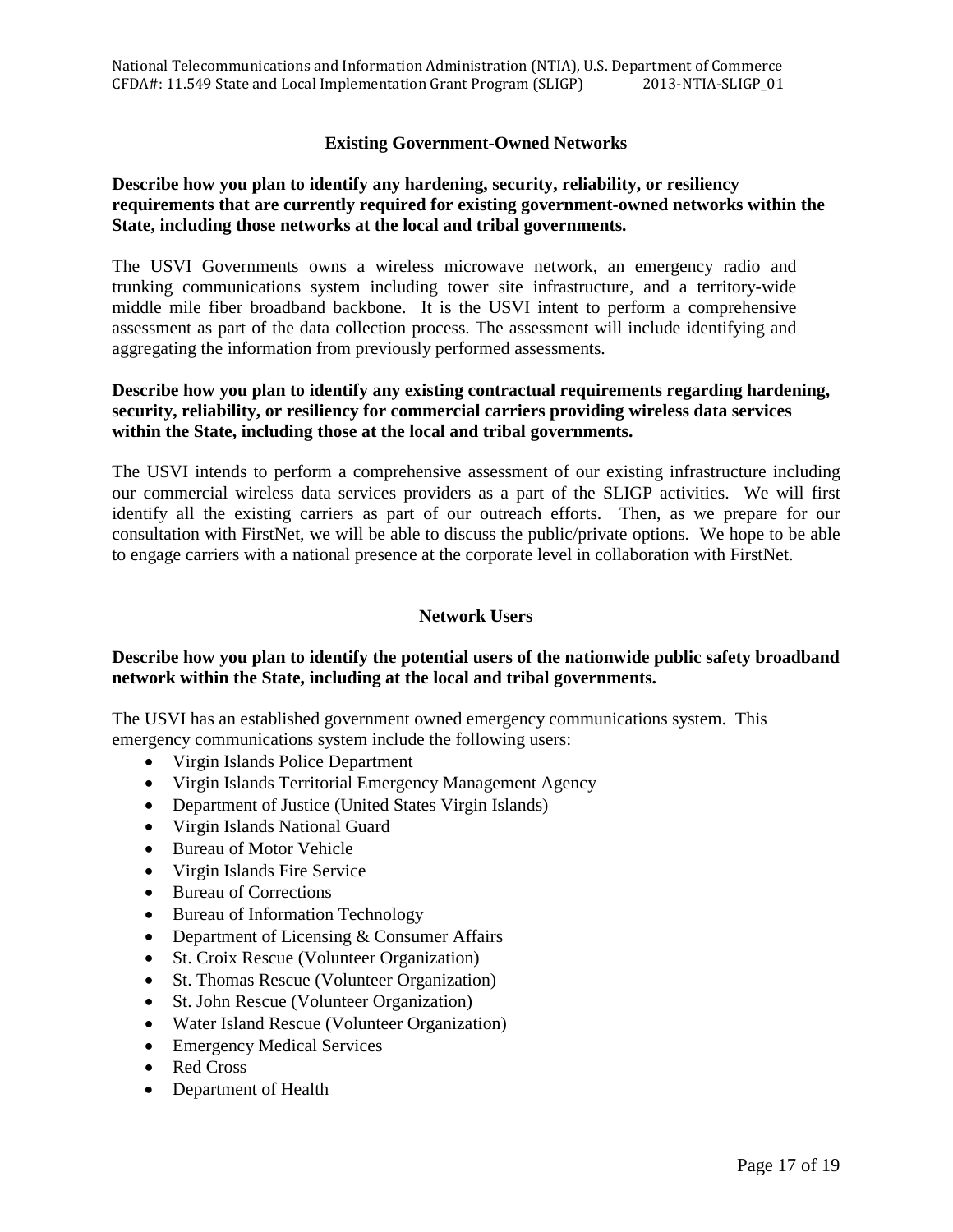# **Existing Government-Owned Networks**

# **Describe how you plan to identify any hardening, security, reliability, or resiliency requirements that are currently required for existing government-owned networks within the State, including those networks at the local and tribal governments.**

The USVI Governments owns a wireless microwave network, an emergency radio and trunking communications system including tower site infrastructure, and a territory-wide middle mile fiber broadband backbone. It is the USVI intent to perform a comprehensive assessment as part of the data collection process. The assessment will include identifying and aggregating the information from previously performed assessments.

# **Describe how you plan to identify any existing contractual requirements regarding hardening, security, reliability, or resiliency for commercial carriers providing wireless data services within the State, including those at the local and tribal governments.**

The USVI intends to perform a comprehensive assessment of our existing infrastructure including our commercial wireless data services providers as a part of the SLIGP activities. We will first identify all the existing carriers as part of our outreach efforts. Then, as we prepare for our consultation with FirstNet, we will be able to discuss the public/private options. We hope to be able to engage carriers with a national presence at the corporate level in collaboration with FirstNet.

## **Network Users**

## **Describe how you plan to identify the potential users of the nationwide public safety broadband network within the State, including at the local and tribal governments.**

The USVI has an established government owned emergency communications system. This emergency communications system include the following users:

- Virgin Islands Police Department
- Virgin Islands Territorial Emergency Management Agency
- Department of Justice (United States Virgin Islands)
- Virgin Islands National Guard
- Bureau of Motor Vehicle
- Virgin Islands Fire Service
- Bureau of Corrections
- Bureau of Information Technology
- Department of Licensing & Consumer Affairs
- St. Croix Rescue (Volunteer Organization)
- St. Thomas Rescue (Volunteer Organization)
- St. John Rescue (Volunteer Organization)
- Water Island Rescue (Volunteer Organization)
- Emergency Medical Services
- Red Cross
- Department of Health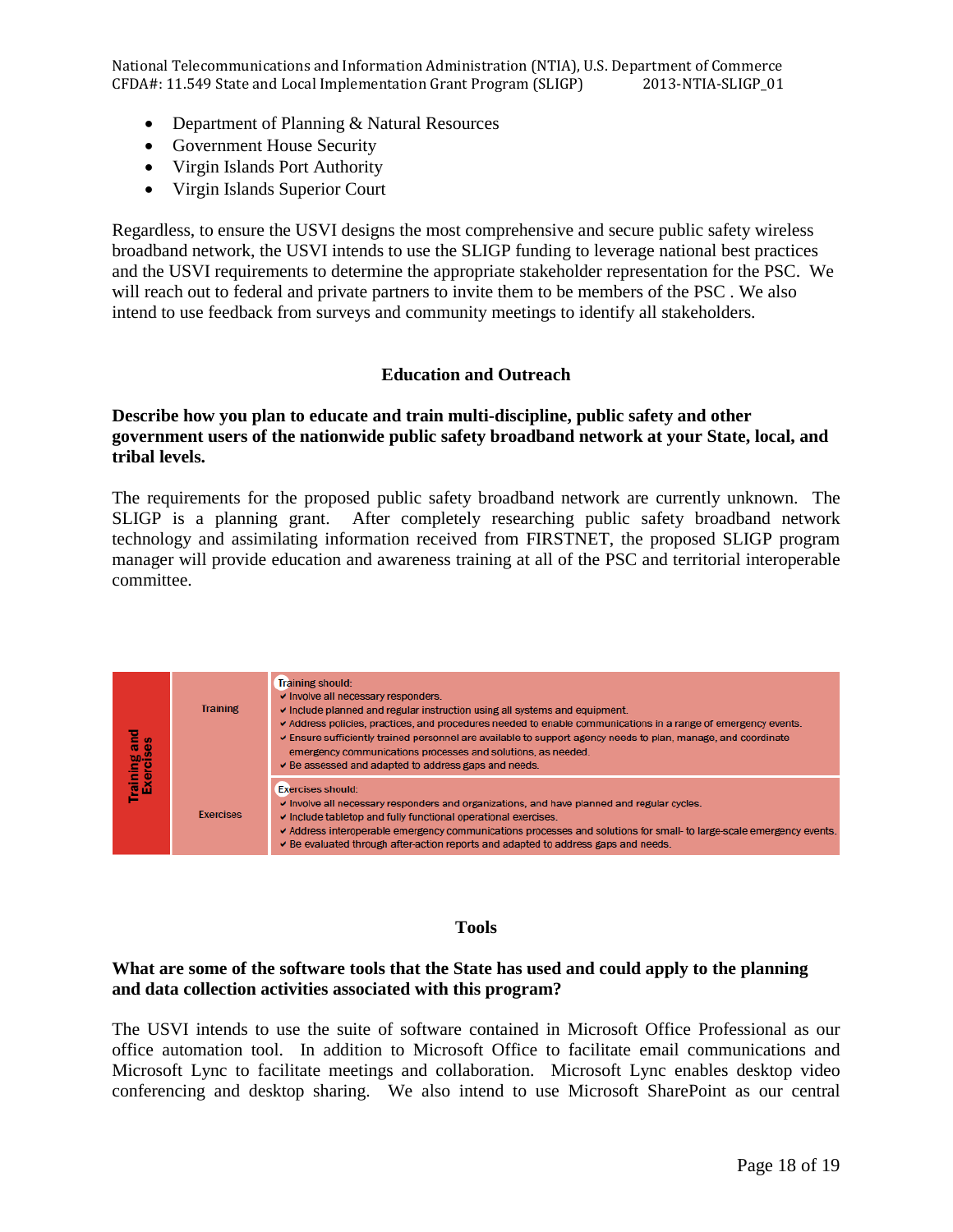- Department of Planning & Natural Resources
- Government House Security
- Virgin Islands Port Authority
- Virgin Islands Superior Court

Regardless, to ensure the USVI designs the most comprehensive and secure public safety wireless broadband network, the USVI intends to use the SLIGP funding to leverage national best practices and the USVI requirements to determine the appropriate stakeholder representation for the PSC. We will reach out to federal and private partners to invite them to be members of the PSC. We also intend to use feedback from surveys and community meetings to identify all stakeholders.

## **Education and Outreach**

# **Describe how you plan to educate and train multi-discipline, public safety and other government users of the nationwide public safety broadband network at your State, local, and tribal levels.**

The requirements for the proposed public safety broadband network are currently unknown. The SLIGP is a planning grant. After completely researching public safety broadband network technology and assimilating information received from FIRSTNET, the proposed SLIGP program manager will provide education and awareness training at all of the PSC and territorial interoperable committee.

| <b>Training and<br/>Exercises</b> | <b>Training</b>  | Training should:<br>v Involve all necessary responders.<br>Include planned and regular instruction using all systems and equipment.<br>Address policies, practices, and procedures needed to enable communications in a range of emergency events.<br>Ensure sufficiently trained personnel are available to support agency needs to plan, manage, and coordinate<br>emergency communications processes and solutions, as needed.<br>De assessed and adapted to address gaps and needs. |
|-----------------------------------|------------------|-----------------------------------------------------------------------------------------------------------------------------------------------------------------------------------------------------------------------------------------------------------------------------------------------------------------------------------------------------------------------------------------------------------------------------------------------------------------------------------------|
|                                   | <b>Fxercises</b> | <b>Exercises should:</b><br>Involve all necessary responders and organizations, and have planned and regular cycles.<br>Include tabletop and fully functional operational exercises.<br>Address interoperable emergency communications processes and solutions for small- to large-scale emergency events.<br>Be evaluated through after-action reports and adapted to address gaps and needs.                                                                                          |

#### **Tools**

# **What are some of the software tools that the State has used and could apply to the planning and data collection activities associated with this program?**

The USVI intends to use the suite of software contained in Microsoft Office Professional as our office automation tool. In addition to Microsoft Office to facilitate email communications and Microsoft Lync to facilitate meetings and collaboration. Microsoft Lync enables desktop video conferencing and desktop sharing. We also intend to use Microsoft SharePoint as our central